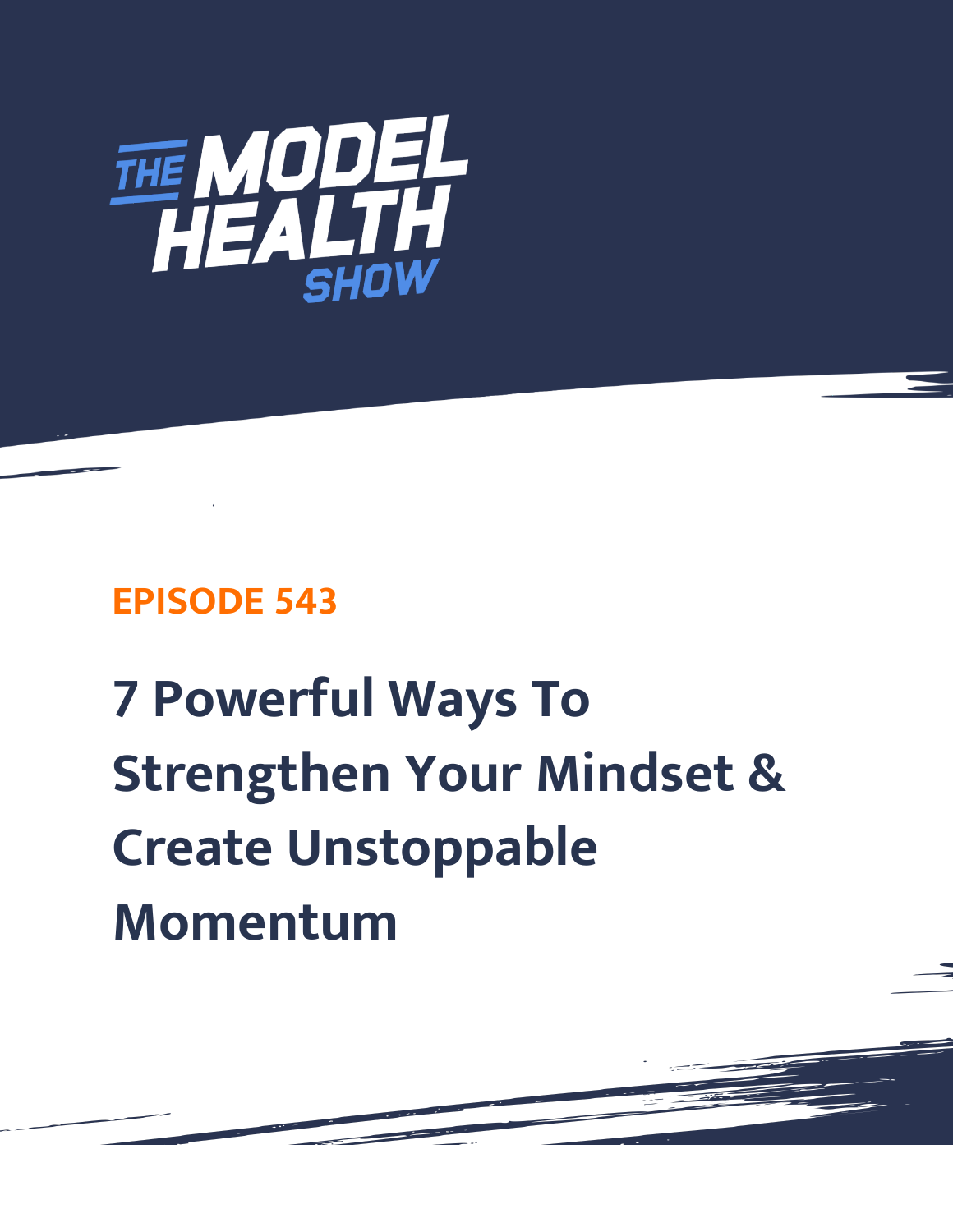

## **EPISODE 543**

# **7 Powerful Ways To Strengthen Your Mindset & Create Unstoppable Momentum**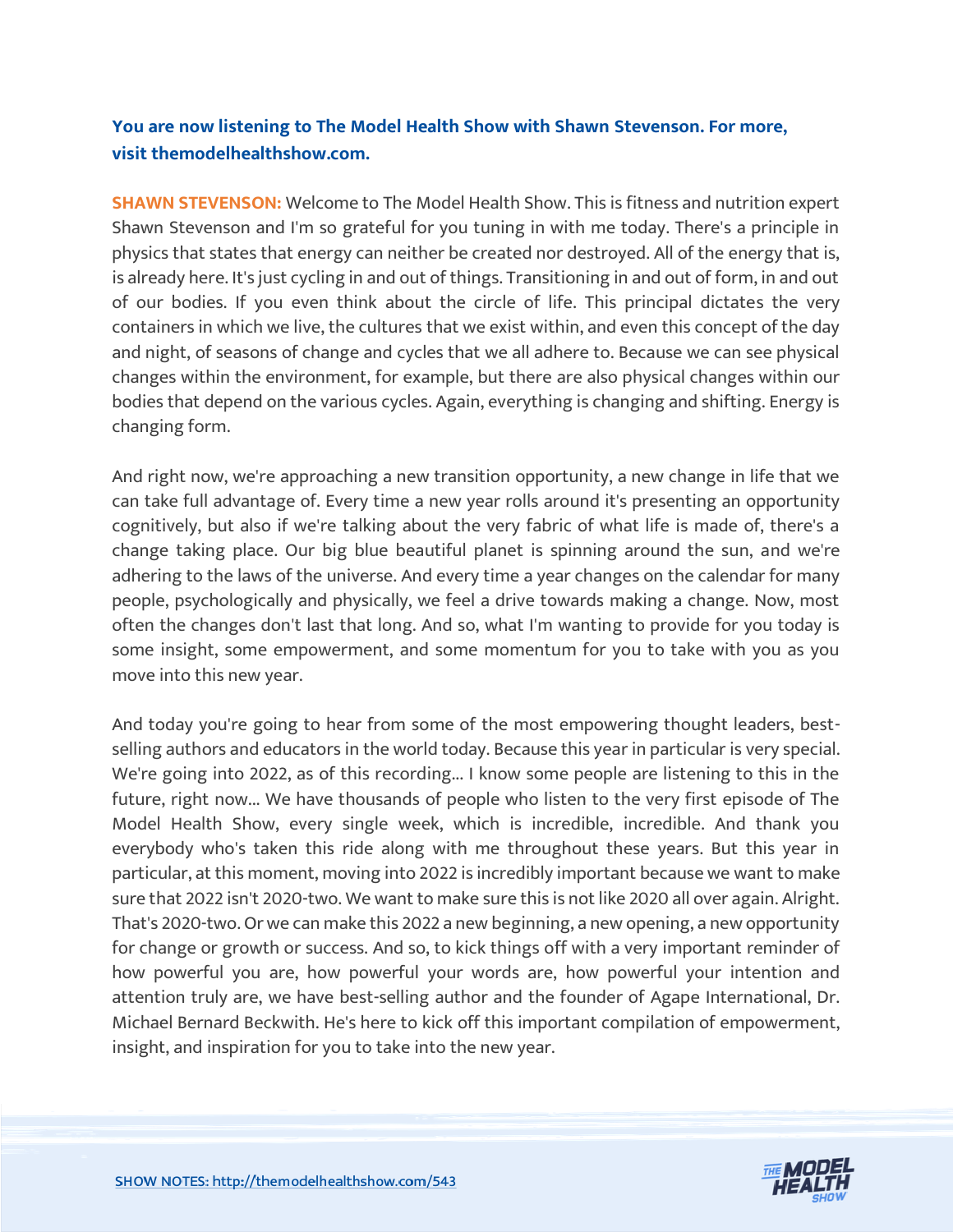### **You are now listening to The Model Health Show with Shawn Stevenson. For more, visit themodelhealthshow.com.**

**SHAWN STEVENSON:** Welcome to The Model Health Show. This is fitness and nutrition expert Shawn Stevenson and I'm so grateful for you tuning in with me today. There's a principle in physics that states that energy can neither be created nor destroyed. All of the energy that is, is already here. It's just cycling in and out of things. Transitioning in and out of form, in and out of our bodies. If you even think about the circle of life. This principal dictates the very containers in which we live, the cultures that we exist within, and even this concept of the day and night, of seasons of change and cycles that we all adhere to. Because we can see physical changes within the environment, for example, but there are also physical changes within our bodies that depend on the various cycles. Again, everything is changing and shifting. Energy is changing form.

And right now, we're approaching a new transition opportunity, a new change in life that we can take full advantage of. Every time a new year rolls around it's presenting an opportunity cognitively, but also if we're talking about the very fabric of what life is made of, there's a change taking place. Our big blue beautiful planet is spinning around the sun, and we're adhering to the laws of the universe. And every time a year changes on the calendar for many people, psychologically and physically, we feel a drive towards making a change. Now, most often the changes don't last that long. And so, what I'm wanting to provide for you today is some insight, some empowerment, and some momentum for you to take with you as you move into this new year.

And today you're going to hear from some of the most empowering thought leaders, bestselling authors and educators in the world today. Because this year in particular is very special. We're going into 2022, as of this recording... I know some people are listening to this in the future, right now... We have thousands of people who listen to the very first episode of The Model Health Show, every single week, which is incredible, incredible. And thank you everybody who's taken this ride along with me throughout these years. But this year in particular, at this moment, moving into 2022 is incredibly important because we want to make sure that 2022 isn't 2020-two. We want to make sure this is not like 2020 all over again. Alright. That's 2020-two. Or we can make this 2022 a new beginning, a new opening, a new opportunity for change or growth or success. And so, to kick things off with a very important reminder of how powerful you are, how powerful your words are, how powerful your intention and attention truly are, we have best-selling author and the founder of Agape International, Dr. Michael Bernard Beckwith. He's here to kick off this important compilation of empowerment, insight, and inspiration for you to take into the new year.

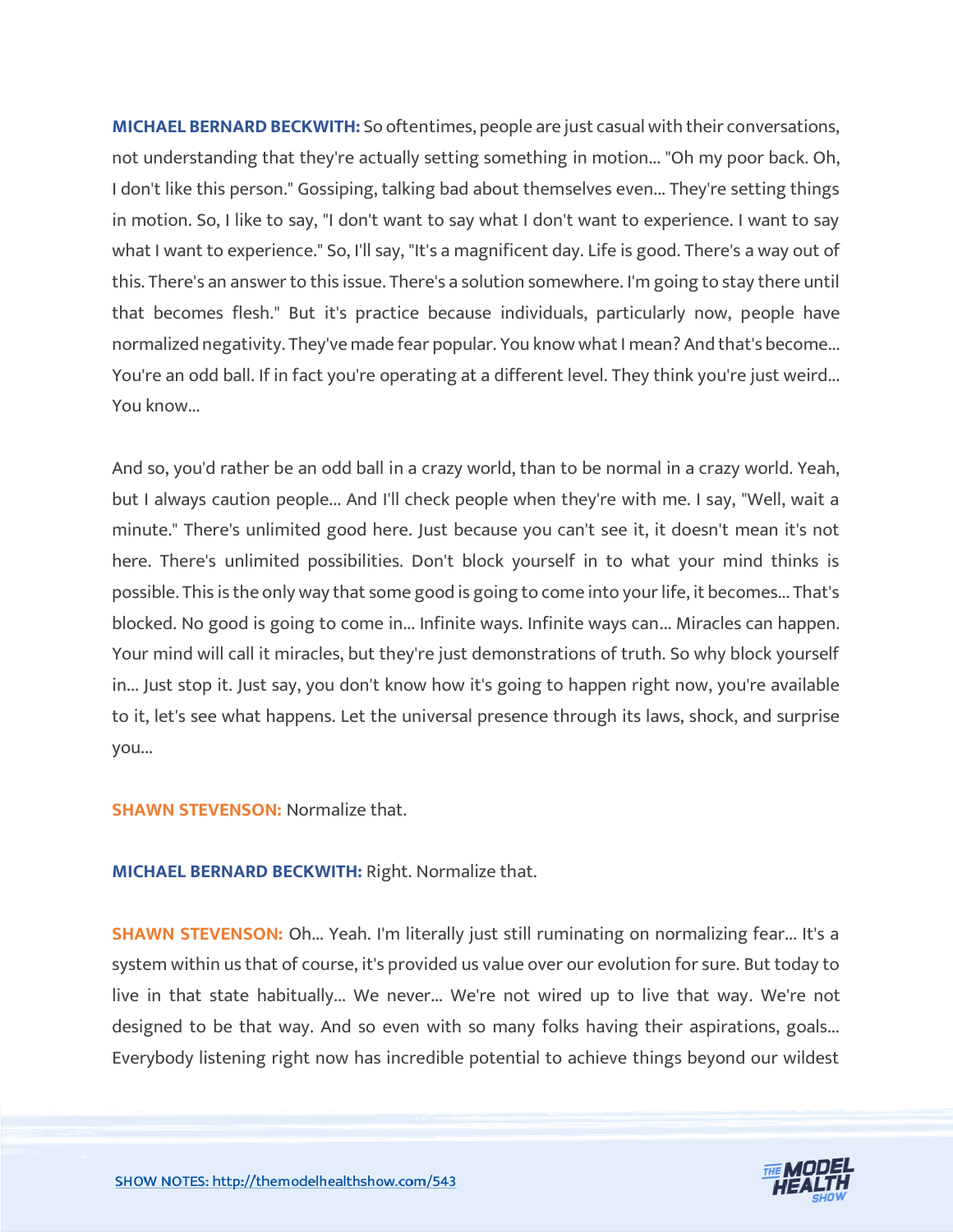**MICHAEL BERNARD BECKWITH:** So oftentimes, people are just casual with their conversations, not understanding that they're actually setting something in motion... "Oh my poor back. Oh, I don't like this person." Gossiping, talking bad about themselves even... They're setting things in motion. So, I like to say, "I don't want to say what I don't want to experience. I want to say what I want to experience." So, I'll say, "It's a magnificent day. Life is good. There's a way out of this. There's an answer to this issue. There's a solution somewhere. I'm going to stay there until that becomes flesh." But it's practice because individuals, particularly now, people have normalized negativity. They've made fear popular. You know what I mean? And that's become... You're an odd ball. If in fact you're operating at a different level. They think you're just weird... You know...

And so, you'd rather be an odd ball in a crazy world, than to be normal in a crazy world. Yeah, but I always caution people... And I'll check people when they're with me. I say, "Well, wait a minute." There's unlimited good here. Just because you can't see it, it doesn't mean it's not here. There's unlimited possibilities. Don't block yourself in to what your mind thinks is possible. This is the only way that some good is going to come into your life, it becomes... That's blocked. No good is going to come in... Infinite ways. Infinite ways can... Miracles can happen. Your mind will call it miracles, but they're just demonstrations of truth. So why block yourself in... Just stop it. Just say, you don't know how it's going to happen right now, you're available to it, let's see what happens. Let the universal presence through its laws, shock, and surprise you...

#### **SHAWN STEVENSON:** Normalize that.

**MICHAEL BERNARD BECKWITH:** Right. Normalize that.

**SHAWN STEVENSON:** Oh... Yeah. I'm literally just still ruminating on normalizing fear... It's a system within us that of course, it's provided us value over our evolution for sure. But today to live in that state habitually... We never... We're not wired up to live that way. We're not designed to be that way. And so even with so many folks having their aspirations, goals... Everybody listening right now has incredible potential to achieve things beyond our wildest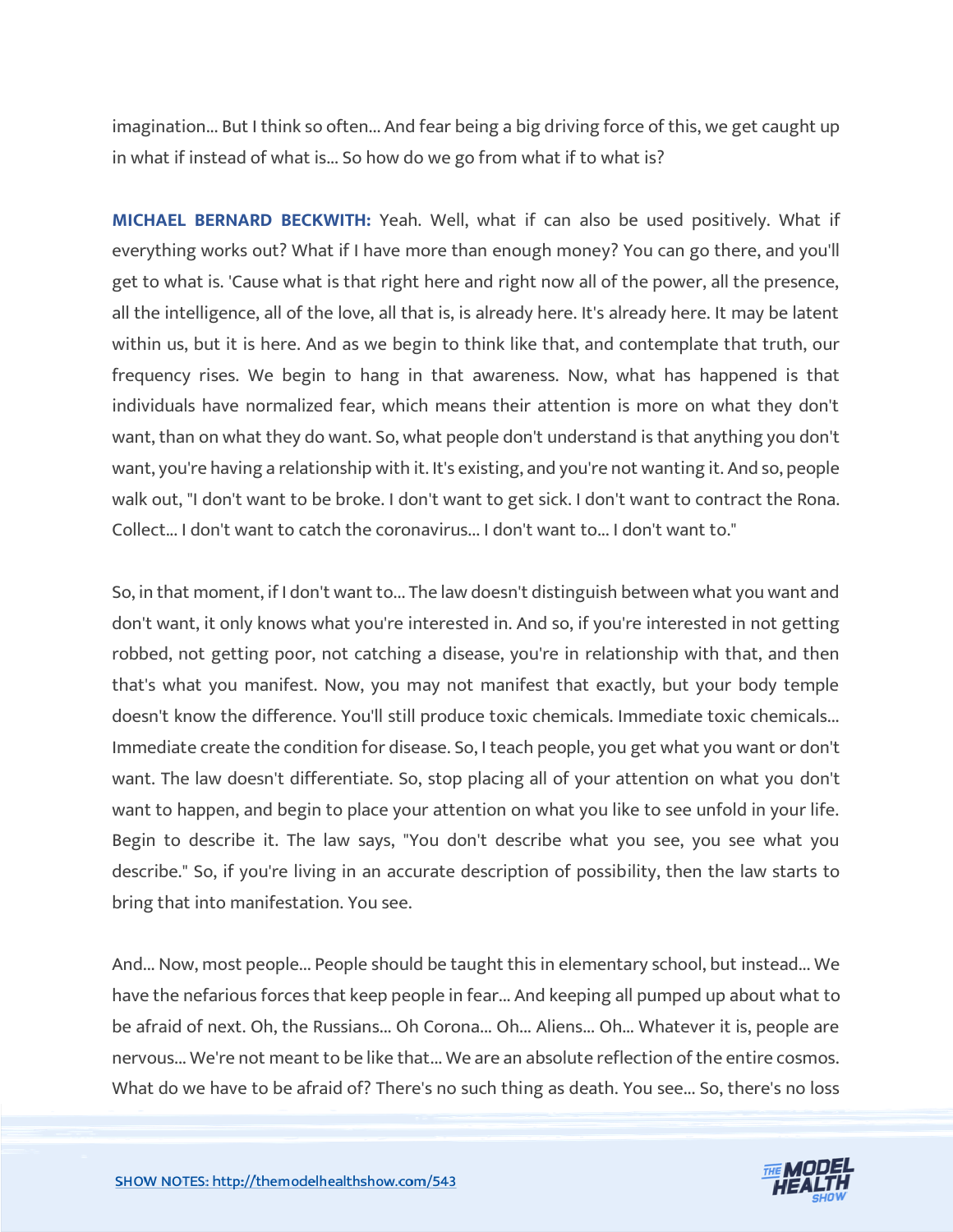imagination... But I think so often... And fear being a big driving force of this, we get caught up in what if instead of what is... So how do we go from what if to what is?

**MICHAEL BERNARD BECKWITH:** Yeah. Well, what if can also be used positively. What if everything works out? What if I have more than enough money? You can go there, and you'll get to what is. 'Cause what is that right here and right now all of the power, all the presence, all the intelligence, all of the love, all that is, is already here. It's already here. It may be latent within us, but it is here. And as we begin to think like that, and contemplate that truth, our frequency rises. We begin to hang in that awareness. Now, what has happened is that individuals have normalized fear, which means their attention is more on what they don't want, than on what they do want. So, what people don't understand is that anything you don't want, you're having a relationship with it. It's existing, and you're not wanting it. And so, people walk out, "I don't want to be broke. I don't want to get sick. I don't want to contract the Rona. Collect... I don't want to catch the coronavirus... I don't want to... I don't want to."

So, in that moment, if I don't want to... The law doesn't distinguish between what you want and don't want, it only knows what you're interested in. And so, if you're interested in not getting robbed, not getting poor, not catching a disease, you're in relationship with that, and then that's what you manifest. Now, you may not manifest that exactly, but your body temple doesn't know the difference. You'll still produce toxic chemicals. Immediate toxic chemicals... Immediate create the condition for disease. So, I teach people, you get what you want or don't want. The law doesn't differentiate. So, stop placing all of your attention on what you don't want to happen, and begin to place your attention on what you like to see unfold in your life. Begin to describe it. The law says, "You don't describe what you see, you see what you describe." So, if you're living in an accurate description of possibility, then the law starts to bring that into manifestation. You see.

And... Now, most people... People should be taught this in elementary school, but instead... We have the nefarious forces that keep people in fear... And keeping all pumped up about what to be afraid of next. Oh, the Russians... Oh Corona... Oh... Aliens... Oh... Whatever it is, people are nervous... We're not meant to be like that... We are an absolute reflection of the entire cosmos. What do we have to be afraid of? There's no such thing as death. You see... So, there's no loss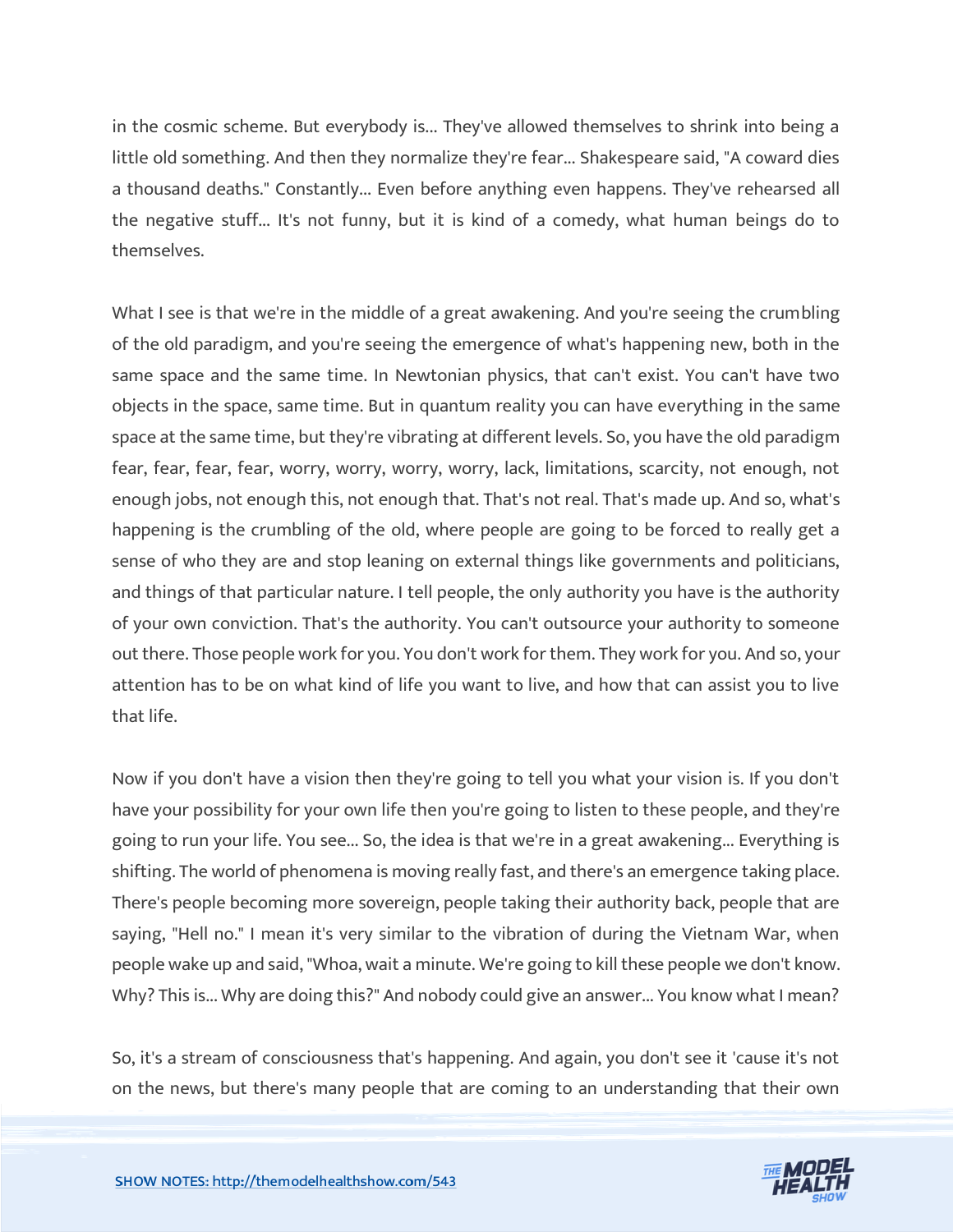in the cosmic scheme. But everybody is... They've allowed themselves to shrink into being a little old something. And then they normalize they're fear... Shakespeare said, "A coward dies a thousand deaths." Constantly... Even before anything even happens. They've rehearsed all the negative stuff... It's not funny, but it is kind of a comedy, what human beings do to themselves.

What I see is that we're in the middle of a great awakening. And you're seeing the crumbling of the old paradigm, and you're seeing the emergence of what's happening new, both in the same space and the same time. In Newtonian physics, that can't exist. You can't have two objects in the space, same time. But in quantum reality you can have everything in the same space at the same time, but they're vibrating at different levels. So, you have the old paradigm fear, fear, fear, fear, worry, worry, worry, worry, lack, limitations, scarcity, not enough, not enough jobs, not enough this, not enough that. That's not real. That's made up. And so, what's happening is the crumbling of the old, where people are going to be forced to really get a sense of who they are and stop leaning on external things like governments and politicians, and things of that particular nature. I tell people, the only authority you have is the authority of your own conviction. That's the authority. You can't outsource your authority to someone out there. Those people work for you. You don't work for them. They work for you. And so, your attention has to be on what kind of life you want to live, and how that can assist you to live that life.

Now if you don't have a vision then they're going to tell you what your vision is. If you don't have your possibility for your own life then you're going to listen to these people, and they're going to run your life. You see... So, the idea is that we're in a great awakening... Everything is shifting. The world of phenomena is moving really fast, and there's an emergence taking place. There's people becoming more sovereign, people taking their authority back, people that are saying, "Hell no." I mean it's very similar to the vibration of during the Vietnam War, when people wake up and said, "Whoa, wait a minute. We're going to kill these people we don't know. Why? This is... Why are doing this?" And nobody could give an answer... You know what I mean?

So, it's a stream of consciousness that's happening. And again, you don't see it 'cause it's not on the news, but there's many people that are coming to an understanding that their own

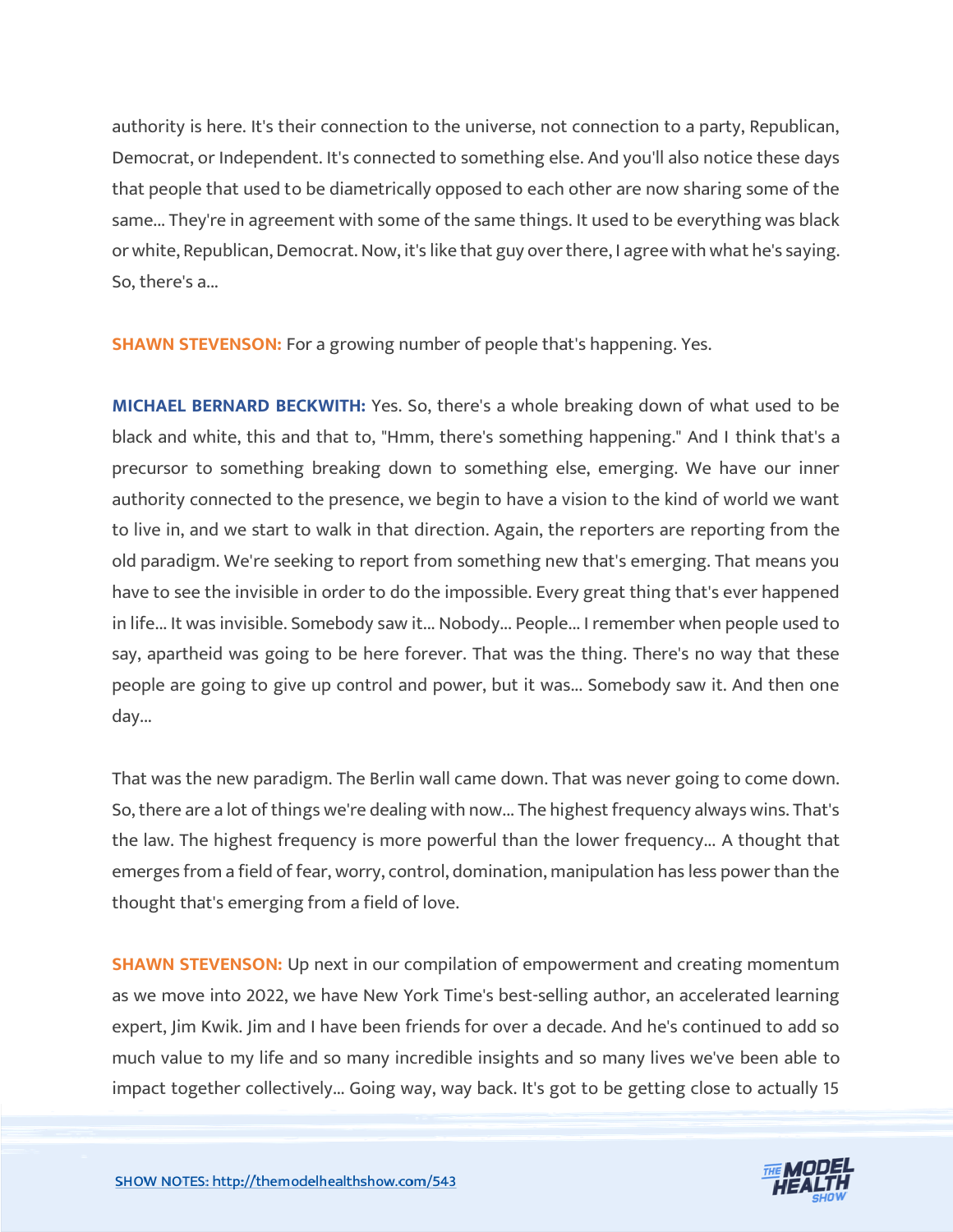authority is here. It's their connection to the universe, not connection to a party, Republican, Democrat, or Independent. It's connected to something else. And you'll also notice these days that people that used to be diametrically opposed to each other are now sharing some of the same... They're in agreement with some of the same things. It used to be everything was black or white, Republican, Democrat. Now, it's like that guy over there, I agree with what he's saying. So, there's a...

**SHAWN STEVENSON:** For a growing number of people that's happening. Yes.

**MICHAEL BERNARD BECKWITH:** Yes. So, there's a whole breaking down of what used to be black and white, this and that to, "Hmm, there's something happening." And I think that's a precursor to something breaking down to something else, emerging. We have our inner authority connected to the presence, we begin to have a vision to the kind of world we want to live in, and we start to walk in that direction. Again, the reporters are reporting from the old paradigm. We're seeking to report from something new that's emerging. That means you have to see the invisible in order to do the impossible. Every great thing that's ever happened in life... It was invisible. Somebody saw it... Nobody... People... I remember when people used to say, apartheid was going to be here forever. That was the thing. There's no way that these people are going to give up control and power, but it was... Somebody saw it. And then one day...

That was the new paradigm. The Berlin wall came down. That was never going to come down. So, there are a lot of things we're dealing with now... The highest frequency always wins. That's the law. The highest frequency is more powerful than the lower frequency... A thought that emerges from a field of fear, worry, control, domination, manipulation has less power than the thought that's emerging from a field of love.

**SHAWN STEVENSON:** Up next in our compilation of empowerment and creating momentum as we move into 2022, we have New York Time's best-selling author, an accelerated learning expert, Jim Kwik. Jim and I have been friends for over a decade. And he's continued to add so much value to my life and so many incredible insights and so many lives we've been able to impact together collectively... Going way, way back. It's got to be getting close to actually 15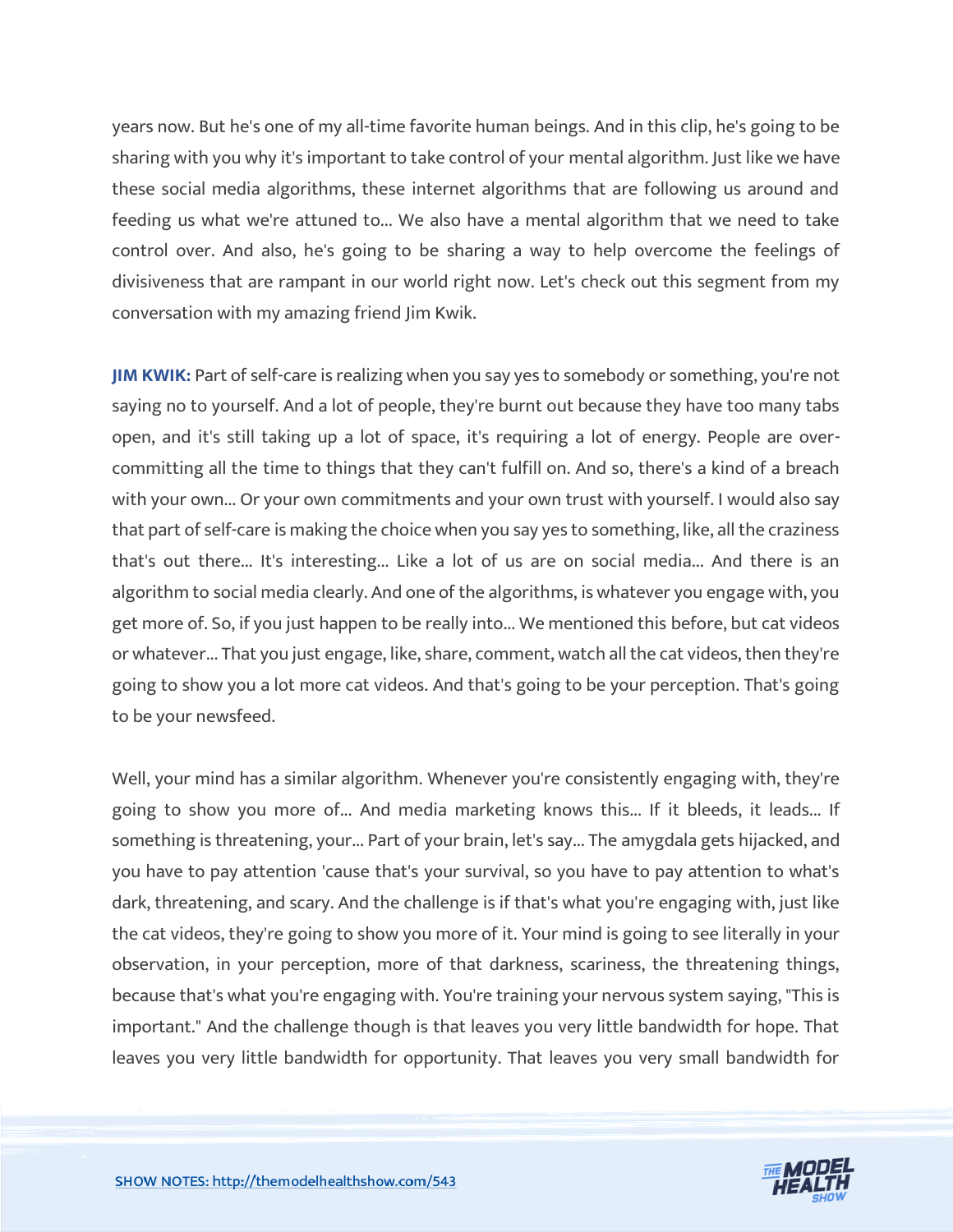years now. But he's one of my all-time favorite human beings. And in this clip, he's going to be sharing with you why it's important to take control of your mental algorithm. Just like we have these social media algorithms, these internet algorithms that are following us around and feeding us what we're attuned to... We also have a mental algorithm that we need to take control over. And also, he's going to be sharing a way to help overcome the feelings of divisiveness that are rampant in our world right now. Let's check out this segment from my conversation with my amazing friend Jim Kwik.

**JIM KWIK:** Part of self-care is realizing when you say yes to somebody or something, you're not saying no to yourself. And a lot of people, they're burnt out because they have too many tabs open, and it's still taking up a lot of space, it's requiring a lot of energy. People are overcommitting all the time to things that they can't fulfill on. And so, there's a kind of a breach with your own... Or your own commitments and your own trust with yourself. I would also say that part of self-care is making the choice when you say yes to something, like, all the craziness that's out there... It's interesting... Like a lot of us are on social media... And there is an algorithm to social media clearly. And one of the algorithms, is whatever you engage with, you get more of. So, if you just happen to be really into... We mentioned this before, but cat videos or whatever... That you just engage, like, share, comment, watch all the cat videos, then they're going to show you a lot more cat videos. And that's going to be your perception. That's going to be your newsfeed.

Well, your mind has a similar algorithm. Whenever you're consistently engaging with, they're going to show you more of... And media marketing knows this... If it bleeds, it leads... If something is threatening, your... Part of your brain, let's say... The amygdala gets hijacked, and you have to pay attention 'cause that's your survival, so you have to pay attention to what's dark, threatening, and scary. And the challenge is if that's what you're engaging with, just like the cat videos, they're going to show you more of it. Your mind is going to see literally in your observation, in your perception, more of that darkness, scariness, the threatening things, because that's what you're engaging with. You're training your nervous system saying, "This is important." And the challenge though is that leaves you very little bandwidth for hope. That leaves you very little bandwidth for opportunity. That leaves you very small bandwidth for

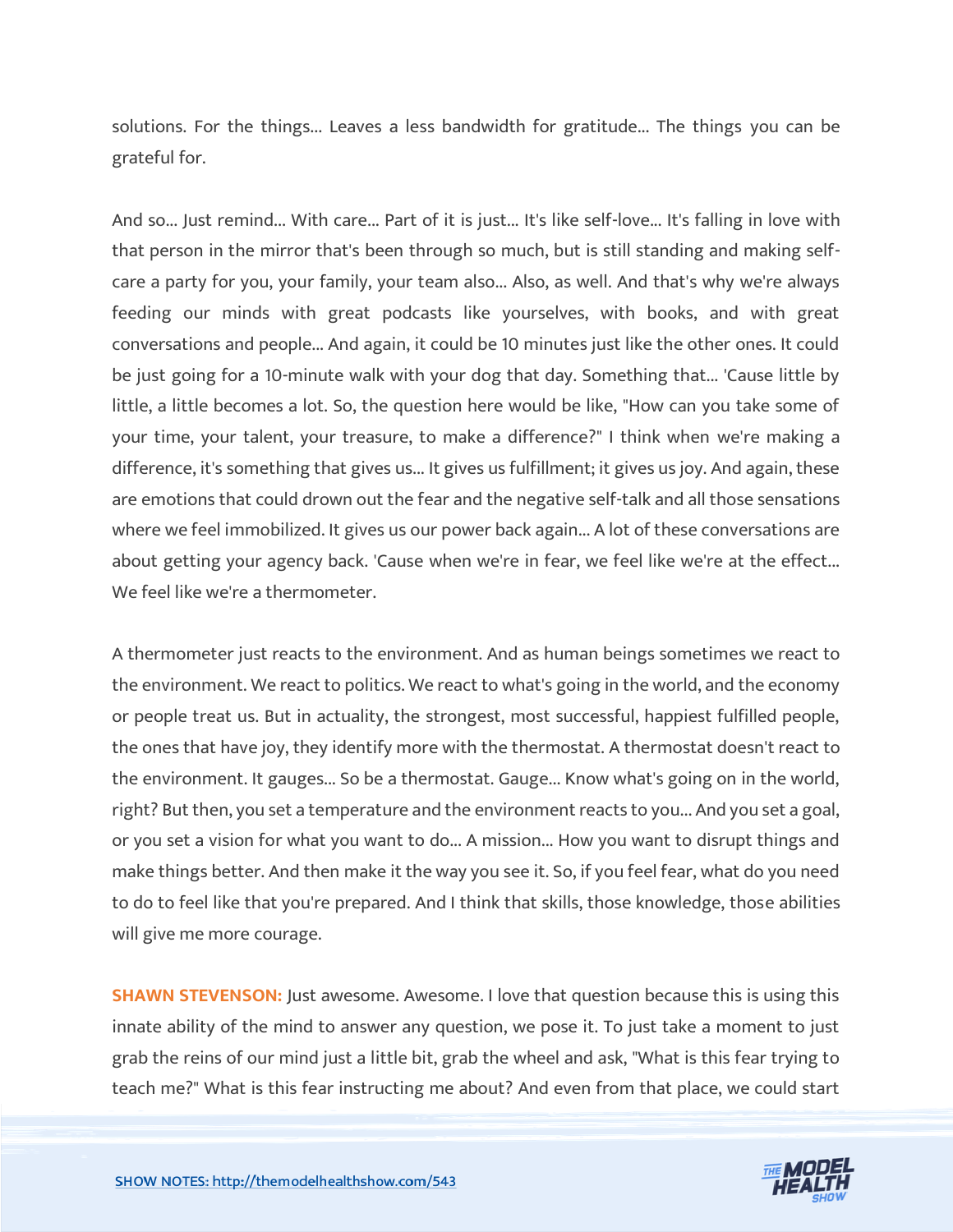solutions. For the things... Leaves a less bandwidth for gratitude... The things you can be grateful for.

And so... Just remind... With care... Part of it is just... It's like self-love... It's falling in love with that person in the mirror that's been through so much, but is still standing and making selfcare a party for you, your family, your team also... Also, as well. And that's why we're always feeding our minds with great podcasts like yourselves, with books, and with great conversations and people... And again, it could be 10 minutes just like the other ones. It could be just going for a 10-minute walk with your dog that day. Something that... 'Cause little by little, a little becomes a lot. So, the question here would be like, "How can you take some of your time, your talent, your treasure, to make a difference?" I think when we're making a difference, it's something that gives us... It gives us fulfillment; it gives us joy. And again, these are emotions that could drown out the fear and the negative self-talk and all those sensations where we feel immobilized. It gives us our power back again... A lot of these conversations are about getting your agency back. 'Cause when we're in fear, we feel like we're at the effect... We feel like we're a thermometer.

A thermometer just reacts to the environment. And as human beings sometimes we react to the environment. We react to politics. We react to what's going in the world, and the economy or people treat us. But in actuality, the strongest, most successful, happiest fulfilled people, the ones that have joy, they identify more with the thermostat. A thermostat doesn't react to the environment. It gauges... So be a thermostat. Gauge... Know what's going on in the world, right? But then, you set a temperature and the environment reacts to you... And you set a goal, or you set a vision for what you want to do... A mission... How you want to disrupt things and make things better. And then make it the way you see it. So, if you feel fear, what do you need to do to feel like that you're prepared. And I think that skills, those knowledge, those abilities will give me more courage.

**SHAWN STEVENSON:** Just awesome. Awesome. I love that question because this is using this innate ability of the mind to answer any question, we pose it. To just take a moment to just grab the reins of our mind just a little bit, grab the wheel and ask, "What is this fear trying to teach me?" What is this fear instructing me about? And even from that place, we could start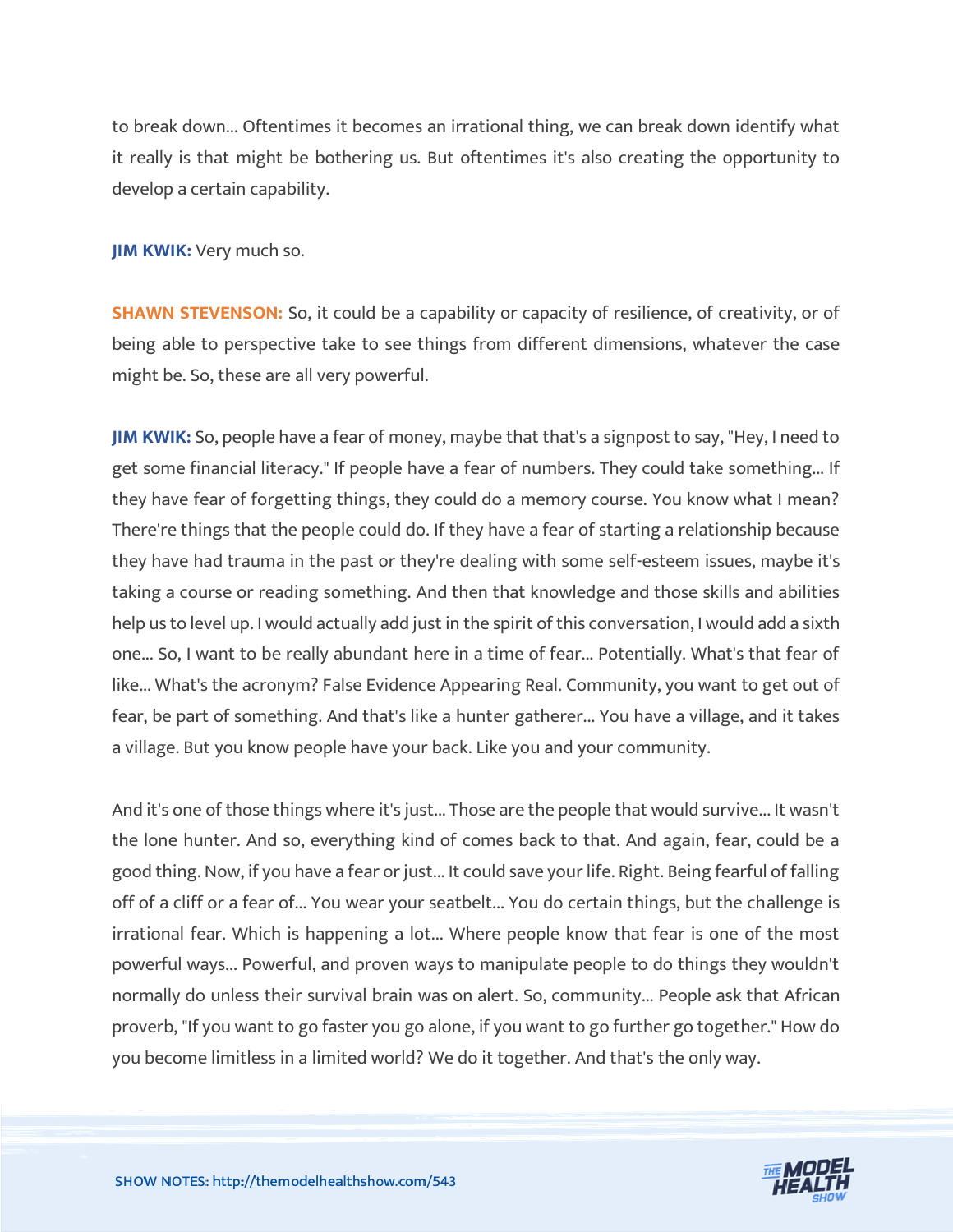to break down... Oftentimes it becomes an irrational thing, we can break down identify what it really is that might be bothering us. But oftentimes it's also creating the opportunity to develop a certain capability.

**JIM KWIK:** Very much so.

**SHAWN STEVENSON:** So, it could be a capability or capacity of resilience, of creativity, or of being able to perspective take to see things from different dimensions, whatever the case might be. So, these are all very powerful.

**JIM KWIK:** So, people have a fear of money, maybe that that's a signpost to say, "Hey, I need to get some financial literacy." If people have a fear of numbers. They could take something... If they have fear of forgetting things, they could do a memory course. You know what I mean? There're things that the people could do. If they have a fear of starting a relationship because they have had trauma in the past or they're dealing with some self-esteem issues, maybe it's taking a course or reading something. And then that knowledge and those skills and abilities help us to level up. I would actually add just in the spirit of this conversation, I would add a sixth one... So, I want to be really abundant here in a time of fear... Potentially. What's that fear of like... What's the acronym? False Evidence Appearing Real. Community, you want to get out of fear, be part of something. And that's like a hunter gatherer... You have a village, and it takes a village. But you know people have your back. Like you and your community.

And it's one of those things where it's just... Those are the people that would survive... It wasn't the lone hunter. And so, everything kind of comes back to that. And again, fear, could be a good thing. Now, if you have a fear or just... It could save your life. Right. Being fearful of falling off of a cliff or a fear of... You wear your seatbelt... You do certain things, but the challenge is irrational fear. Which is happening a lot... Where people know that fear is one of the most powerful ways... Powerful, and proven ways to manipulate people to do things they wouldn't normally do unless their survival brain was on alert. So, community... People ask that African proverb, "If you want to go faster you go alone, if you want to go further go together." How do you become limitless in a limited world? We do it together. And that's the only way.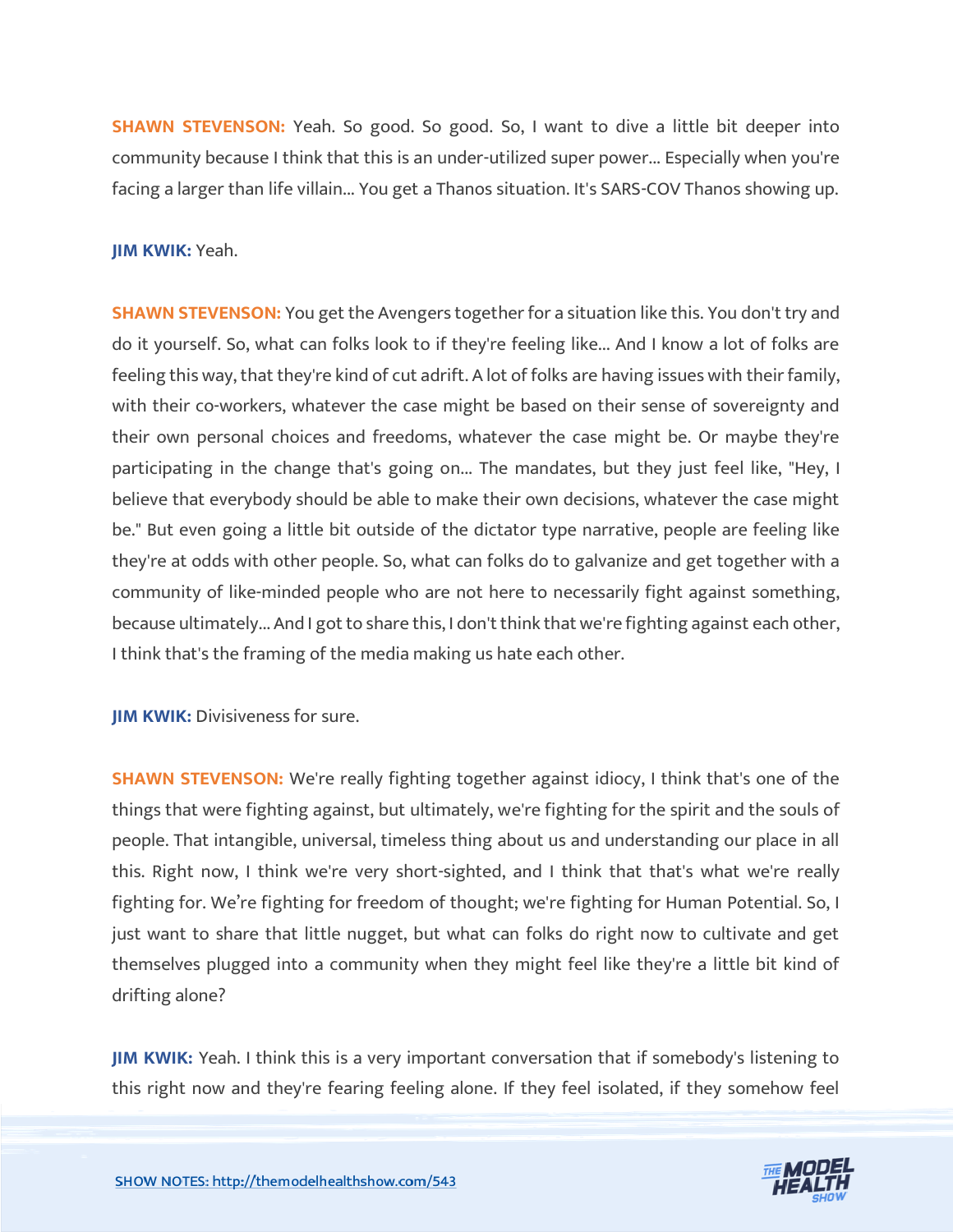**SHAWN STEVENSON:** Yeah. So good. So good. So, I want to dive a little bit deeper into community because I think that this is an under-utilized super power... Especially when you're facing a larger than life villain... You get a Thanos situation. It's SARS-COV Thanos showing up.

#### **JIM KWIK:** Yeah.

**SHAWN STEVENSON:** You get the Avengers together for a situation like this. You don't try and do it yourself. So, what can folks look to if they're feeling like... And I know a lot of folks are feeling this way, that they're kind of cut adrift. A lot of folks are having issues with their family, with their co-workers, whatever the case might be based on their sense of sovereignty and their own personal choices and freedoms, whatever the case might be. Or maybe they're participating in the change that's going on... The mandates, but they just feel like, "Hey, I believe that everybody should be able to make their own decisions, whatever the case might be." But even going a little bit outside of the dictator type narrative, people are feeling like they're at odds with other people. So, what can folks do to galvanize and get together with a community of like-minded people who are not here to necessarily fight against something, because ultimately... And I got to share this, I don't think that we're fighting against each other, I think that's the framing of the media making us hate each other.

**JIM KWIK: Divisiveness for sure.** 

**SHAWN STEVENSON:** We're really fighting together against idiocy, I think that's one of the things that were fighting against, but ultimately, we're fighting for the spirit and the souls of people. That intangible, universal, timeless thing about us and understanding our place in all this. Right now, I think we're very short-sighted, and I think that that's what we're really fighting for. We're fighting for freedom of thought; we're fighting for Human Potential. So, I just want to share that little nugget, but what can folks do right now to cultivate and get themselves plugged into a community when they might feel like they're a little bit kind of drifting alone?

**JIM KWIK:** Yeah. I think this is a very important conversation that if somebody's listening to this right now and they're fearing feeling alone. If they feel isolated, if they somehow feel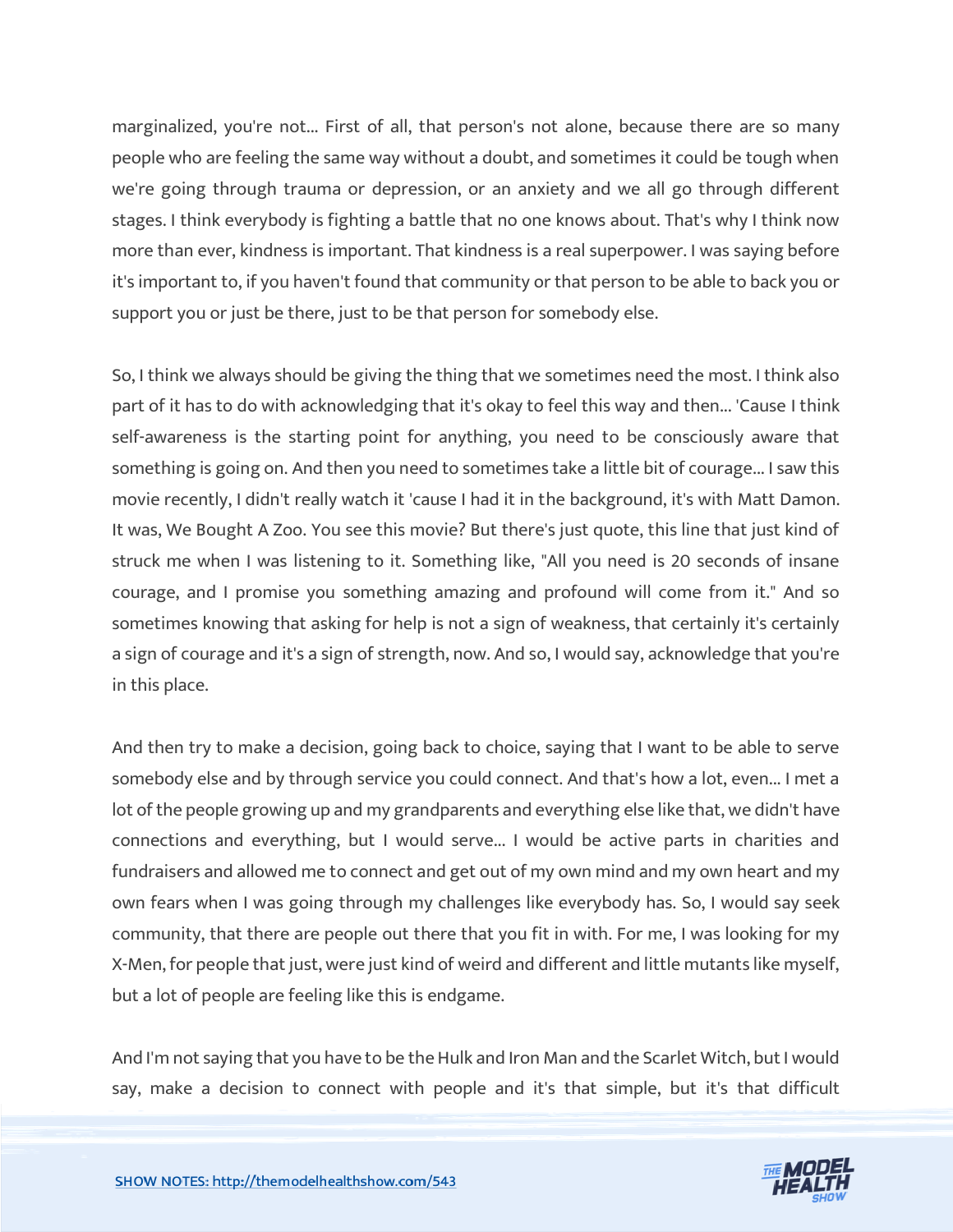marginalized, you're not... First of all, that person's not alone, because there are so many people who are feeling the same way without a doubt, and sometimes it could be tough when we're going through trauma or depression, or an anxiety and we all go through different stages. I think everybody is fighting a battle that no one knows about. That's why I think now more than ever, kindness is important. That kindness is a real superpower. I was saying before it's important to, if you haven't found that community or that person to be able to back you or support you or just be there, just to be that person for somebody else.

So, I think we always should be giving the thing that we sometimes need the most. I think also part of it has to do with acknowledging that it's okay to feel this way and then... 'Cause I think self-awareness is the starting point for anything, you need to be consciously aware that something is going on. And then you need to sometimes take a little bit of courage... I saw this movie recently, I didn't really watch it 'cause I had it in the background, it's with Matt Damon. It was, We Bought A Zoo. You see this movie? But there's just quote, this line that just kind of struck me when I was listening to it. Something like, "All you need is 20 seconds of insane courage, and I promise you something amazing and profound will come from it." And so sometimes knowing that asking for help is not a sign of weakness, that certainly it's certainly a sign of courage and it's a sign of strength, now. And so, I would say, acknowledge that you're in this place.

And then try to make a decision, going back to choice, saying that I want to be able to serve somebody else and by through service you could connect. And that's how a lot, even... I met a lot of the people growing up and my grandparents and everything else like that, we didn't have connections and everything, but I would serve... I would be active parts in charities and fundraisers and allowed me to connect and get out of my own mind and my own heart and my own fears when I was going through my challenges like everybody has. So, I would say seek community, that there are people out there that you fit in with. For me, I was looking for my X-Men, for people that just, were just kind of weird and different and little mutants like myself, but a lot of people are feeling like this is endgame.

And I'm not saying that you have to be the Hulk and Iron Man and the Scarlet Witch, but I would say, make a decision to connect with people and it's that simple, but it's that difficult

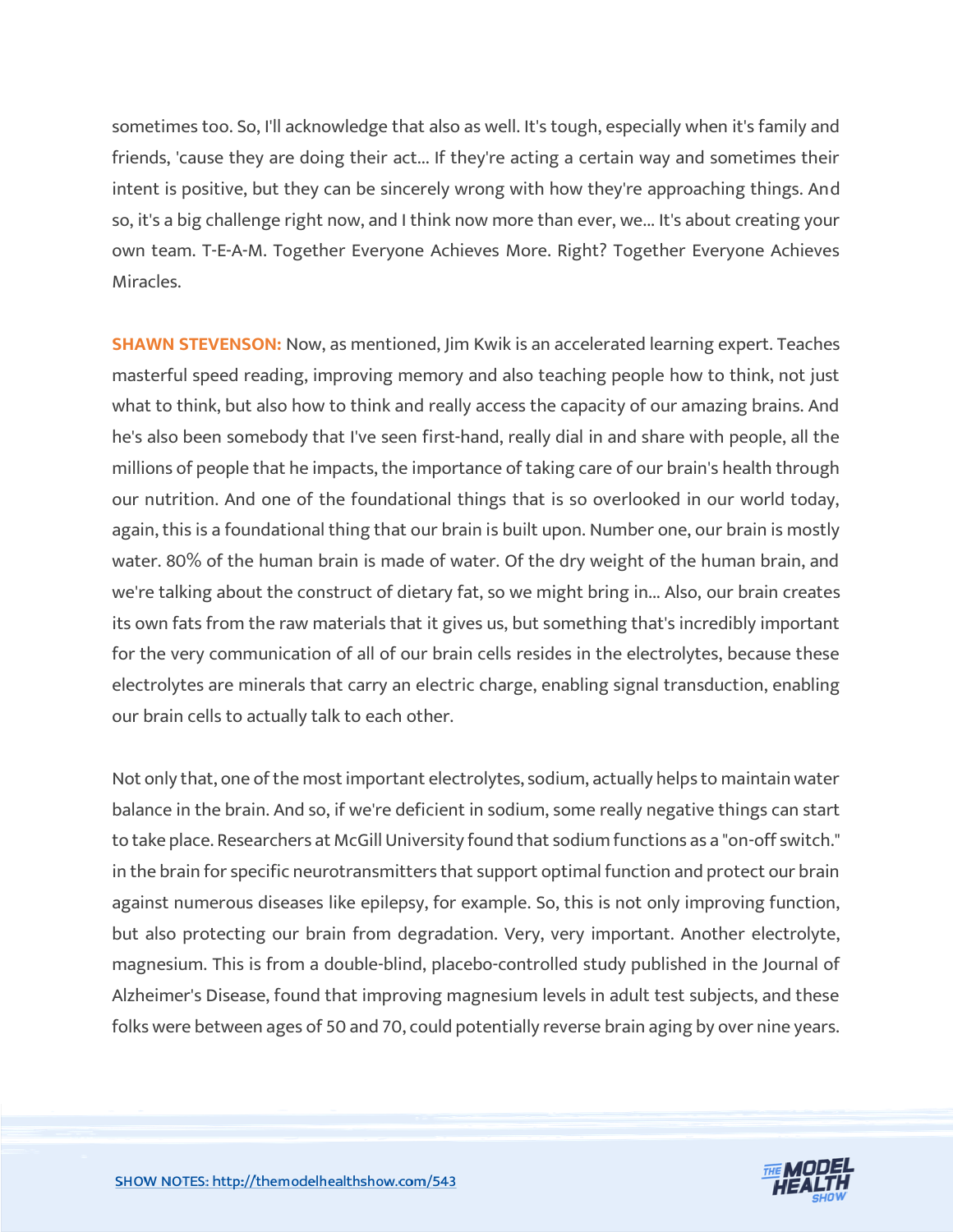sometimes too. So, I'll acknowledge that also as well. It's tough, especially when it's family and friends, 'cause they are doing their act... If they're acting a certain way and sometimes their intent is positive, but they can be sincerely wrong with how they're approaching things. And so, it's a big challenge right now, and I think now more than ever, we... It's about creating your own team. T-E-A-M. Together Everyone Achieves More. Right? Together Everyone Achieves Miracles.

**SHAWN STEVENSON:** Now, as mentioned, Jim Kwik is an accelerated learning expert. Teaches masterful speed reading, improving memory and also teaching people how to think, not just what to think, but also how to think and really access the capacity of our amazing brains. And he's also been somebody that I've seen first-hand, really dial in and share with people, all the millions of people that he impacts, the importance of taking care of our brain's health through our nutrition. And one of the foundational things that is so overlooked in our world today, again, this is a foundational thing that our brain is built upon. Number one, our brain is mostly water. 80% of the human brain is made of water. Of the dry weight of the human brain, and we're talking about the construct of dietary fat, so we might bring in... Also, our brain creates its own fats from the raw materials that it gives us, but something that's incredibly important for the very communication of all of our brain cells resides in the electrolytes, because these electrolytes are minerals that carry an electric charge, enabling signal transduction, enabling our brain cells to actually talk to each other.

Not only that, one of the most important electrolytes, sodium, actually helps to maintain water balance in the brain. And so, if we're deficient in sodium, some really negative things can start to take place. Researchers at McGill University found that sodium functions as a "on-off switch." in the brain for specific neurotransmitters that support optimal function and protect our brain against numerous diseases like epilepsy, for example. So, this is not only improving function, but also protecting our brain from degradation. Very, very important. Another electrolyte, magnesium. This is from a double-blind, placebo-controlled study published in the Journal of Alzheimer's Disease, found that improving magnesium levels in adult test subjects, and these folks were between ages of 50 and 70, could potentially reverse brain aging by over nine years.

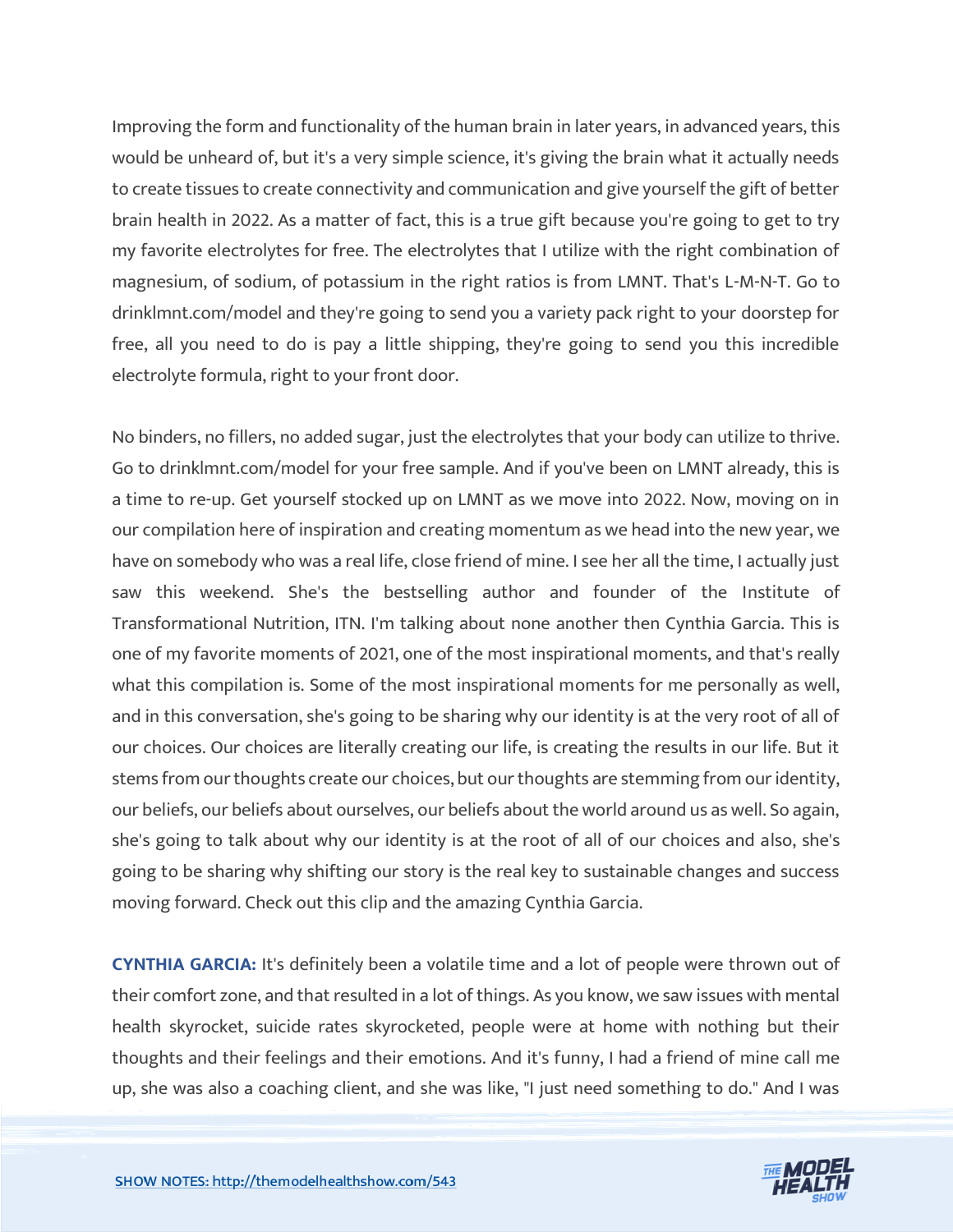Improving the form and functionality of the human brain in later years, in advanced years, this would be unheard of, but it's a very simple science, it's giving the brain what it actually needs to create tissues to create connectivity and communication and give yourself the gift of better brain health in 2022. As a matter of fact, this is a true gift because you're going to get to try my favorite electrolytes for free. The electrolytes that I utilize with the right combination of magnesium, of sodium, of potassium in the right ratios is from LMNT. That's L-M-N-T. Go to drinklmnt.com/model and they're going to send you a variety pack right to your doorstep for free, all you need to do is pay a little shipping, they're going to send you this incredible electrolyte formula, right to your front door.

No binders, no fillers, no added sugar, just the electrolytes that your body can utilize to thrive. Go to drinklmnt.com/model for your free sample. And if you've been on LMNT already, this is a time to re-up. Get yourself stocked up on LMNT as we move into 2022. Now, moving on in our compilation here of inspiration and creating momentum as we head into the new year, we have on somebody who was a real life, close friend of mine. I see her all the time, I actually just saw this weekend. She's the bestselling author and founder of the Institute of Transformational Nutrition, ITN. I'm talking about none another then Cynthia Garcia. This is one of my favorite moments of 2021, one of the most inspirational moments, and that's really what this compilation is. Some of the most inspirational moments for me personally as well, and in this conversation, she's going to be sharing why our identity is at the very root of all of our choices. Our choices are literally creating our life, is creating the results in our life. But it stems from our thoughts create our choices, but our thoughts are stemming from our identity, our beliefs, our beliefs about ourselves, our beliefs about the world around us as well. So again, she's going to talk about why our identity is at the root of all of our choices and also, she's going to be sharing why shifting our story is the real key to sustainable changes and success moving forward. Check out this clip and the amazing Cynthia Garcia.

**CYNTHIA GARCIA:** It's definitely been a volatile time and a lot of people were thrown out of their comfort zone, and that resulted in a lot of things. As you know, we saw issues with mental health skyrocket, suicide rates skyrocketed, people were at home with nothing but their thoughts and their feelings and their emotions. And it's funny, I had a friend of mine call me up, she was also a coaching client, and she was like, "I just need something to do." And I was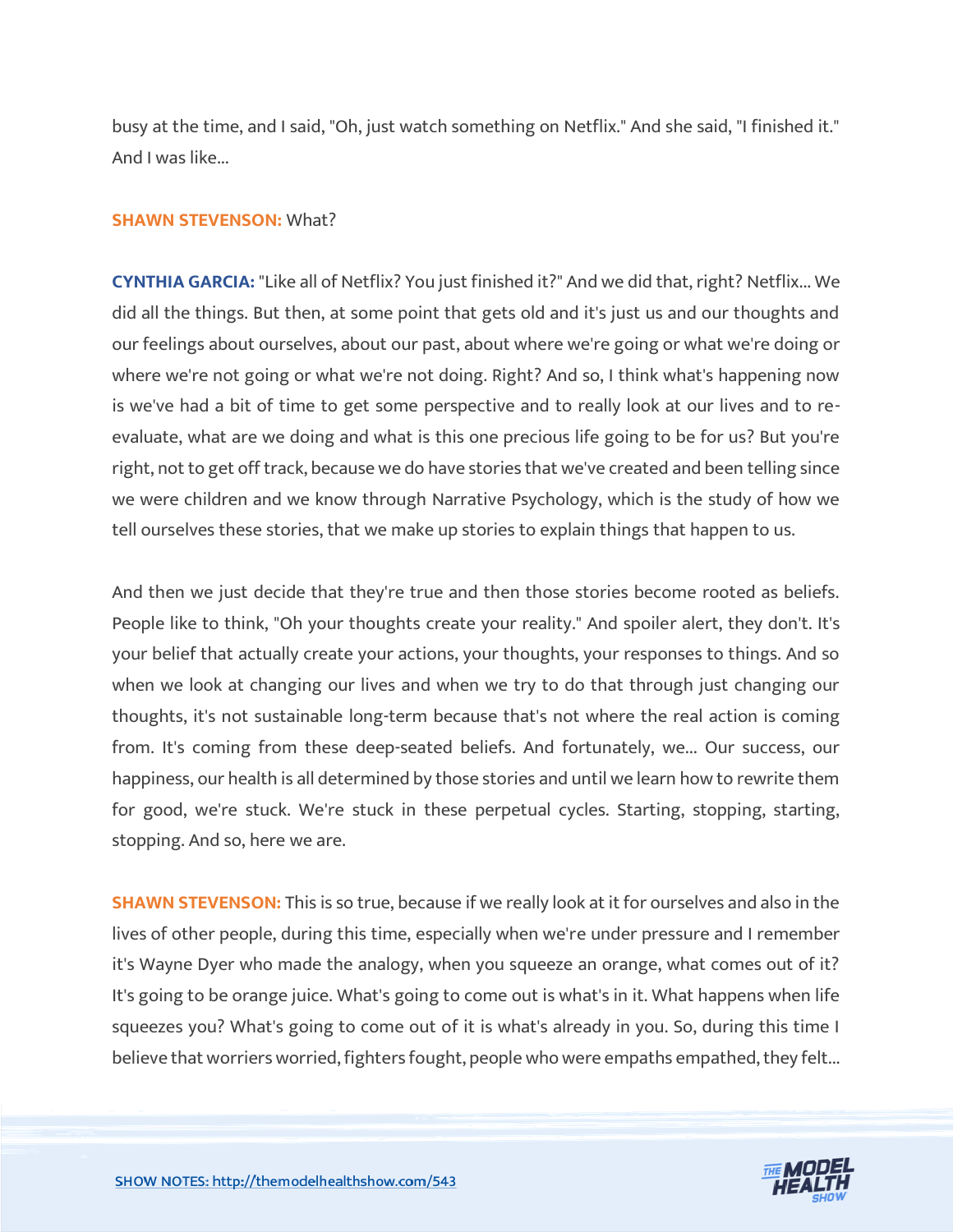busy at the time, and I said, "Oh, just watch something on Netflix." And she said, "I finished it." And I was like...

#### **SHAWN STEVENSON:** What?

**CYNTHIA GARCIA:** "Like all of Netflix? You just finished it?" And we did that, right? Netflix... We did all the things. But then, at some point that gets old and it's just us and our thoughts and our feelings about ourselves, about our past, about where we're going or what we're doing or where we're not going or what we're not doing. Right? And so, I think what's happening now is we've had a bit of time to get some perspective and to really look at our lives and to reevaluate, what are we doing and what is this one precious life going to be for us? But you're right, not to get off track, because we do have stories that we've created and been telling since we were children and we know through Narrative Psychology, which is the study of how we tell ourselves these stories, that we make up stories to explain things that happen to us.

And then we just decide that they're true and then those stories become rooted as beliefs. People like to think, "Oh your thoughts create your reality." And spoiler alert, they don't. It's your belief that actually create your actions, your thoughts, your responses to things. And so when we look at changing our lives and when we try to do that through just changing our thoughts, it's not sustainable long-term because that's not where the real action is coming from. It's coming from these deep-seated beliefs. And fortunately, we... Our success, our happiness, our health is all determined by those stories and until we learn how to rewrite them for good, we're stuck. We're stuck in these perpetual cycles. Starting, stopping, starting, stopping. And so, here we are.

**SHAWN STEVENSON:** This is so true, because if we really look at it for ourselves and also in the lives of other people, during this time, especially when we're under pressure and I remember it's Wayne Dyer who made the analogy, when you squeeze an orange, what comes out of it? It's going to be orange juice. What's going to come out is what's in it. What happens when life squeezes you? What's going to come out of it is what's already in you. So, during this time I believe that worriers worried, fighters fought, people who were empaths empathed, they felt...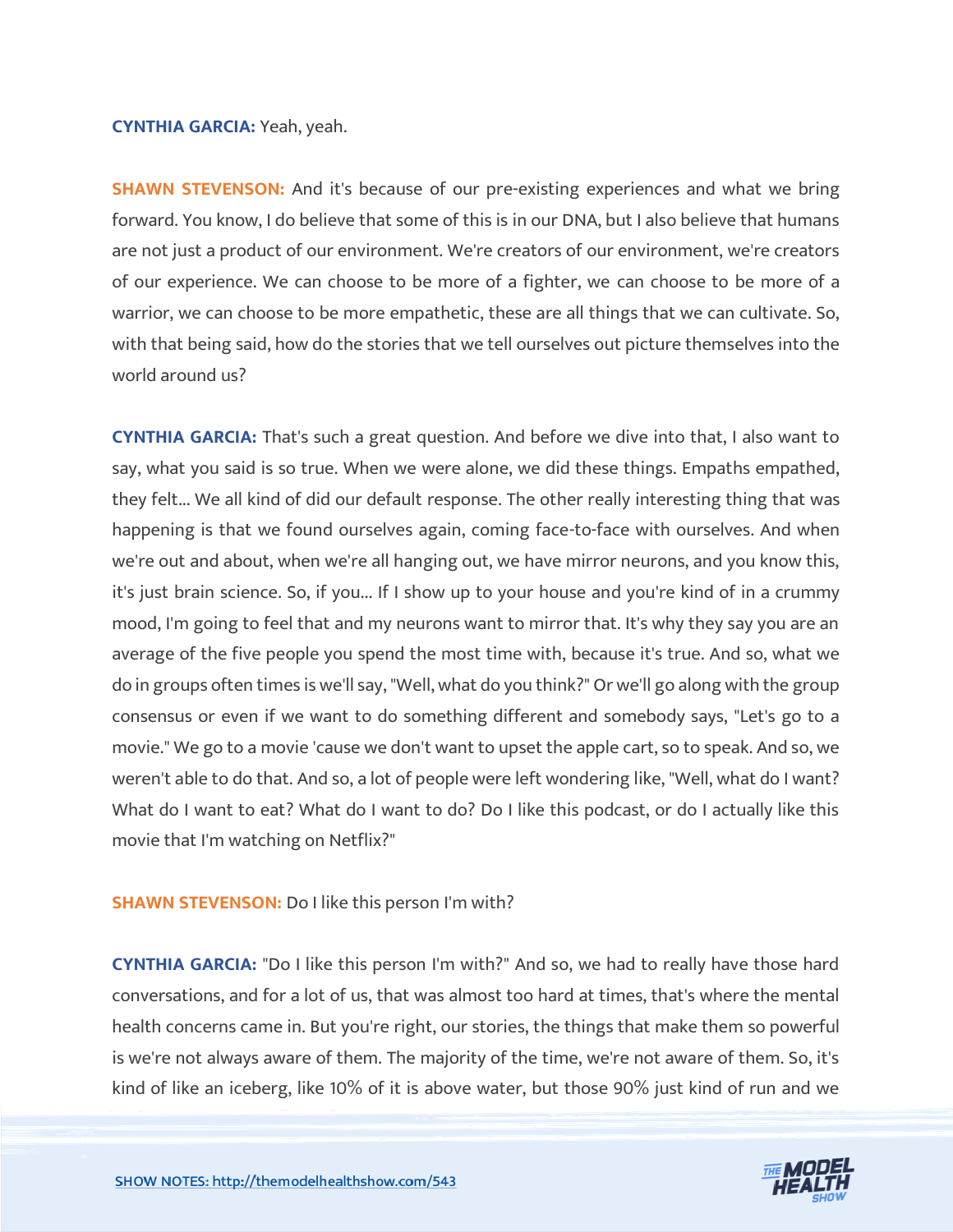#### **CYNTHIA GARCIA:** Yeah, yeah.

**SHAWN STEVENSON:** And it's because of our pre-existing experiences and what we bring forward. You know, I do believe that some of this is in our DNA, but I also believe that humans are not just a product of our environment. We're creators of our environment, we're creators of our experience. We can choose to be more of a fighter, we can choose to be more of a warrior, we can choose to be more empathetic, these are all things that we can cultivate. So, with that being said, how do the stories that we tell ourselves out picture themselves into the world around us?

**CYNTHIA GARCIA:** That's such a great question. And before we dive into that, I also want to say, what you said is so true. When we were alone, we did these things. Empaths empathed, they felt... We all kind of did our default response. The other really interesting thing that was happening is that we found ourselves again, coming face-to-face with ourselves. And when we're out and about, when we're all hanging out, we have mirror neurons, and you know this, it's just brain science. So, if you... If I show up to your house and you're kind of in a crummy mood, I'm going to feel that and my neurons want to mirror that. It's why they say you are an average of the five people you spend the most time with, because it's true. And so, what we do in groups often times is we'll say, "Well, what do you think?" Or we'll go along with the group consensus or even if we want to do something different and somebody says, "Let's go to a movie." We go to a movie 'cause we don't want to upset the apple cart, so to speak. And so, we weren't able to do that. And so, a lot of people were left wondering like, "Well, what do I want? What do I want to eat? What do I want to do? Do I like this podcast, or do I actually like this movie that I'm watching on Netflix?"

#### **SHAWN STEVENSON:** Do I like this person I'm with?

**CYNTHIA GARCIA:** "Do I like this person I'm with?" And so, we had to really have those hard conversations, and for a lot of us, that was almost too hard at times, that's where the mental health concerns came in. But you're right, our stories, the things that make them so powerful is we're not always aware of them. The majority of the time, we're not aware of them. So, it's kind of like an iceberg, like 10% of it is above water, but those 90% just kind of run and we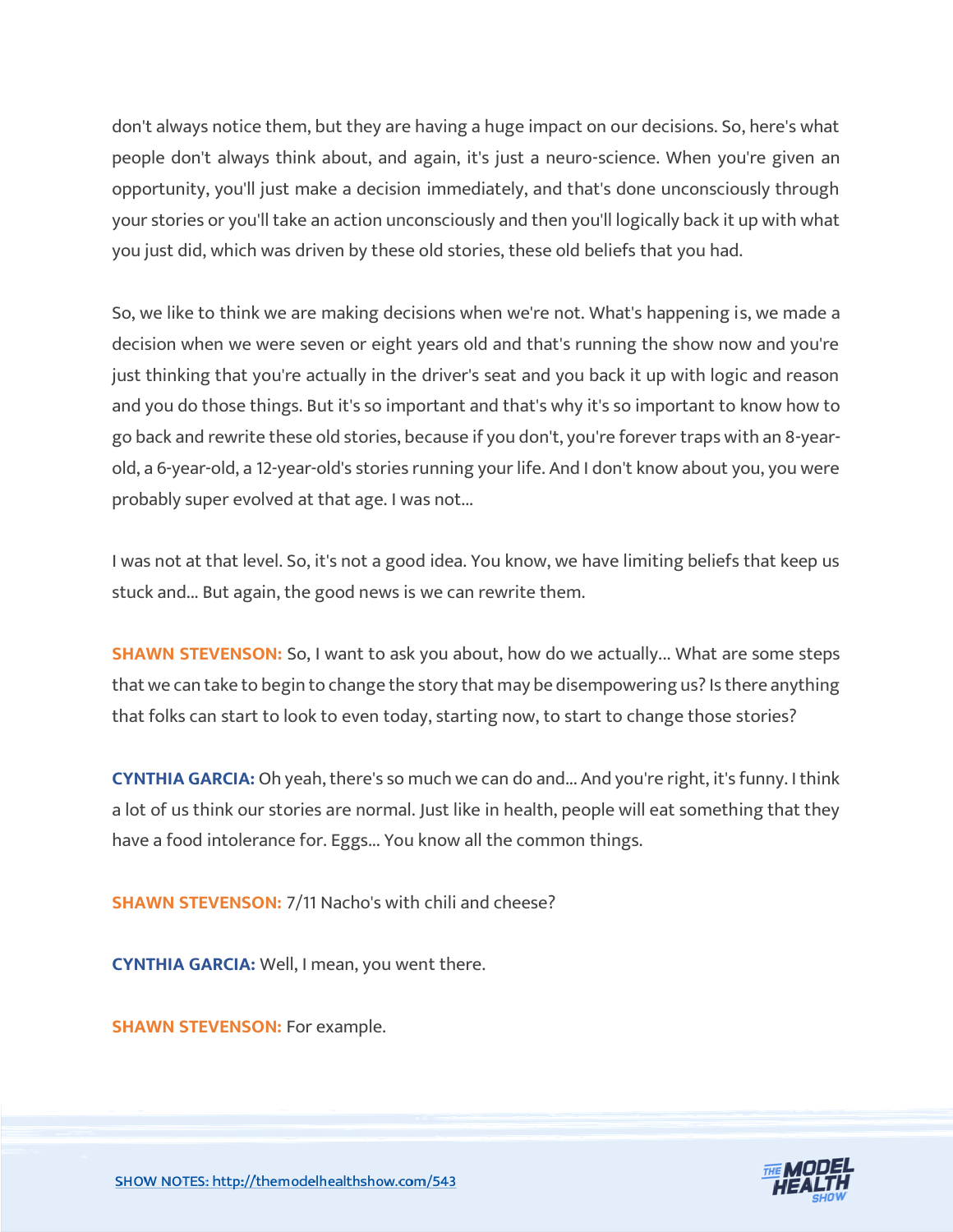don't always notice them, but they are having a huge impact on our decisions. So, here's what people don't always think about, and again, it's just a neuro-science. When you're given an opportunity, you'll just make a decision immediately, and that's done unconsciously through your stories or you'll take an action unconsciously and then you'll logically back it up with what you just did, which was driven by these old stories, these old beliefs that you had.

So, we like to think we are making decisions when we're not. What's happening is, we made a decision when we were seven or eight years old and that's running the show now and you're just thinking that you're actually in the driver's seat and you back it up with logic and reason and you do those things. But it's so important and that's why it's so important to know how to go back and rewrite these old stories, because if you don't, you're forever traps with an 8-yearold, a 6-year-old, a 12-year-old's stories running your life. And I don't know about you, you were probably super evolved at that age. I was not...

I was not at that level. So, it's not a good idea. You know, we have limiting beliefs that keep us stuck and... But again, the good news is we can rewrite them.

**SHAWN STEVENSON:** So, I want to ask you about, how do we actually... What are some steps that we can take to begin to change the story that may be disempowering us? Is there anything that folks can start to look to even today, starting now, to start to change those stories?

**CYNTHIA GARCIA:** Oh yeah, there's so much we can do and... And you're right, it's funny. I think a lot of us think our stories are normal. Just like in health, people will eat something that they have a food intolerance for. Eggs... You know all the common things.

**SHAWN STEVENSON: 7/11 Nacho's with chili and cheese?** 

**CYNTHIA GARCIA:** Well, I mean, you went there.

**SHAWN STEVENSON: For example.** 

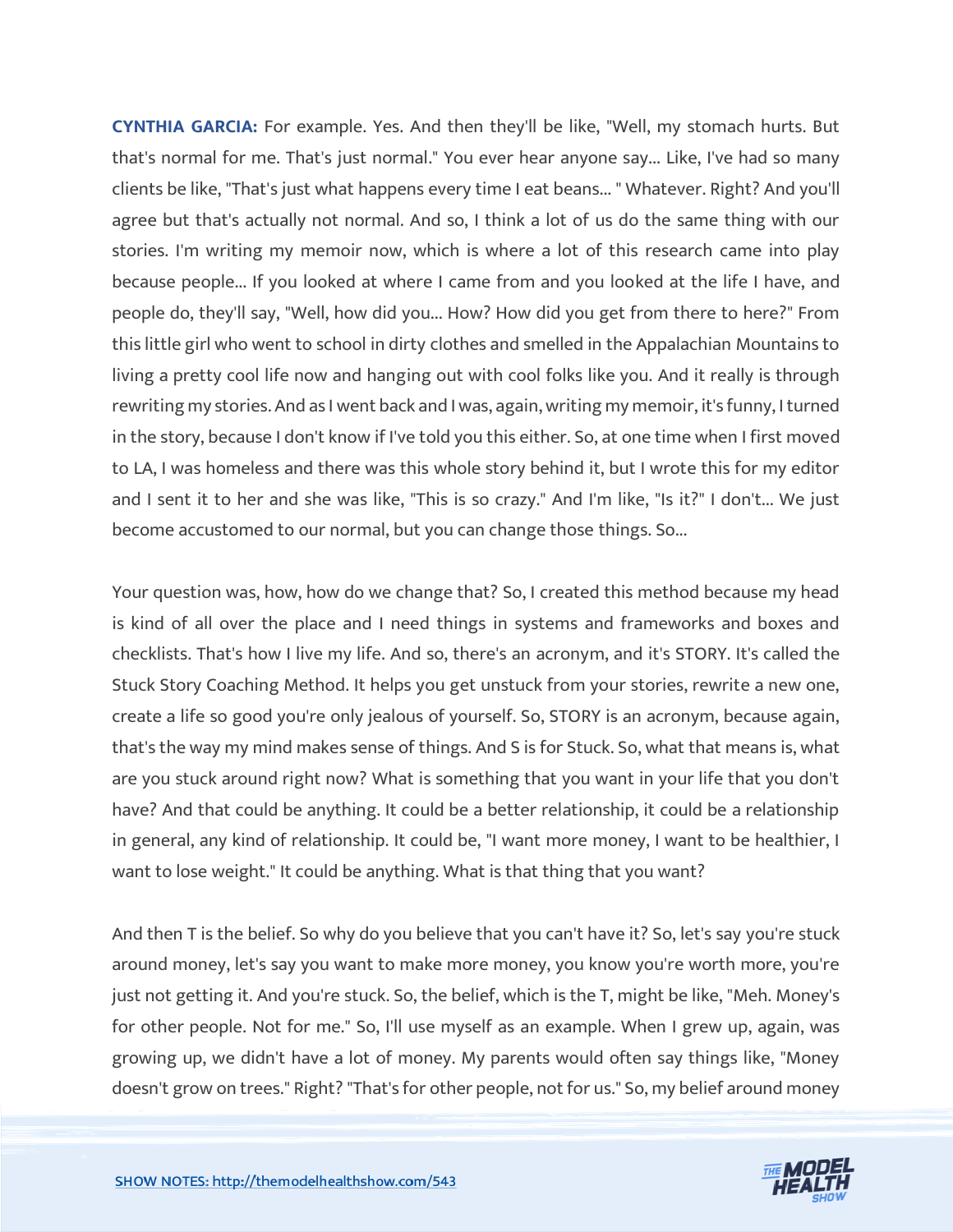**CYNTHIA GARCIA:** For example. Yes. And then they'll be like, "Well, my stomach hurts. But that's normal for me. That's just normal." You ever hear anyone say... Like, I've had so many clients be like, "That's just what happens every time I eat beans... " Whatever. Right? And you'll agree but that's actually not normal. And so, I think a lot of us do the same thing with our stories. I'm writing my memoir now, which is where a lot of this research came into play because people... If you looked at where I came from and you looked at the life I have, and people do, they'll say, "Well, how did you... How? How did you get from there to here?" From this little girl who went to school in dirty clothes and smelled in the Appalachian Mountains to living a pretty cool life now and hanging out with cool folks like you. And it really is through rewriting my stories. And as I went back and I was, again, writing my memoir, it's funny, I turned in the story, because I don't know if I've told you this either. So, at one time when I first moved to LA, I was homeless and there was this whole story behind it, but I wrote this for my editor and I sent it to her and she was like, "This is so crazy." And I'm like, "Is it?" I don't... We just become accustomed to our normal, but you can change those things. So...

Your question was, how, how do we change that? So, I created this method because my head is kind of all over the place and I need things in systems and frameworks and boxes and checklists. That's how I live my life. And so, there's an acronym, and it's STORY. It's called the Stuck Story Coaching Method. It helps you get unstuck from your stories, rewrite a new one, create a life so good you're only jealous of yourself. So, STORY is an acronym, because again, that's the way my mind makes sense of things. And S is for Stuck. So, what that means is, what are you stuck around right now? What is something that you want in your life that you don't have? And that could be anything. It could be a better relationship, it could be a relationship in general, any kind of relationship. It could be, "I want more money, I want to be healthier, I want to lose weight." It could be anything. What is that thing that you want?

And then T is the belief. So why do you believe that you can't have it? So, let's say you're stuck around money, let's say you want to make more money, you know you're worth more, you're just not getting it. And you're stuck. So, the belief, which is the T, might be like, "Meh. Money's for other people. Not for me." So, I'll use myself as an example. When I grew up, again, was growing up, we didn't have a lot of money. My parents would often say things like, "Money doesn't grow on trees." Right? "That's for other people, not for us." So, my belief around money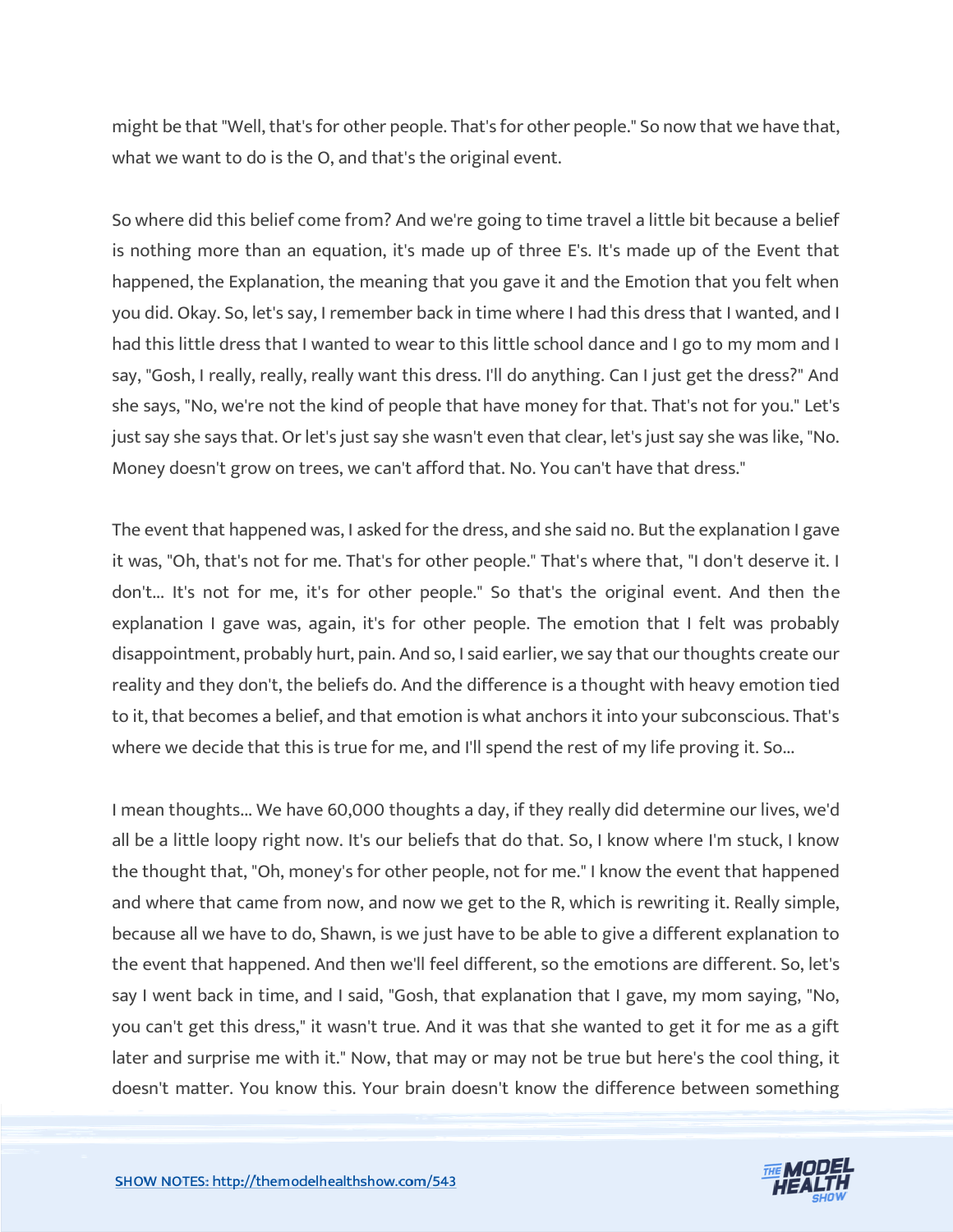might be that "Well, that's for other people. That's for other people." So now that we have that, what we want to do is the O, and that's the original event.

So where did this belief come from? And we're going to time travel a little bit because a belief is nothing more than an equation, it's made up of three E's. It's made up of the Event that happened, the Explanation, the meaning that you gave it and the Emotion that you felt when you did. Okay. So, let's say, I remember back in time where I had this dress that I wanted, and I had this little dress that I wanted to wear to this little school dance and I go to my mom and I say, "Gosh, I really, really, really want this dress. I'll do anything. Can I just get the dress?" And she says, "No, we're not the kind of people that have money for that. That's not for you." Let's just say she says that. Or let's just say she wasn't even that clear, let's just say she was like, "No. Money doesn't grow on trees, we can't afford that. No. You can't have that dress."

The event that happened was, I asked for the dress, and she said no. But the explanation I gave it was, "Oh, that's not for me. That's for other people." That's where that, "I don't deserve it. I don't... It's not for me, it's for other people." So that's the original event. And then the explanation I gave was, again, it's for other people. The emotion that I felt was probably disappointment, probably hurt, pain. And so, I said earlier, we say that our thoughts create our reality and they don't, the beliefs do. And the difference is a thought with heavy emotion tied to it, that becomes a belief, and that emotion is what anchors it into your subconscious. That's where we decide that this is true for me, and I'll spend the rest of my life proving it. So...

I mean thoughts... We have 60,000 thoughts a day, if they really did determine our lives, we'd all be a little loopy right now. It's our beliefs that do that. So, I know where I'm stuck, I know the thought that, "Oh, money's for other people, not for me." I know the event that happened and where that came from now, and now we get to the R, which is rewriting it. Really simple, because all we have to do, Shawn, is we just have to be able to give a different explanation to the event that happened. And then we'll feel different, so the emotions are different. So, let's say I went back in time, and I said, "Gosh, that explanation that I gave, my mom saying, "No, you can't get this dress," it wasn't true. And it was that she wanted to get it for me as a gift later and surprise me with it." Now, that may or may not be true but here's the cool thing, it doesn't matter. You know this. Your brain doesn't know the difference between something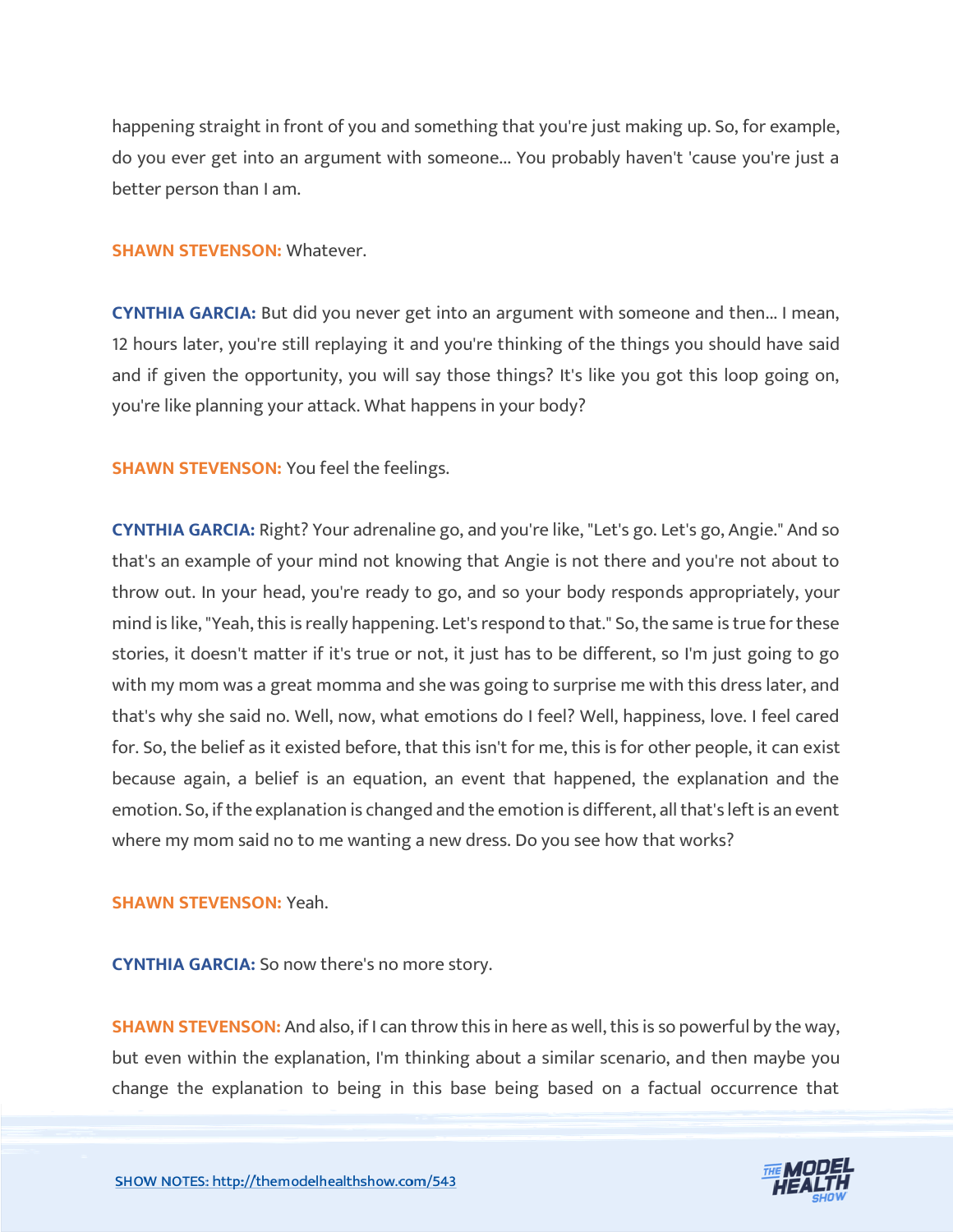happening straight in front of you and something that you're just making up. So, for example, do you ever get into an argument with someone... You probably haven't 'cause you're just a better person than I am.

#### **SHAWN STEVENSON:** Whatever.

**CYNTHIA GARCIA:** But did you never get into an argument with someone and then... I mean, 12 hours later, you're still replaying it and you're thinking of the things you should have said and if given the opportunity, you will say those things? It's like you got this loop going on, you're like planning your attack. What happens in your body?

**SHAWN STEVENSON:** You feel the feelings.

**CYNTHIA GARCIA:** Right? Your adrenaline go, and you're like, "Let's go. Let's go, Angie." And so that's an example of your mind not knowing that Angie is not there and you're not about to throw out. In your head, you're ready to go, and so your body responds appropriately, your mind is like, "Yeah, this is really happening. Let's respond to that." So, the same is true for these stories, it doesn't matter if it's true or not, it just has to be different, so I'm just going to go with my mom was a great momma and she was going to surprise me with this dress later, and that's why she said no. Well, now, what emotions do I feel? Well, happiness, love. I feel cared for. So, the belief as it existed before, that this isn't for me, this is for other people, it can exist because again, a belief is an equation, an event that happened, the explanation and the emotion. So, if the explanation is changed and the emotion is different, all that's left is an event where my mom said no to me wanting a new dress. Do you see how that works?

#### **SHAWN STEVENSON:** Yeah.

**CYNTHIA GARCIA:** So now there's no more story.

**SHAWN STEVENSON:** And also, if I can throw this in here as well, this is so powerful by the way, but even within the explanation, I'm thinking about a similar scenario, and then maybe you change the explanation to being in this base being based on a factual occurrence that

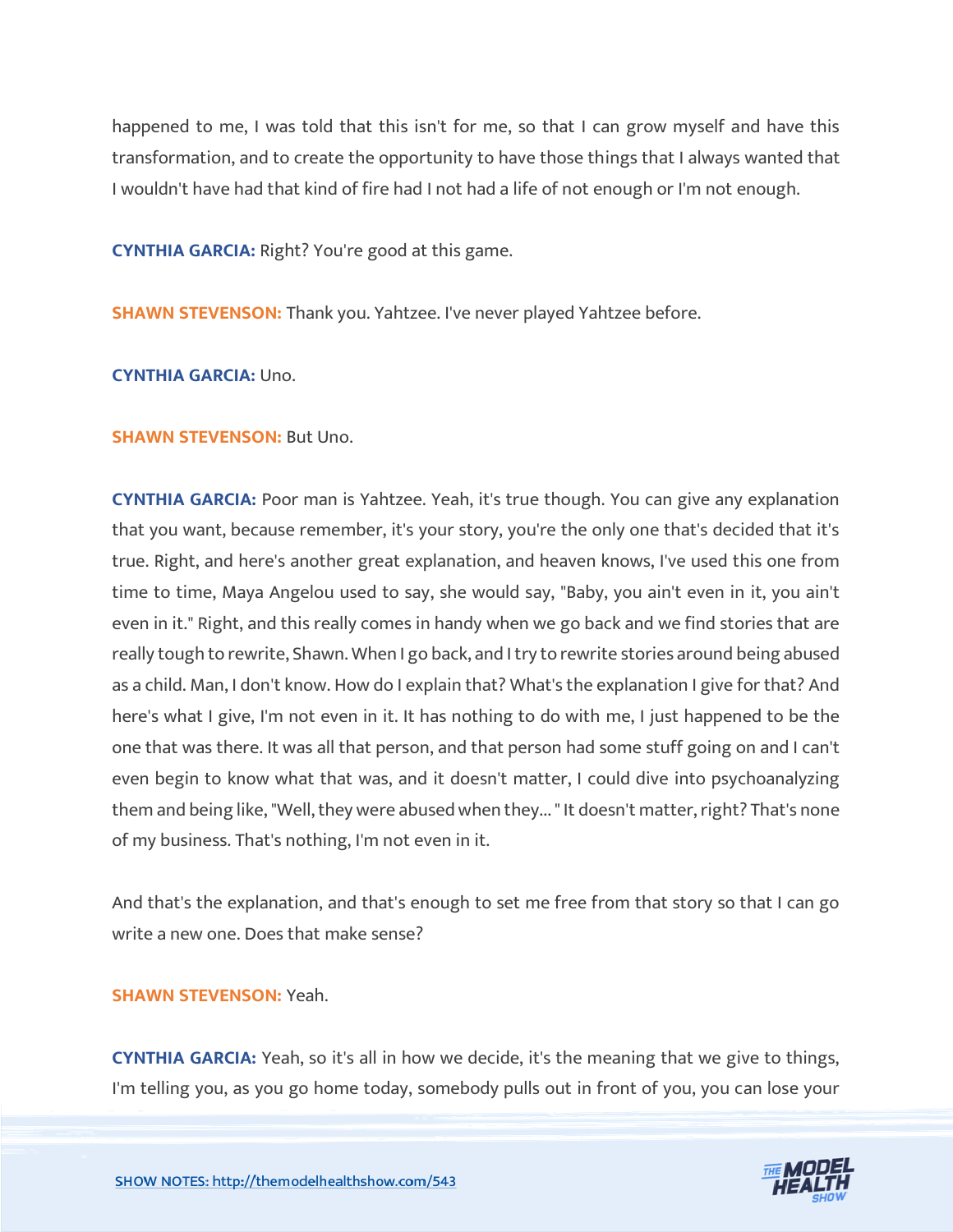happened to me, I was told that this isn't for me, so that I can grow myself and have this transformation, and to create the opportunity to have those things that I always wanted that I wouldn't have had that kind of fire had I not had a life of not enough or I'm not enough.

**CYNTHIA GARCIA:** Right? You're good at this game.

**SHAWN STEVENSON:** Thank you. Yahtzee. I've never played Yahtzee before.

**CYNTHIA GARCIA:** Uno.

#### **SHAWN STEVENSON: But Uno.**

**CYNTHIA GARCIA:** Poor man is Yahtzee. Yeah, it's true though. You can give any explanation that you want, because remember, it's your story, you're the only one that's decided that it's true. Right, and here's another great explanation, and heaven knows, I've used this one from time to time, Maya Angelou used to say, she would say, "Baby, you ain't even in it, you ain't even in it." Right, and this really comes in handy when we go back and we find stories that are really tough to rewrite, Shawn. When I go back, and I try to rewrite stories around being abused as a child. Man, I don't know. How do I explain that? What's the explanation I give for that? And here's what I give, I'm not even in it. It has nothing to do with me, I just happened to be the one that was there. It was all that person, and that person had some stuff going on and I can't even begin to know what that was, and it doesn't matter, I could dive into psychoanalyzing them and being like, "Well, they were abused when they... " It doesn't matter, right? That's none of my business. That's nothing, I'm not even in it.

And that's the explanation, and that's enough to set me free from that story so that I can go write a new one. Does that make sense?

#### **SHAWN STEVENSON:** Yeah.

**CYNTHIA GARCIA:** Yeah, so it's all in how we decide, it's the meaning that we give to things, I'm telling you, as you go home today, somebody pulls out in front of you, you can lose your

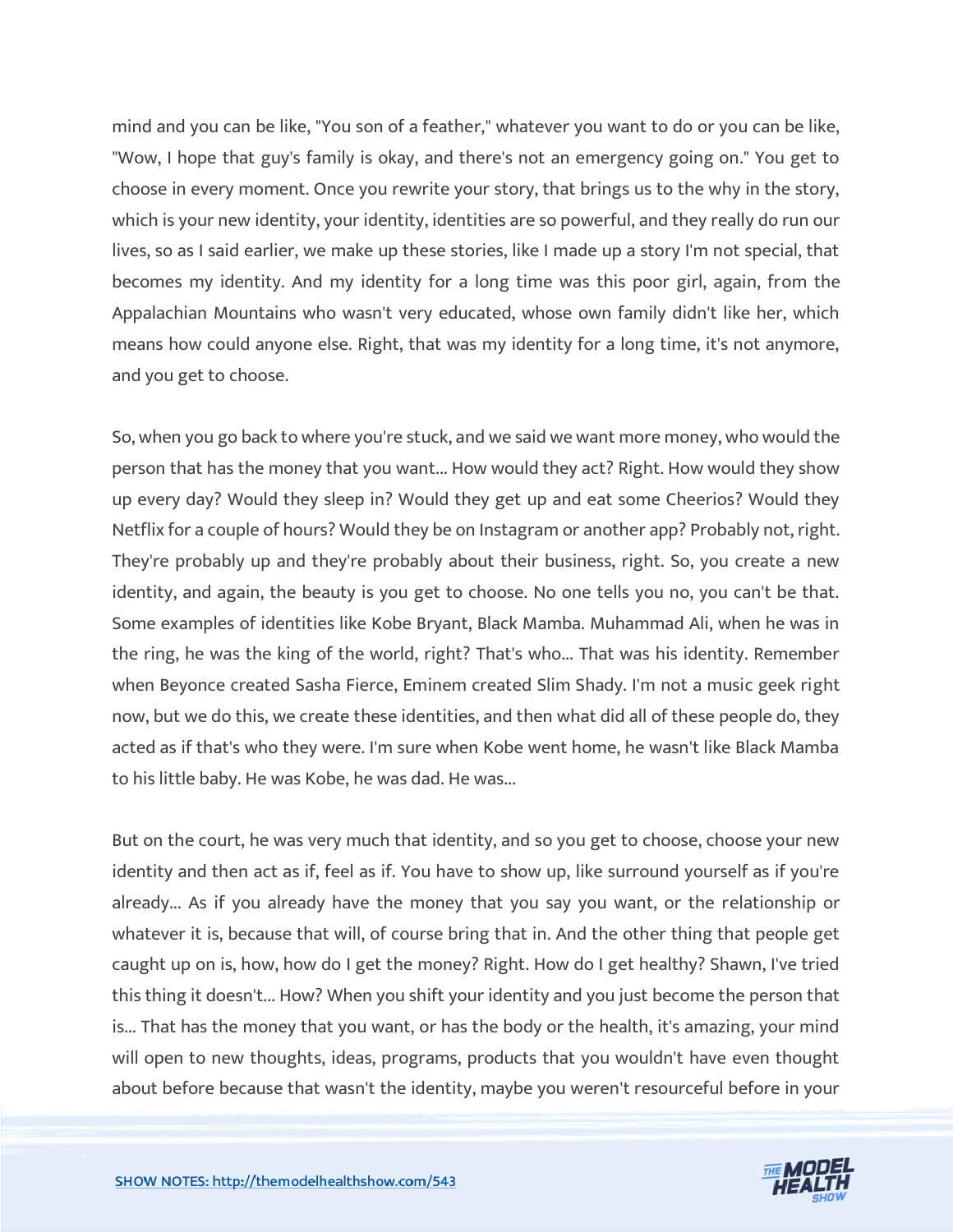mind and you can be like, "You son of a feather," whatever you want to do or you can be like, "Wow, I hope that guy's family is okay, and there's not an emergency going on." You get to choose in every moment. Once you rewrite your story, that brings us to the why in the story, which is your new identity, your identity, identities are so powerful, and they really do run our lives, so as I said earlier, we make up these stories, like I made up a story I'm not special, that becomes my identity. And my identity for a long time was this poor girl, again, from the Appalachian Mountains who wasn't very educated, whose own family didn't like her, which means how could anyone else. Right, that was my identity for a long time, it's not anymore, and you get to choose.

So, when you go back to where you're stuck, and we said we want more money, who would the person that has the money that you want... How would they act? Right. How would they show up every day? Would they sleep in? Would they get up and eat some Cheerios? Would they Netflix for a couple of hours? Would they be on Instagram or another app? Probably not, right. They're probably up and they're probably about their business, right. So, you create a new identity, and again, the beauty is you get to choose. No one tells you no, you can't be that. Some examples of identities like Kobe Bryant, Black Mamba. Muhammad Ali, when he was in the ring, he was the king of the world, right? That's who... That was his identity. Remember when Beyonce created Sasha Fierce, Eminem created Slim Shady. I'm not a music geek right now, but we do this, we create these identities, and then what did all of these people do, they acted as if that's who they were. I'm sure when Kobe went home, he wasn't like Black Mamba to his little baby. He was Kobe, he was dad. He was...

But on the court, he was very much that identity, and so you get to choose, choose your new identity and then act as if, feel as if. You have to show up, like surround yourself as if you're already... As if you already have the money that you say you want, or the relationship or whatever it is, because that will, of course bring that in. And the other thing that people get caught up on is, how, how do I get the money? Right. How do I get healthy? Shawn, I've tried this thing it doesn't... How? When you shift your identity and you just become the person that is... That has the money that you want, or has the body or the health, it's amazing, your mind will open to new thoughts, ideas, programs, products that you wouldn't have even thought about before because that wasn't the identity, maybe you weren't resourceful before in your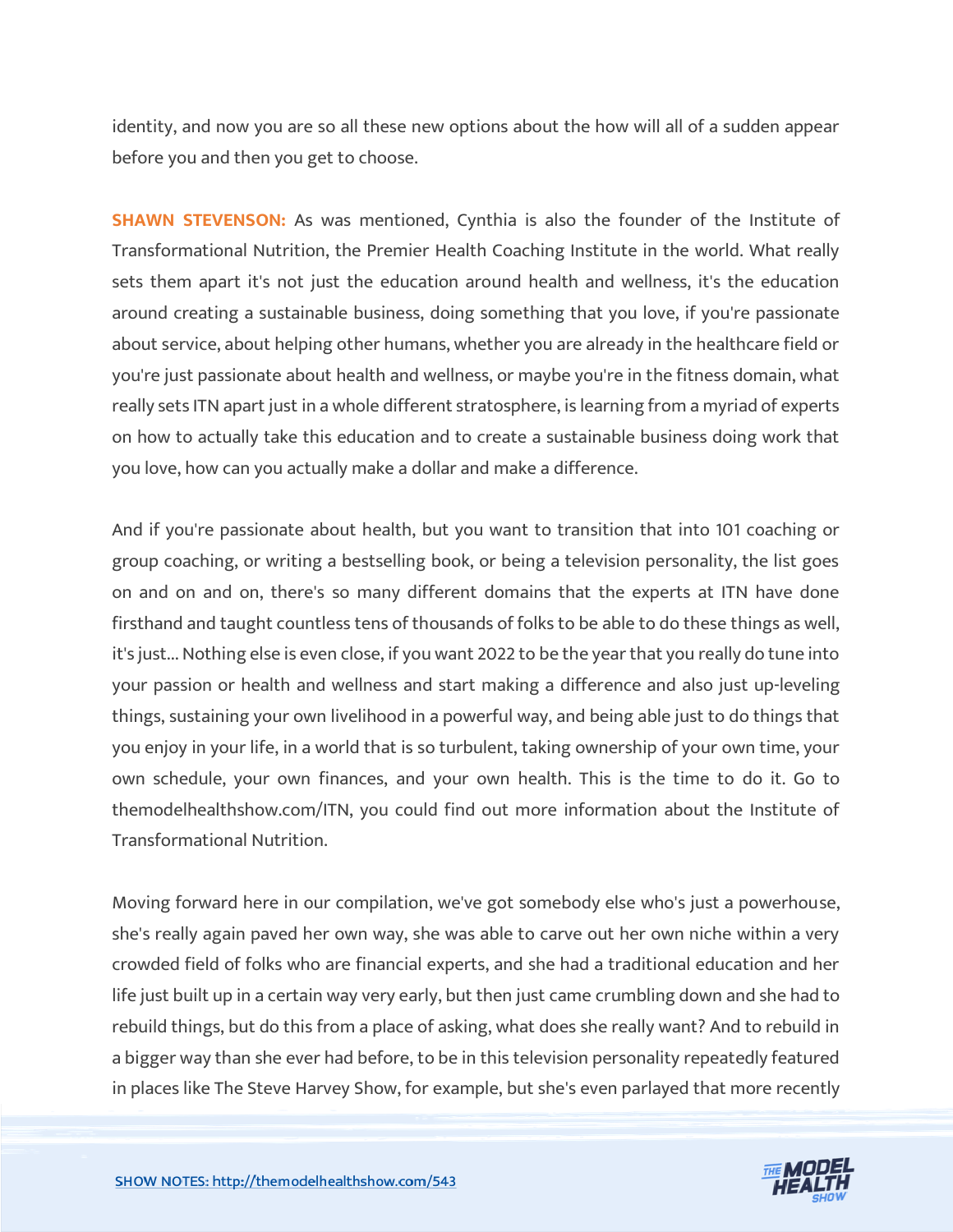identity, and now you are so all these new options about the how will all of a sudden appear before you and then you get to choose.

**SHAWN STEVENSON:** As was mentioned, Cynthia is also the founder of the Institute of Transformational Nutrition, the Premier Health Coaching Institute in the world. What really sets them apart it's not just the education around health and wellness, it's the education around creating a sustainable business, doing something that you love, if you're passionate about service, about helping other humans, whether you are already in the healthcare field or you're just passionate about health and wellness, or maybe you're in the fitness domain, what really sets ITN apart just in a whole different stratosphere, is learning from a myriad of experts on how to actually take this education and to create a sustainable business doing work that you love, how can you actually make a dollar and make a difference.

And if you're passionate about health, but you want to transition that into 101 coaching or group coaching, or writing a bestselling book, or being a television personality, the list goes on and on and on, there's so many different domains that the experts at ITN have done firsthand and taught countless tens of thousands of folks to be able to do these things as well, it's just... Nothing else is even close, if you want 2022 to be the year that you really do tune into your passion or health and wellness and start making a difference and also just up-leveling things, sustaining your own livelihood in a powerful way, and being able just to do things that you enjoy in your life, in a world that is so turbulent, taking ownership of your own time, your own schedule, your own finances, and your own health. This is the time to do it. Go to themodelhealthshow.com/ITN, you could find out more information about the Institute of Transformational Nutrition.

Moving forward here in our compilation, we've got somebody else who's just a powerhouse, she's really again paved her own way, she was able to carve out her own niche within a very crowded field of folks who are financial experts, and she had a traditional education and her life just built up in a certain way very early, but then just came crumbling down and she had to rebuild things, but do this from a place of asking, what does she really want? And to rebuild in a bigger way than she ever had before, to be in this television personality repeatedly featured in places like The Steve Harvey Show, for example, but she's even parlayed that more recently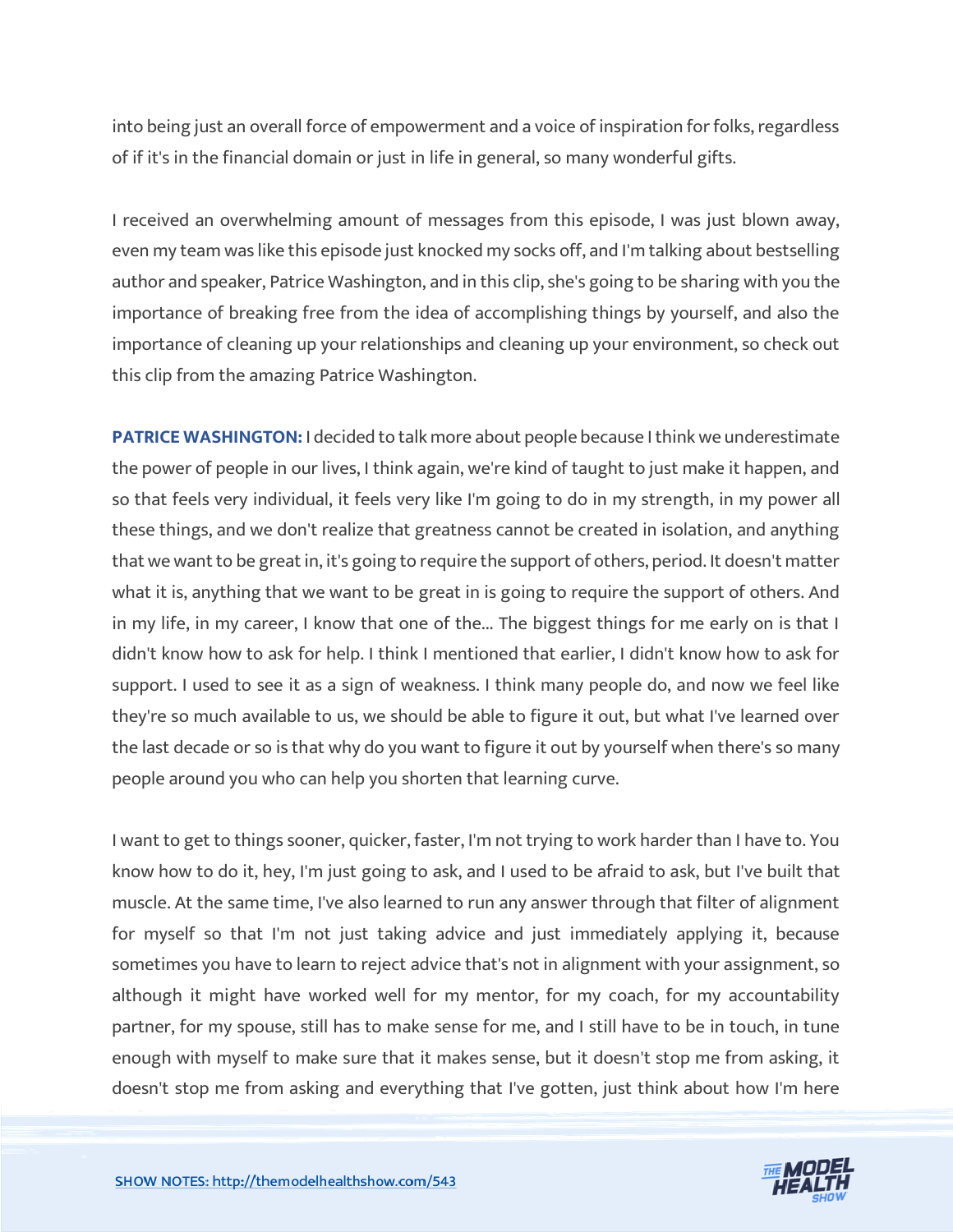into being just an overall force of empowerment and a voice of inspiration for folks, regardless of if it's in the financial domain or just in life in general, so many wonderful gifts.

I received an overwhelming amount of messages from this episode, I was just blown away, even my team was like this episode just knocked my socks off, and I'm talking about bestselling author and speaker, Patrice Washington, and in this clip, she's going to be sharing with you the importance of breaking free from the idea of accomplishing things by yourself, and also the importance of cleaning up your relationships and cleaning up your environment, so check out this clip from the amazing Patrice Washington.

**PATRICE WASHINGTON:** I decided to talk more about people because I think we underestimate the power of people in our lives, I think again, we're kind of taught to just make it happen, and so that feels very individual, it feels very like I'm going to do in my strength, in my power all these things, and we don't realize that greatness cannot be created in isolation, and anything that we want to be great in, it's going to require the support of others, period. It doesn't matter what it is, anything that we want to be great in is going to require the support of others. And in my life, in my career, I know that one of the... The biggest things for me early on is that I didn't know how to ask for help. I think I mentioned that earlier, I didn't know how to ask for support. I used to see it as a sign of weakness. I think many people do, and now we feel like they're so much available to us, we should be able to figure it out, but what I've learned over the last decade or so is that why do you want to figure it out by yourself when there's so many people around you who can help you shorten that learning curve.

I want to get to things sooner, quicker, faster, I'm not trying to work harder than I have to. You know how to do it, hey, I'm just going to ask, and I used to be afraid to ask, but I've built that muscle. At the same time, I've also learned to run any answer through that filter of alignment for myself so that I'm not just taking advice and just immediately applying it, because sometimes you have to learn to reject advice that's not in alignment with your assignment, so although it might have worked well for my mentor, for my coach, for my accountability partner, for my spouse, still has to make sense for me, and I still have to be in touch, in tune enough with myself to make sure that it makes sense, but it doesn't stop me from asking, it doesn't stop me from asking and everything that I've gotten, just think about how I'm here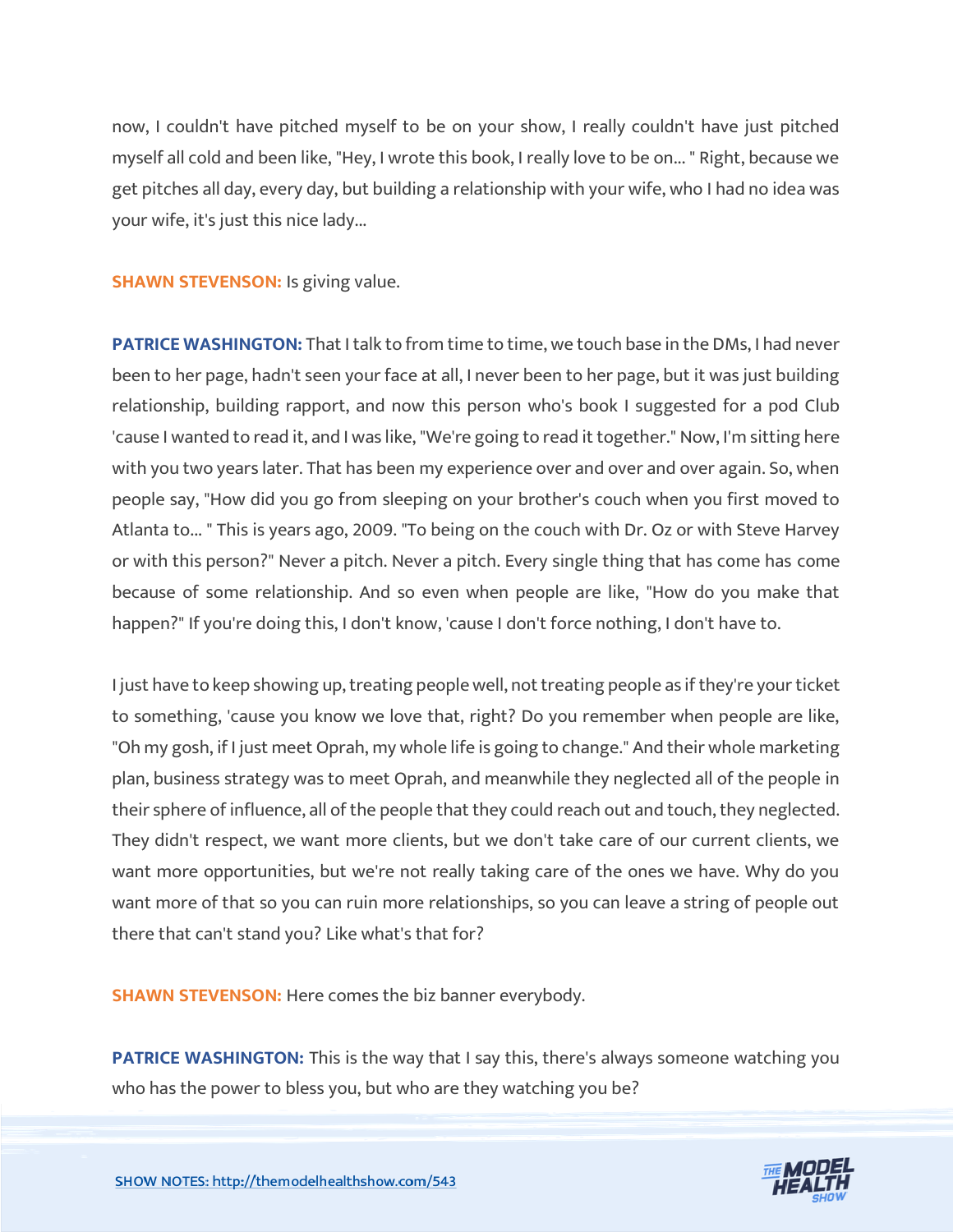now, I couldn't have pitched myself to be on your show, I really couldn't have just pitched myself all cold and been like, "Hey, I wrote this book, I really love to be on... " Right, because we get pitches all day, every day, but building a relationship with your wife, who I had no idea was your wife, it's just this nice lady...

**SHAWN STEVENSON: Is giving value.** 

**PATRICE WASHINGTON:** That I talk to from time to time, we touch base in the DMs, I had never been to her page, hadn't seen your face at all, I never been to her page, but it was just building relationship, building rapport, and now this person who's book I suggested for a pod Club 'cause I wanted to read it, and I was like, "We're going to read it together." Now, I'm sitting here with you two years later. That has been my experience over and over and over again. So, when people say, "How did you go from sleeping on your brother's couch when you first moved to Atlanta to... " This is years ago, 2009. "To being on the couch with Dr. Oz or with Steve Harvey or with this person?" Never a pitch. Never a pitch. Every single thing that has come has come because of some relationship. And so even when people are like, "How do you make that happen?" If you're doing this, I don't know, 'cause I don't force nothing, I don't have to.

I just have to keep showing up, treating people well, not treating people as if they're your ticket to something, 'cause you know we love that, right? Do you remember when people are like, "Oh my gosh, if I just meet Oprah, my whole life is going to change." And their whole marketing plan, business strategy was to meet Oprah, and meanwhile they neglected all of the people in their sphere of influence, all of the people that they could reach out and touch, they neglected. They didn't respect, we want more clients, but we don't take care of our current clients, we want more opportunities, but we're not really taking care of the ones we have. Why do you want more of that so you can ruin more relationships, so you can leave a string of people out there that can't stand you? Like what's that for?

**SHAWN STEVENSON:** Here comes the biz banner everybody.

**PATRICE WASHINGTON:** This is the way that I say this, there's always someone watching you who has the power to bless you, but who are they watching you be?

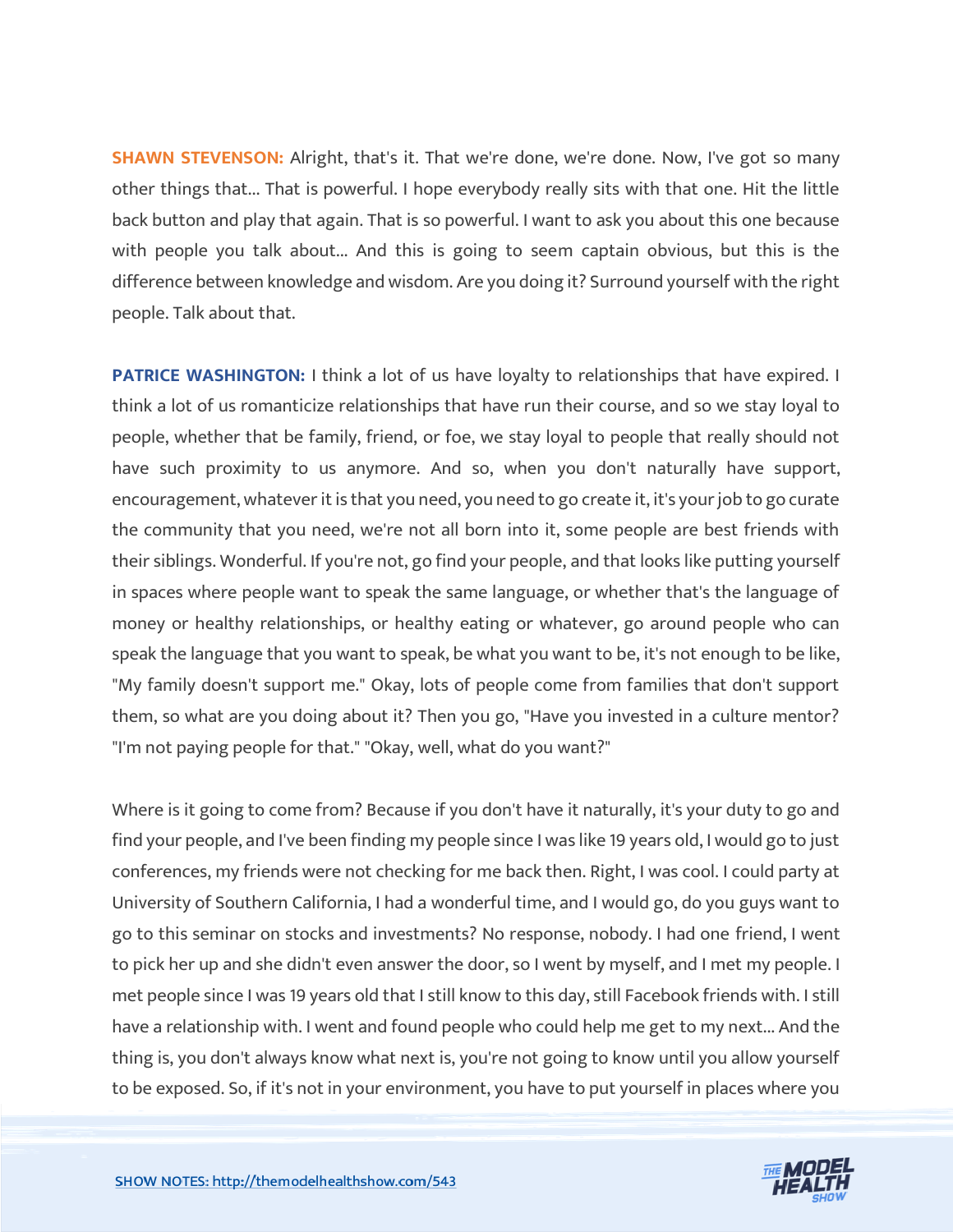**SHAWN STEVENSON:** Alright, that's it. That we're done, we're done. Now, I've got so many other things that... That is powerful. I hope everybody really sits with that one. Hit the little back button and play that again. That is so powerful. I want to ask you about this one because with people you talk about... And this is going to seem captain obvious, but this is the difference between knowledge and wisdom. Are you doing it? Surround yourself with the right people. Talk about that.

**PATRICE WASHINGTON:** I think a lot of us have loyalty to relationships that have expired. I think a lot of us romanticize relationships that have run their course, and so we stay loyal to people, whether that be family, friend, or foe, we stay loyal to people that really should not have such proximity to us anymore. And so, when you don't naturally have support, encouragement, whatever it is that you need, you need to go create it, it's your job to go curate the community that you need, we're not all born into it, some people are best friends with their siblings. Wonderful. If you're not, go find your people, and that looks like putting yourself in spaces where people want to speak the same language, or whether that's the language of money or healthy relationships, or healthy eating or whatever, go around people who can speak the language that you want to speak, be what you want to be, it's not enough to be like, "My family doesn't support me." Okay, lots of people come from families that don't support them, so what are you doing about it? Then you go, "Have you invested in a culture mentor? "I'm not paying people for that." "Okay, well, what do you want?"

Where is it going to come from? Because if you don't have it naturally, it's your duty to go and find your people, and I've been finding my people since I was like 19 years old, I would go to just conferences, my friends were not checking for me back then. Right, I was cool. I could party at University of Southern California, I had a wonderful time, and I would go, do you guys want to go to this seminar on stocks and investments? No response, nobody. I had one friend, I went to pick her up and she didn't even answer the door, so I went by myself, and I met my people. I met people since I was 19 years old that I still know to this day, still Facebook friends with. I still have a relationship with. I went and found people who could help me get to my next... And the thing is, you don't always know what next is, you're not going to know until you allow yourself to be exposed. So, if it's not in your environment, you have to put yourself in places where you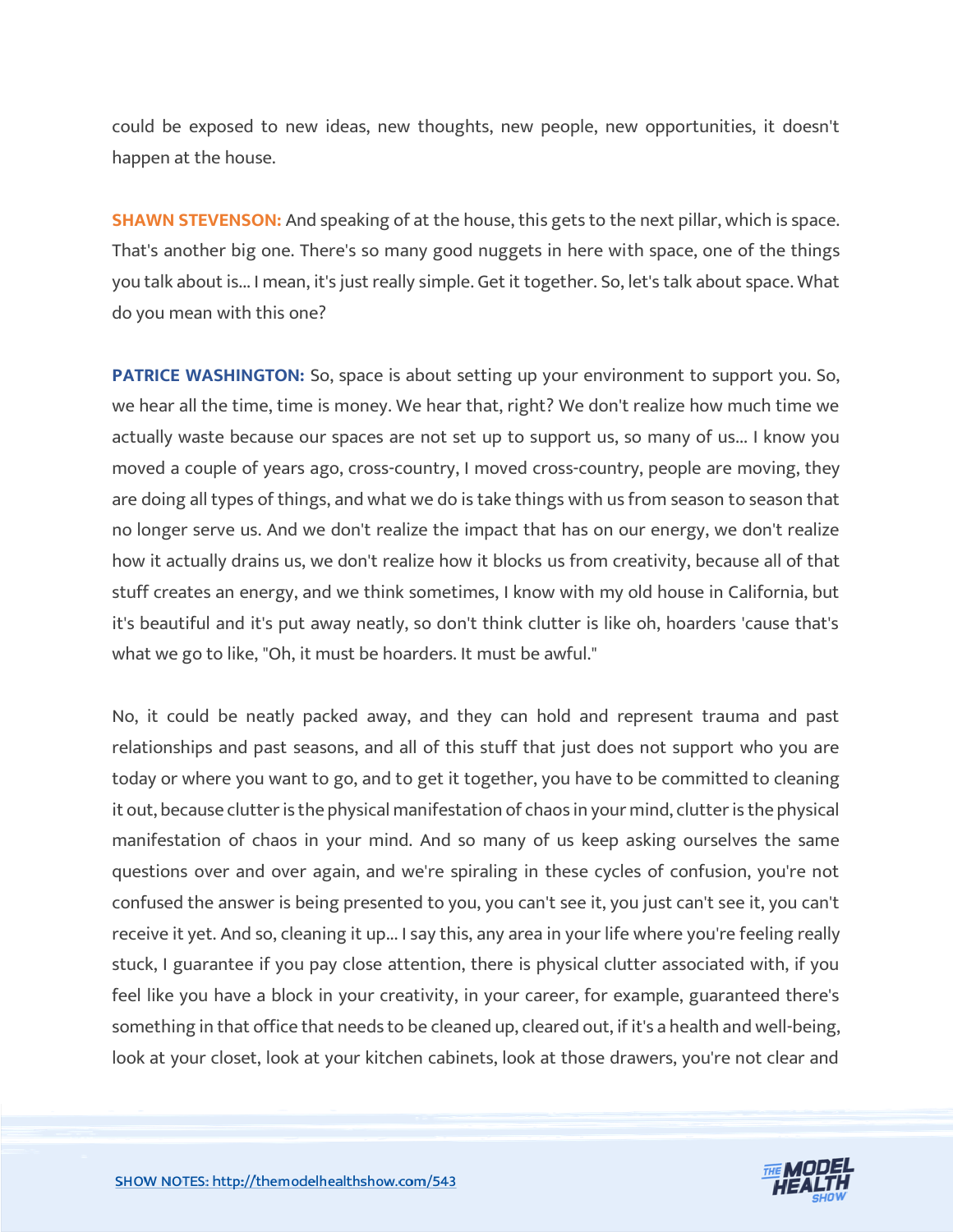could be exposed to new ideas, new thoughts, new people, new opportunities, it doesn't happen at the house.

**SHAWN STEVENSON:** And speaking of at the house, this gets to the next pillar, which is space. That's another big one. There's so many good nuggets in here with space, one of the things you talk about is... I mean, it's just really simple. Get it together. So, let's talk about space. What do you mean with this one?

**PATRICE WASHINGTON:** So, space is about setting up your environment to support you. So, we hear all the time, time is money. We hear that, right? We don't realize how much time we actually waste because our spaces are not set up to support us, so many of us... I know you moved a couple of years ago, cross-country, I moved cross-country, people are moving, they are doing all types of things, and what we do is take things with us from season to season that no longer serve us. And we don't realize the impact that has on our energy, we don't realize how it actually drains us, we don't realize how it blocks us from creativity, because all of that stuff creates an energy, and we think sometimes, I know with my old house in California, but it's beautiful and it's put away neatly, so don't think clutter is like oh, hoarders 'cause that's what we go to like, "Oh, it must be hoarders. It must be awful."

No, it could be neatly packed away, and they can hold and represent trauma and past relationships and past seasons, and all of this stuff that just does not support who you are today or where you want to go, and to get it together, you have to be committed to cleaning it out, because clutter is the physical manifestation of chaos in your mind, clutter is the physical manifestation of chaos in your mind. And so many of us keep asking ourselves the same questions over and over again, and we're spiraling in these cycles of confusion, you're not confused the answer is being presented to you, you can't see it, you just can't see it, you can't receive it yet. And so, cleaning it up... I say this, any area in your life where you're feeling really stuck, I guarantee if you pay close attention, there is physical clutter associated with, if you feel like you have a block in your creativity, in your career, for example, guaranteed there's something in that office that needs to be cleaned up, cleared out, if it's a health and well-being, look at your closet, look at your kitchen cabinets, look at those drawers, you're not clear and

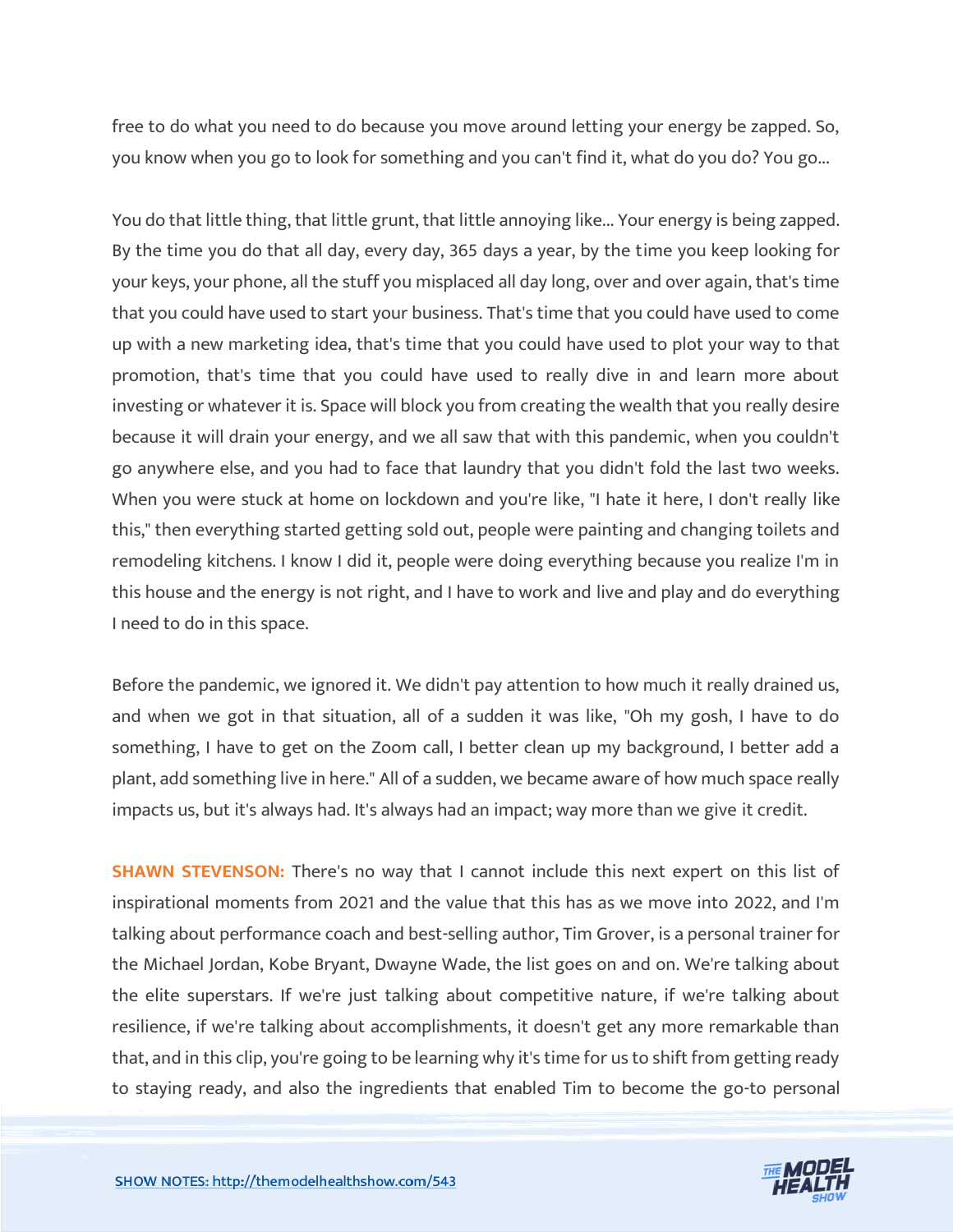free to do what you need to do because you move around letting your energy be zapped. So, you know when you go to look for something and you can't find it, what do you do? You go...

You do that little thing, that little grunt, that little annoying like... Your energy is being zapped. By the time you do that all day, every day, 365 days a year, by the time you keep looking for your keys, your phone, all the stuff you misplaced all day long, over and over again, that's time that you could have used to start your business. That's time that you could have used to come up with a new marketing idea, that's time that you could have used to plot your way to that promotion, that's time that you could have used to really dive in and learn more about investing or whatever it is. Space will block you from creating the wealth that you really desire because it will drain your energy, and we all saw that with this pandemic, when you couldn't go anywhere else, and you had to face that laundry that you didn't fold the last two weeks. When you were stuck at home on lockdown and you're like, "I hate it here, I don't really like this," then everything started getting sold out, people were painting and changing toilets and remodeling kitchens. I know I did it, people were doing everything because you realize I'm in this house and the energy is not right, and I have to work and live and play and do everything I need to do in this space.

Before the pandemic, we ignored it. We didn't pay attention to how much it really drained us, and when we got in that situation, all of a sudden it was like, "Oh my gosh, I have to do something, I have to get on the Zoom call, I better clean up my background, I better add a plant, add something live in here." All of a sudden, we became aware of how much space really impacts us, but it's always had. It's always had an impact; way more than we give it credit.

**SHAWN STEVENSON:** There's no way that I cannot include this next expert on this list of inspirational moments from 2021 and the value that this has as we move into 2022, and I'm talking about performance coach and best-selling author, Tim Grover, is a personal trainer for the Michael Jordan, Kobe Bryant, Dwayne Wade, the list goes on and on. We're talking about the elite superstars. If we're just talking about competitive nature, if we're talking about resilience, if we're talking about accomplishments, it doesn't get any more remarkable than that, and in this clip, you're going to be learning why it's time for us to shift from getting ready to staying ready, and also the ingredients that enabled Tim to become the go-to personal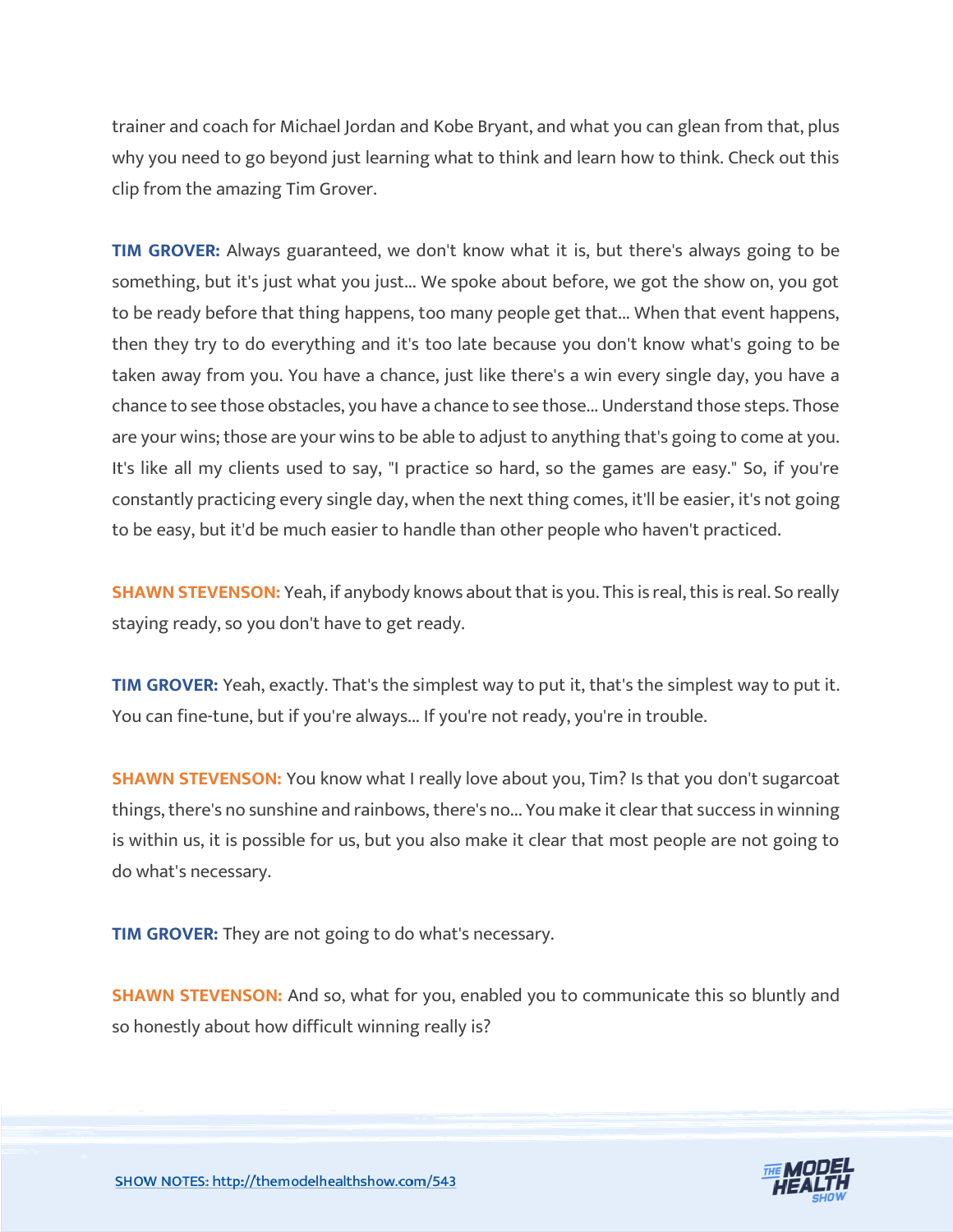trainer and coach for Michael Jordan and Kobe Bryant, and what you can glean from that, plus why you need to go beyond just learning what to think and learn how to think. Check out this clip from the amazing Tim Grover.

**TIM GROVER:** Always guaranteed, we don't know what it is, but there's always going to be something, but it's just what you just... We spoke about before, we got the show on, you got to be ready before that thing happens, too many people get that... When that event happens, then they try to do everything and it's too late because you don't know what's going to be taken away from you. You have a chance, just like there's a win every single day, you have a chance to see those obstacles, you have a chance to see those... Understand those steps. Those are your wins; those are your wins to be able to adjust to anything that's going to come at you. It's like all my clients used to say, "I practice so hard, so the games are easy." So, if you're constantly practicing every single day, when the next thing comes, it'll be easier, it's not going to be easy, but it'd be much easier to handle than other people who haven't practiced.

**SHAWN STEVENSON:** Yeah, if anybody knows about that is you. This is real, this is real. So really staying ready, so you don't have to get ready.

**TIM GROVER:** Yeah, exactly. That's the simplest way to put it, that's the simplest way to put it. You can fine-tune, but if you're always... If you're not ready, you're in trouble.

**SHAWN STEVENSON:** You know what I really love about you, Tim? Is that you don't sugarcoat things, there's no sunshine and rainbows, there's no... You make it clear that success in winning is within us, it is possible for us, but you also make it clear that most people are not going to do what's necessary.

**TIM GROVER:** They are not going to do what's necessary.

**SHAWN STEVENSON:** And so, what for you, enabled you to communicate this so bluntly and so honestly about how difficult winning really is?

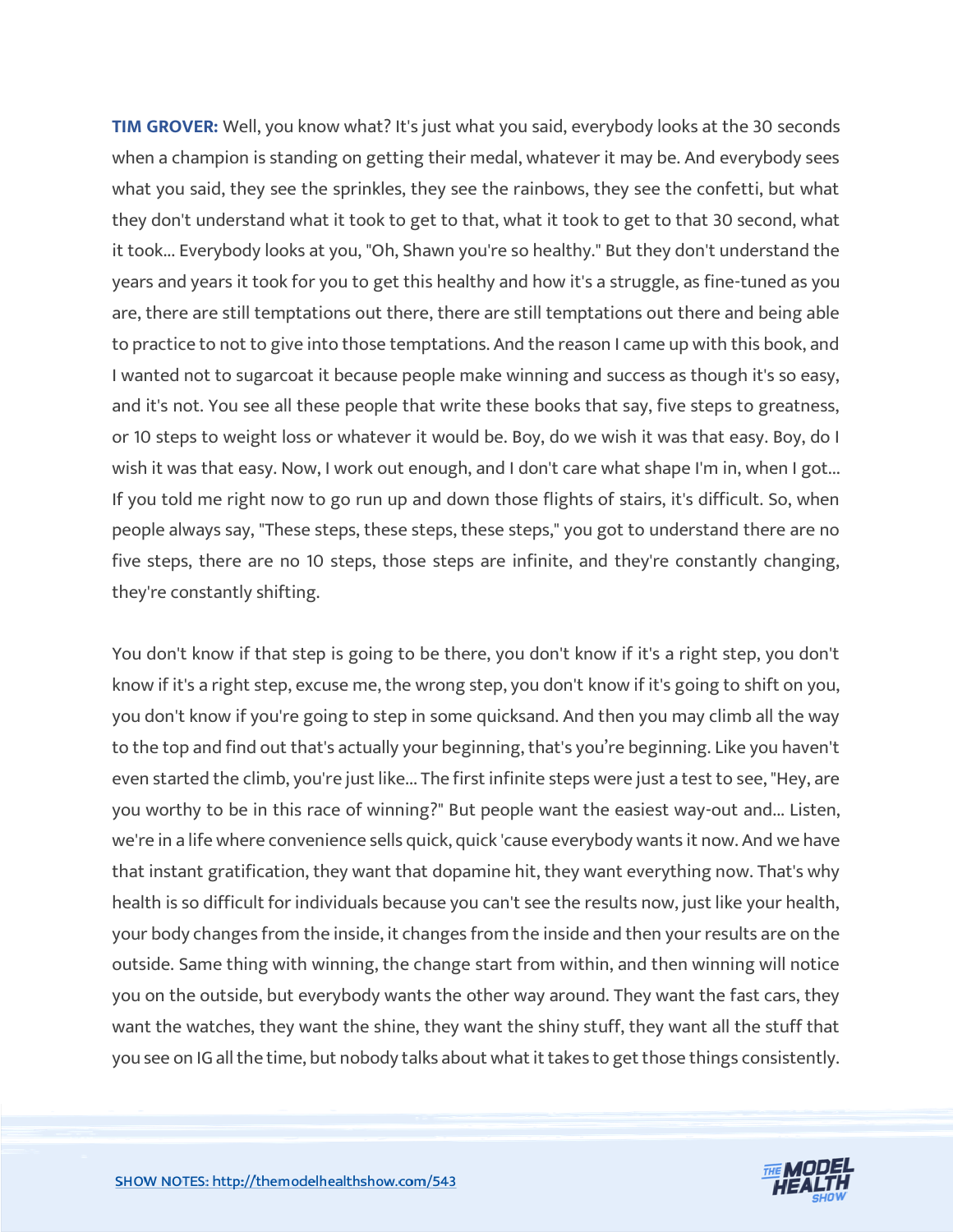**TIM GROVER:** Well, you know what? It's just what you said, everybody looks at the 30 seconds when a champion is standing on getting their medal, whatever it may be. And everybody sees what you said, they see the sprinkles, they see the rainbows, they see the confetti, but what they don't understand what it took to get to that, what it took to get to that 30 second, what it took... Everybody looks at you, "Oh, Shawn you're so healthy." But they don't understand the years and years it took for you to get this healthy and how it's a struggle, as fine-tuned as you are, there are still temptations out there, there are still temptations out there and being able to practice to not to give into those temptations. And the reason I came up with this book, and I wanted not to sugarcoat it because people make winning and success as though it's so easy, and it's not. You see all these people that write these books that say, five steps to greatness, or 10 steps to weight loss or whatever it would be. Boy, do we wish it was that easy. Boy, do I wish it was that easy. Now, I work out enough, and I don't care what shape I'm in, when I got... If you told me right now to go run up and down those flights of stairs, it's difficult. So, when people always say, "These steps, these steps, these steps," you got to understand there are no five steps, there are no 10 steps, those steps are infinite, and they're constantly changing, they're constantly shifting.

You don't know if that step is going to be there, you don't know if it's a right step, you don't know if it's a right step, excuse me, the wrong step, you don't know if it's going to shift on you, you don't know if you're going to step in some quicksand. And then you may climb all the way to the top and find out that's actually your beginning, that's you're beginning. Like you haven't even started the climb, you're just like... The first infinite steps were just a test to see, "Hey, are you worthy to be in this race of winning?" But people want the easiest way-out and... Listen, we're in a life where convenience sells quick, quick 'cause everybody wants it now. And we have that instant gratification, they want that dopamine hit, they want everything now. That's why health is so difficult for individuals because you can't see the results now, just like your health, your body changes from the inside, it changes from the inside and then your results are on the outside. Same thing with winning, the change start from within, and then winning will notice you on the outside, but everybody wants the other way around. They want the fast cars, they want the watches, they want the shine, they want the shiny stuff, they want all the stuff that you see on IG all the time, but nobody talks about what it takes to get those things consistently.

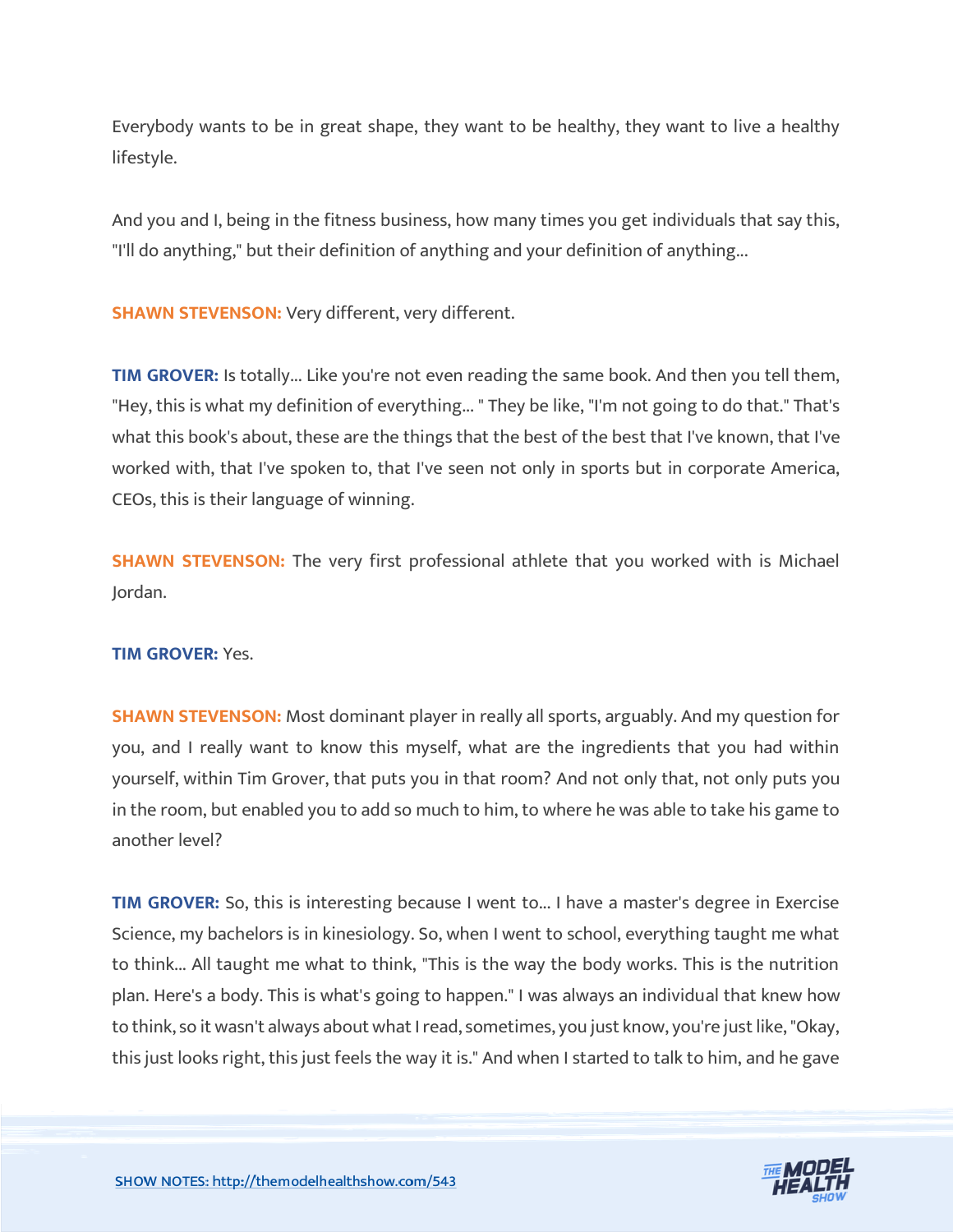Everybody wants to be in great shape, they want to be healthy, they want to live a healthy lifestyle.

And you and I, being in the fitness business, how many times you get individuals that say this, "I'll do anything," but their definition of anything and your definition of anything...

**SHAWN STEVENSON: Very different, very different.** 

**TIM GROVER:** Is totally... Like you're not even reading the same book. And then you tell them, "Hey, this is what my definition of everything... " They be like, "I'm not going to do that." That's what this book's about, these are the things that the best of the best that I've known, that I've worked with, that I've spoken to, that I've seen not only in sports but in corporate America, CEOs, this is their language of winning.

**SHAWN STEVENSON:** The very first professional athlete that you worked with is Michael Jordan.

#### **TIM GROVER:** Yes.

**SHAWN STEVENSON:** Most dominant player in really all sports, arguably. And my question for you, and I really want to know this myself, what are the ingredients that you had within yourself, within Tim Grover, that puts you in that room? And not only that, not only puts you in the room, but enabled you to add so much to him, to where he was able to take his game to another level?

**TIM GROVER:** So, this is interesting because I went to... I have a master's degree in Exercise Science, my bachelors is in kinesiology. So, when I went to school, everything taught me what to think... All taught me what to think, "This is the way the body works. This is the nutrition plan. Here's a body. This is what's going to happen." I was always an individual that knew how to think, so it wasn't always about what I read, sometimes, you just know, you're just like, "Okay, this just looks right, this just feels the way it is." And when I started to talk to him, and he gave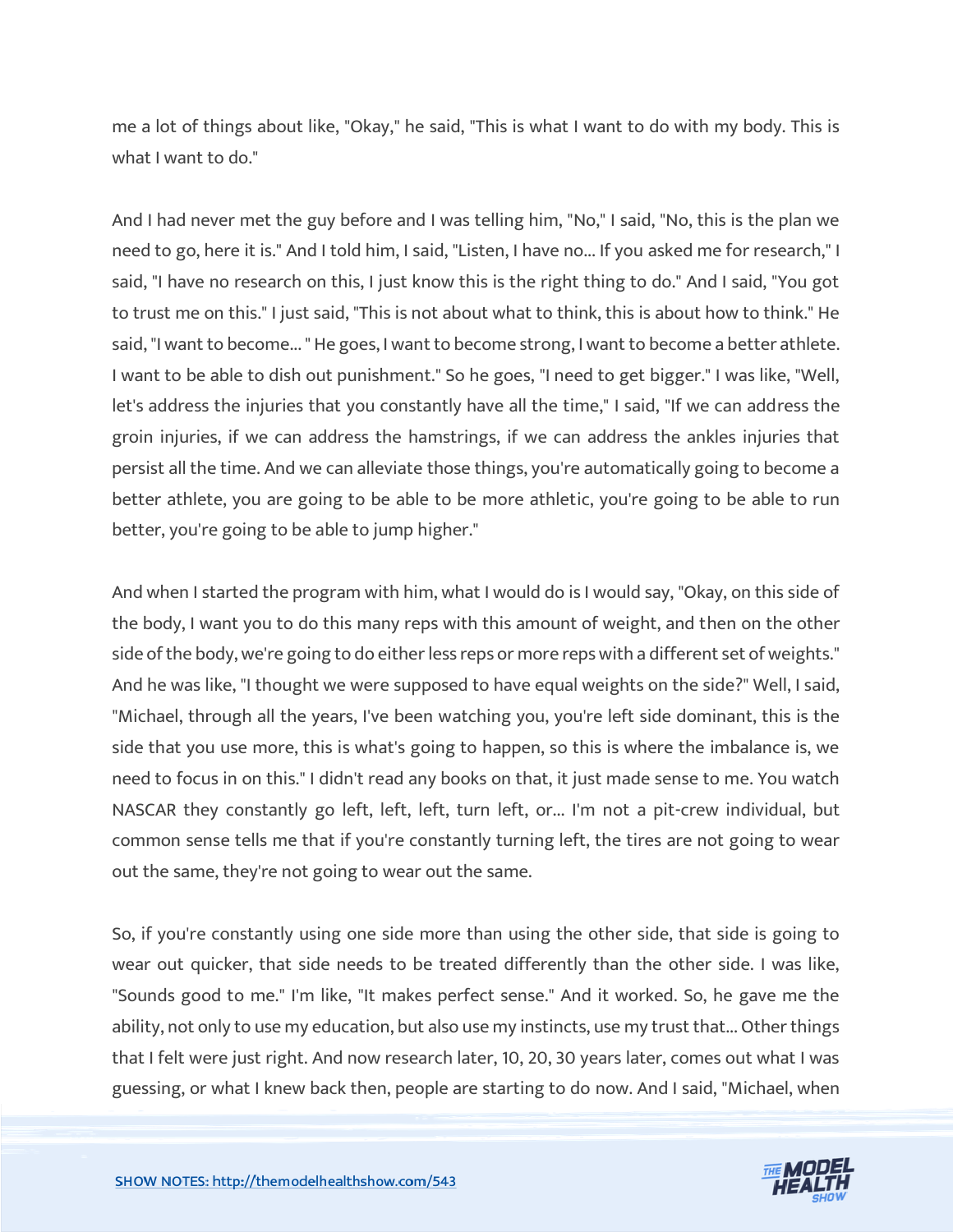me a lot of things about like, "Okay," he said, "This is what I want to do with my body. This is what I want to do."

And I had never met the guy before and I was telling him, "No," I said, "No, this is the plan we need to go, here it is." And I told him, I said, "Listen, I have no... If you asked me for research," I said, "I have no research on this, I just know this is the right thing to do." And I said, "You got to trust me on this." I just said, "This is not about what to think, this is about how to think." He said, "I want to become... " He goes, I want to become strong, I want to become a better athlete. I want to be able to dish out punishment." So he goes, "I need to get bigger." I was like, "Well, let's address the injuries that you constantly have all the time," I said, "If we can address the groin injuries, if we can address the hamstrings, if we can address the ankles injuries that persist all the time. And we can alleviate those things, you're automatically going to become a better athlete, you are going to be able to be more athletic, you're going to be able to run better, you're going to be able to jump higher."

And when I started the program with him, what I would do is I would say, "Okay, on this side of the body, I want you to do this many reps with this amount of weight, and then on the other side of the body, we're going to do either less reps or more reps with a different set of weights." And he was like, "I thought we were supposed to have equal weights on the side?" Well, I said, "Michael, through all the years, I've been watching you, you're left side dominant, this is the side that you use more, this is what's going to happen, so this is where the imbalance is, we need to focus in on this." I didn't read any books on that, it just made sense to me. You watch NASCAR they constantly go left, left, left, turn left, or... I'm not a pit-crew individual, but common sense tells me that if you're constantly turning left, the tires are not going to wear out the same, they're not going to wear out the same.

So, if you're constantly using one side more than using the other side, that side is going to wear out quicker, that side needs to be treated differently than the other side. I was like, "Sounds good to me." I'm like, "It makes perfect sense." And it worked. So, he gave me the ability, not only to use my education, but also use my instincts, use my trust that... Other things that I felt were just right. And now research later, 10, 20, 30 years later, comes out what I was guessing, or what I knew back then, people are starting to do now. And I said, "Michael, when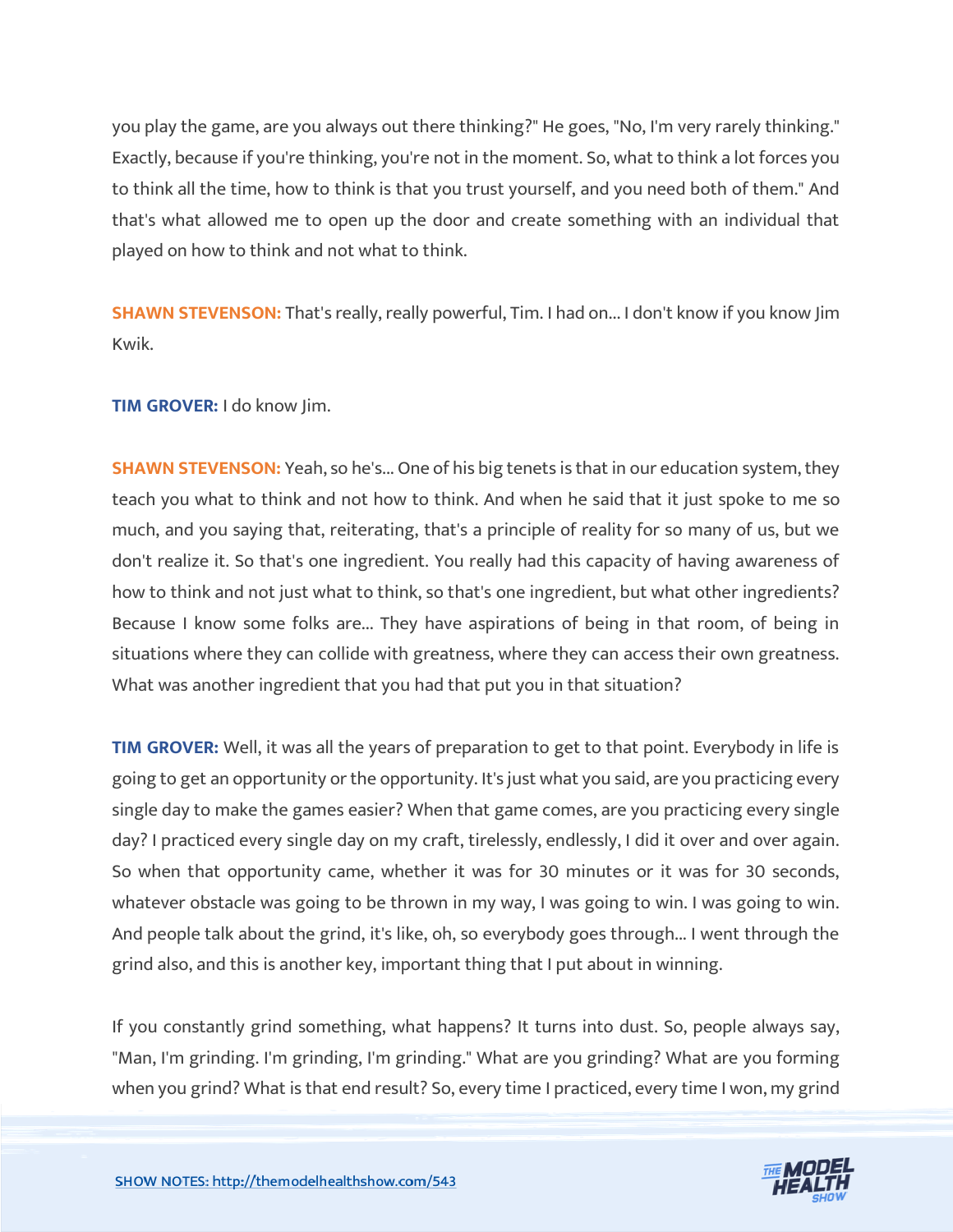you play the game, are you always out there thinking?" He goes, "No, I'm very rarely thinking." Exactly, because if you're thinking, you're not in the moment. So, what to think a lot forces you to think all the time, how to think is that you trust yourself, and you need both of them." And that's what allowed me to open up the door and create something with an individual that played on how to think and not what to think.

**SHAWN STEVENSON:** That's really, really powerful, Tim. I had on... I don't know if you know Jim Kwik.

**TIM GROVER:** I do know Jim.

**SHAWN STEVENSON:** Yeah, so he's... One of his big tenets is that in our education system, they teach you what to think and not how to think. And when he said that it just spoke to me so much, and you saying that, reiterating, that's a principle of reality for so many of us, but we don't realize it. So that's one ingredient. You really had this capacity of having awareness of how to think and not just what to think, so that's one ingredient, but what other ingredients? Because I know some folks are... They have aspirations of being in that room, of being in situations where they can collide with greatness, where they can access their own greatness. What was another ingredient that you had that put you in that situation?

**TIM GROVER:** Well, it was all the years of preparation to get to that point. Everybody in life is going to get an opportunity or the opportunity. It's just what you said, are you practicing every single day to make the games easier? When that game comes, are you practicing every single day? I practiced every single day on my craft, tirelessly, endlessly, I did it over and over again. So when that opportunity came, whether it was for 30 minutes or it was for 30 seconds, whatever obstacle was going to be thrown in my way, I was going to win. I was going to win. And people talk about the grind, it's like, oh, so everybody goes through... I went through the grind also, and this is another key, important thing that I put about in winning.

If you constantly grind something, what happens? It turns into dust. So, people always say, "Man, I'm grinding. I'm grinding, I'm grinding." What are you grinding? What are you forming when you grind? What is that end result? So, every time I practiced, every time I won, my grind

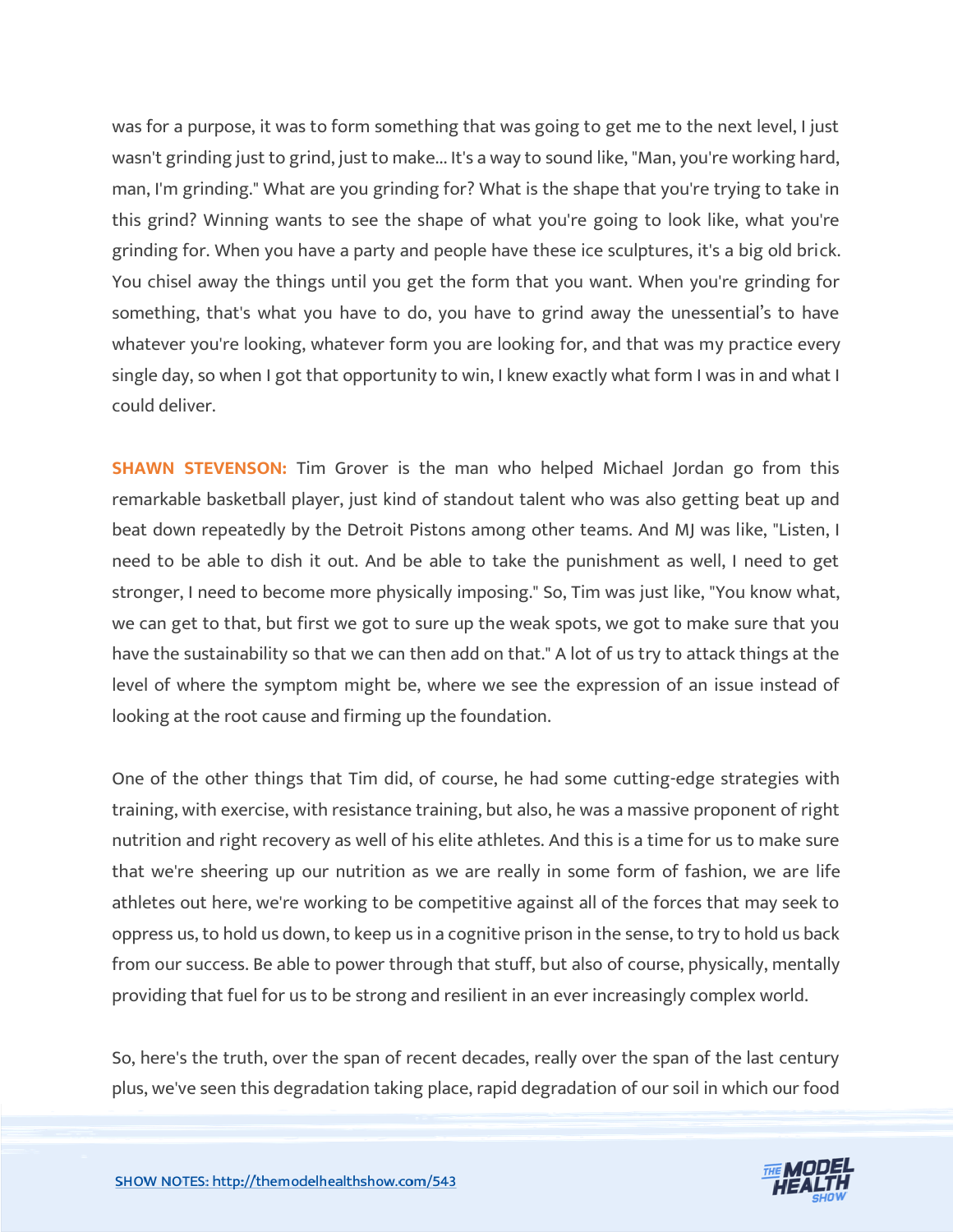was for a purpose, it was to form something that was going to get me to the next level, I just wasn't grinding just to grind, just to make... It's a way to sound like, "Man, you're working hard, man, I'm grinding." What are you grinding for? What is the shape that you're trying to take in this grind? Winning wants to see the shape of what you're going to look like, what you're grinding for. When you have a party and people have these ice sculptures, it's a big old brick. You chisel away the things until you get the form that you want. When you're grinding for something, that's what you have to do, you have to grind away the unessential's to have whatever you're looking, whatever form you are looking for, and that was my practice every single day, so when I got that opportunity to win, I knew exactly what form I was in and what I could deliver.

**SHAWN STEVENSON:** Tim Grover is the man who helped Michael Jordan go from this remarkable basketball player, just kind of standout talent who was also getting beat up and beat down repeatedly by the Detroit Pistons among other teams. And MJ was like, "Listen, I need to be able to dish it out. And be able to take the punishment as well, I need to get stronger, I need to become more physically imposing." So, Tim was just like, "You know what, we can get to that, but first we got to sure up the weak spots, we got to make sure that you have the sustainability so that we can then add on that." A lot of us try to attack things at the level of where the symptom might be, where we see the expression of an issue instead of looking at the root cause and firming up the foundation.

One of the other things that Tim did, of course, he had some cutting-edge strategies with training, with exercise, with resistance training, but also, he was a massive proponent of right nutrition and right recovery as well of his elite athletes. And this is a time for us to make sure that we're sheering up our nutrition as we are really in some form of fashion, we are life athletes out here, we're working to be competitive against all of the forces that may seek to oppress us, to hold us down, to keep us in a cognitive prison in the sense, to try to hold us back from our success. Be able to power through that stuff, but also of course, physically, mentally providing that fuel for us to be strong and resilient in an ever increasingly complex world.

So, here's the truth, over the span of recent decades, really over the span of the last century plus, we've seen this degradation taking place, rapid degradation of our soil in which our food

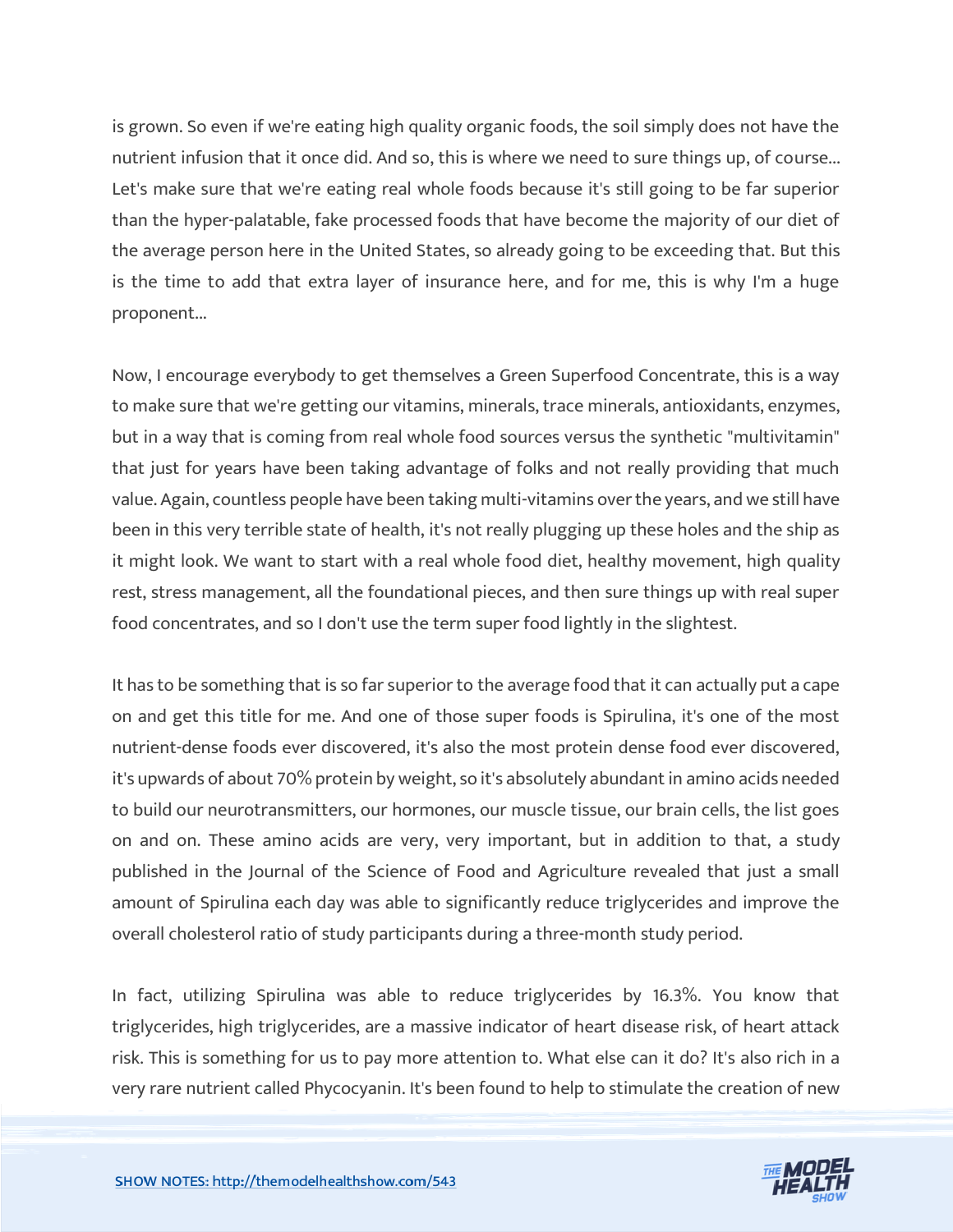is grown. So even if we're eating high quality organic foods, the soil simply does not have the nutrient infusion that it once did. And so, this is where we need to sure things up, of course... Let's make sure that we're eating real whole foods because it's still going to be far superior than the hyper-palatable, fake processed foods that have become the majority of our diet of the average person here in the United States, so already going to be exceeding that. But this is the time to add that extra layer of insurance here, and for me, this is why I'm a huge proponent...

Now, I encourage everybody to get themselves a Green Superfood Concentrate, this is a way to make sure that we're getting our vitamins, minerals, trace minerals, antioxidants, enzymes, but in a way that is coming from real whole food sources versus the synthetic "multivitamin" that just for years have been taking advantage of folks and not really providing that much value. Again, countless people have been taking multi-vitamins over the years, and we still have been in this very terrible state of health, it's not really plugging up these holes and the ship as it might look. We want to start with a real whole food diet, healthy movement, high quality rest, stress management, all the foundational pieces, and then sure things up with real super food concentrates, and so I don't use the term super food lightly in the slightest.

It has to be something that is so far superior to the average food that it can actually put a cape on and get this title for me. And one of those super foods is Spirulina, it's one of the most nutrient-dense foods ever discovered, it's also the most protein dense food ever discovered, it's upwards of about 70% protein by weight, so it's absolutely abundant in amino acids needed to build our neurotransmitters, our hormones, our muscle tissue, our brain cells, the list goes on and on. These amino acids are very, very important, but in addition to that, a study published in the Journal of the Science of Food and Agriculture revealed that just a small amount of Spirulina each day was able to significantly reduce triglycerides and improve the overall cholesterol ratio of study participants during a three-month study period.

In fact, utilizing Spirulina was able to reduce triglycerides by 16.3%. You know that triglycerides, high triglycerides, are a massive indicator of heart disease risk, of heart attack risk. This is something for us to pay more attention to. What else can it do? It's also rich in a very rare nutrient called Phycocyanin. It's been found to help to stimulate the creation of new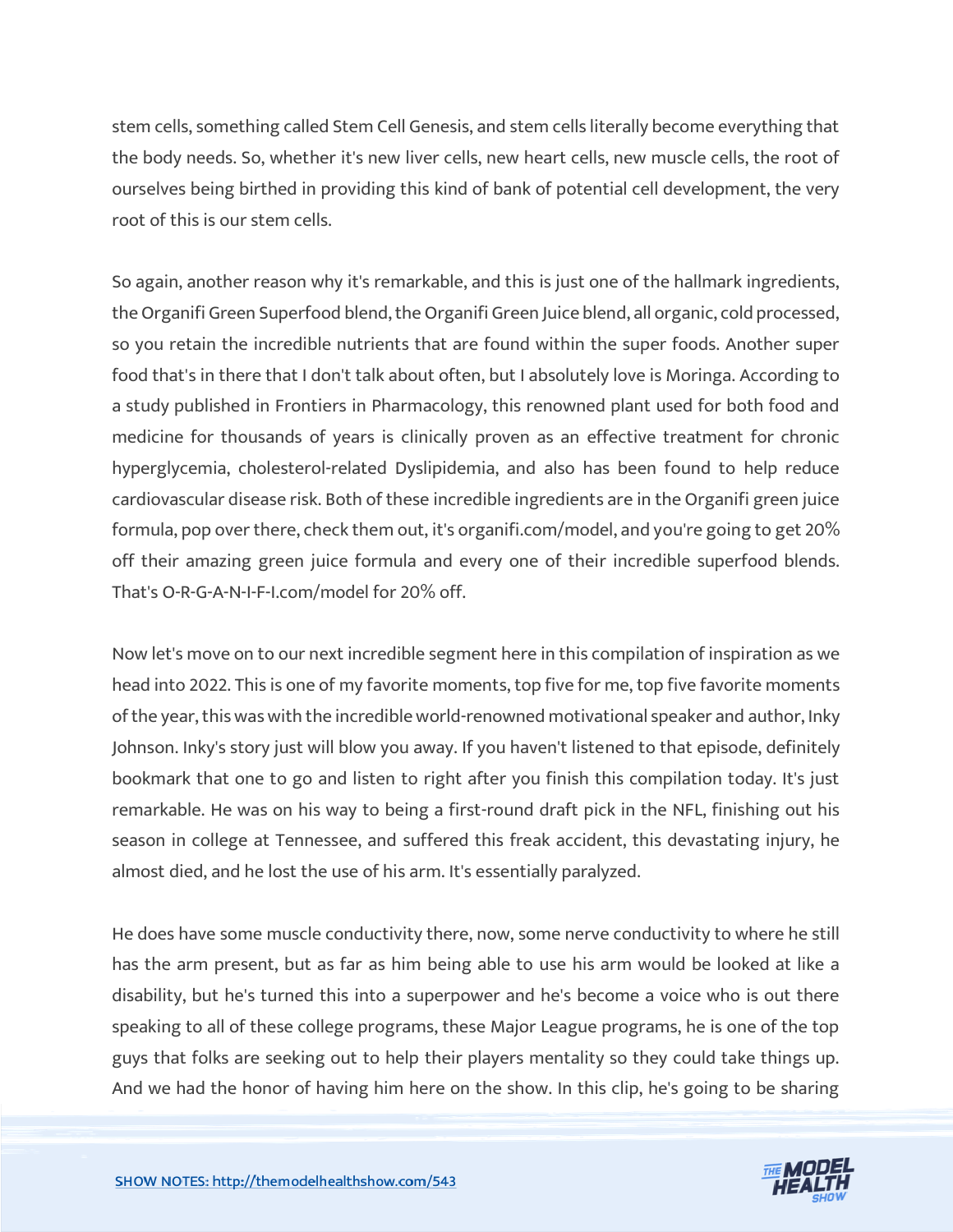stem cells, something called Stem Cell Genesis, and stem cells literally become everything that the body needs. So, whether it's new liver cells, new heart cells, new muscle cells, the root of ourselves being birthed in providing this kind of bank of potential cell development, the very root of this is our stem cells.

So again, another reason why it's remarkable, and this is just one of the hallmark ingredients, the Organifi Green Superfood blend, the Organifi Green Juice blend, all organic, cold processed, so you retain the incredible nutrients that are found within the super foods. Another super food that's in there that I don't talk about often, but I absolutely love is Moringa. According to a study published in Frontiers in Pharmacology, this renowned plant used for both food and medicine for thousands of years is clinically proven as an effective treatment for chronic hyperglycemia, cholesterol-related Dyslipidemia, and also has been found to help reduce cardiovascular disease risk. Both of these incredible ingredients are in the Organifi green juice formula, pop over there, check them out, it's organifi.com/model, and you're going to get 20% off their amazing green juice formula and every one of their incredible superfood blends. That's O-R-G-A-N-I-F-I.com/model for 20% off.

Now let's move on to our next incredible segment here in this compilation of inspiration as we head into 2022. This is one of my favorite moments, top five for me, top five favorite moments of the year, this was with the incredible world-renowned motivational speaker and author, Inky Johnson. Inky's story just will blow you away. If you haven't listened to that episode, definitely bookmark that one to go and listen to right after you finish this compilation today. It's just remarkable. He was on his way to being a first-round draft pick in the NFL, finishing out his season in college at Tennessee, and suffered this freak accident, this devastating injury, he almost died, and he lost the use of his arm. It's essentially paralyzed.

He does have some muscle conductivity there, now, some nerve conductivity to where he still has the arm present, but as far as him being able to use his arm would be looked at like a disability, but he's turned this into a superpower and he's become a voice who is out there speaking to all of these college programs, these Major League programs, he is one of the top guys that folks are seeking out to help their players mentality so they could take things up. And we had the honor of having him here on the show. In this clip, he's going to be sharing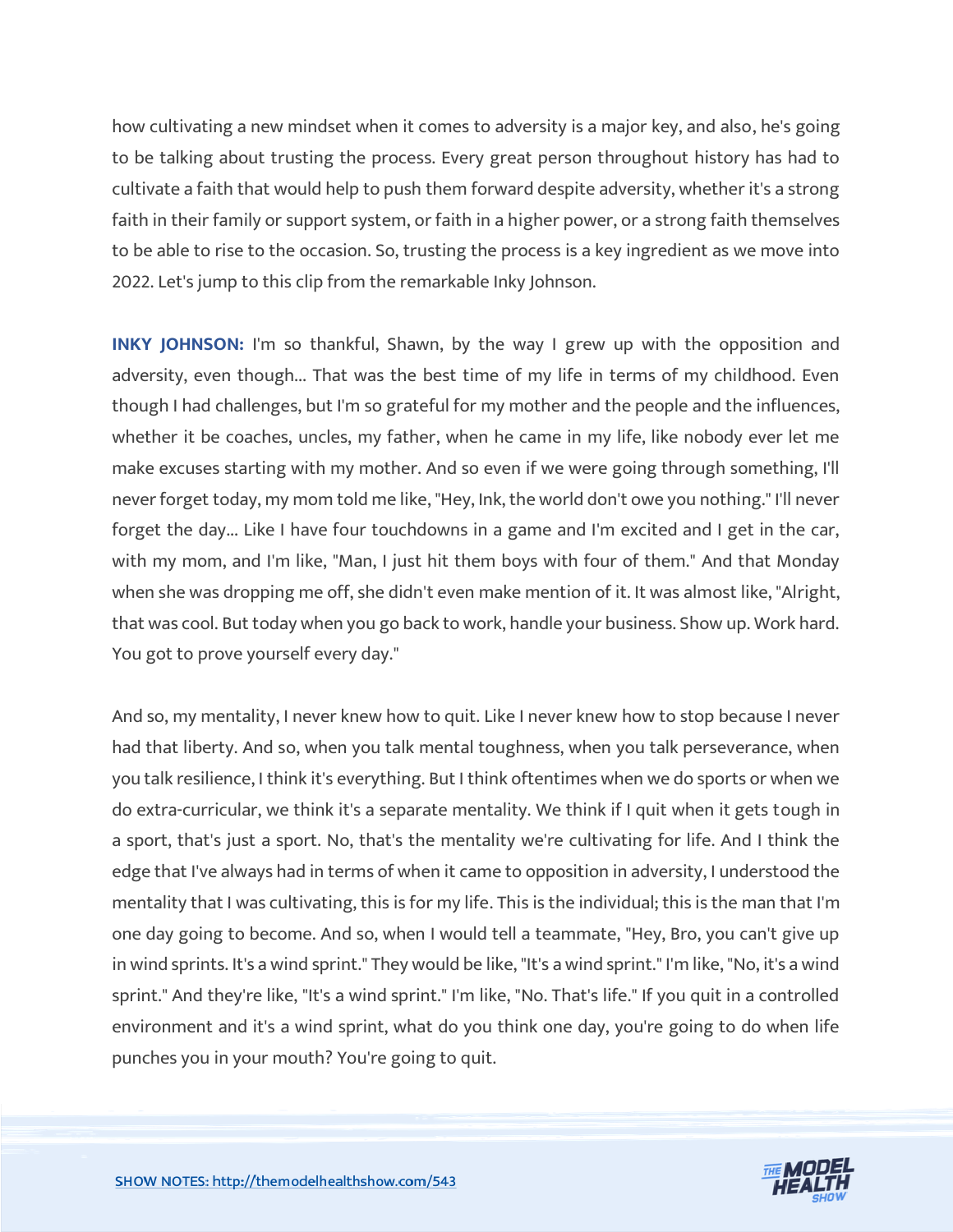how cultivating a new mindset when it comes to adversity is a major key, and also, he's going to be talking about trusting the process. Every great person throughout history has had to cultivate a faith that would help to push them forward despite adversity, whether it's a strong faith in their family or support system, or faith in a higher power, or a strong faith themselves to be able to rise to the occasion. So, trusting the process is a key ingredient as we move into 2022. Let's jump to this clip from the remarkable Inky Johnson.

**INKY JOHNSON:** I'm so thankful, Shawn, by the way I grew up with the opposition and adversity, even though... That was the best time of my life in terms of my childhood. Even though I had challenges, but I'm so grateful for my mother and the people and the influences, whether it be coaches, uncles, my father, when he came in my life, like nobody ever let me make excuses starting with my mother. And so even if we were going through something, I'll never forget today, my mom told me like, "Hey, Ink, the world don't owe you nothing." I'll never forget the day... Like I have four touchdowns in a game and I'm excited and I get in the car, with my mom, and I'm like, "Man, I just hit them boys with four of them." And that Monday when she was dropping me off, she didn't even make mention of it. It was almost like, "Alright, that was cool. But today when you go back to work, handle your business. Show up. Work hard. You got to prove yourself every day."

And so, my mentality, I never knew how to quit. Like I never knew how to stop because I never had that liberty. And so, when you talk mental toughness, when you talk perseverance, when you talk resilience, I think it's everything. But I think oftentimes when we do sports or when we do extra-curricular, we think it's a separate mentality. We think if I quit when it gets tough in a sport, that's just a sport. No, that's the mentality we're cultivating for life. And I think the edge that I've always had in terms of when it came to opposition in adversity, I understood the mentality that I was cultivating, this is for my life. This is the individual; this is the man that I'm one day going to become. And so, when I would tell a teammate, "Hey, Bro, you can't give up in wind sprints. It's a wind sprint." They would be like, "It's a wind sprint." I'm like, "No, it's a wind sprint." And they're like, "It's a wind sprint." I'm like, "No. That's life." If you quit in a controlled environment and it's a wind sprint, what do you think one day, you're going to do when life punches you in your mouth? You're going to quit.

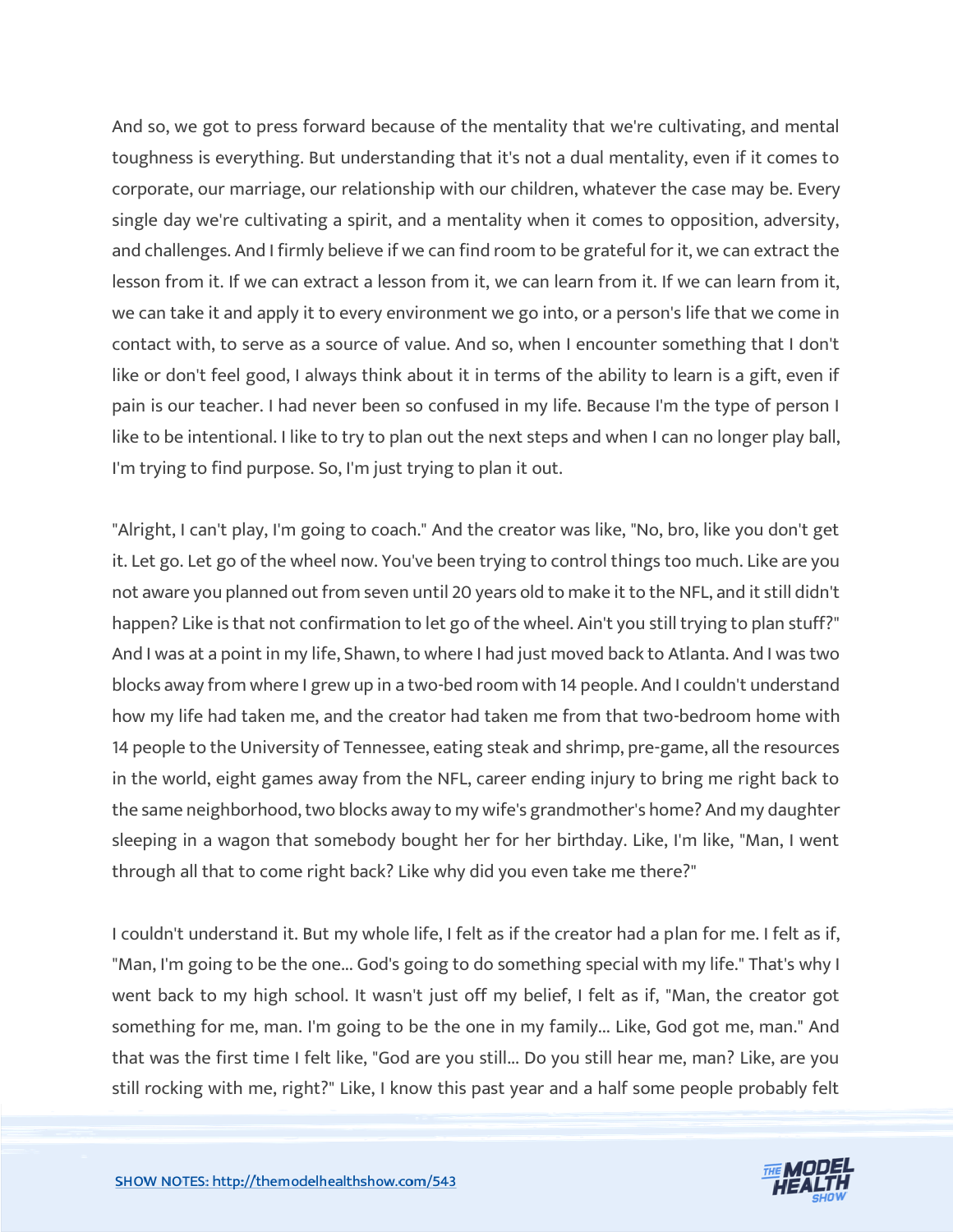And so, we got to press forward because of the mentality that we're cultivating, and mental toughness is everything. But understanding that it's not a dual mentality, even if it comes to corporate, our marriage, our relationship with our children, whatever the case may be. Every single day we're cultivating a spirit, and a mentality when it comes to opposition, adversity, and challenges. And I firmly believe if we can find room to be grateful for it, we can extract the lesson from it. If we can extract a lesson from it, we can learn from it. If we can learn from it, we can take it and apply it to every environment we go into, or a person's life that we come in contact with, to serve as a source of value. And so, when I encounter something that I don't like or don't feel good, I always think about it in terms of the ability to learn is a gift, even if pain is our teacher. I had never been so confused in my life. Because I'm the type of person I like to be intentional. I like to try to plan out the next steps and when I can no longer play ball, I'm trying to find purpose. So, I'm just trying to plan it out.

"Alright, I can't play, I'm going to coach." And the creator was like, "No, bro, like you don't get it. Let go. Let go of the wheel now. You've been trying to control things too much. Like are you not aware you planned out from seven until 20 years old to make it to the NFL, and it still didn't happen? Like is that not confirmation to let go of the wheel. Ain't you still trying to plan stuff?" And I was at a point in my life, Shawn, to where I had just moved back to Atlanta. And I was two blocks away from where I grew up in a two-bed room with 14 people. And I couldn't understand how my life had taken me, and the creator had taken me from that two-bedroom home with 14 people to the University of Tennessee, eating steak and shrimp, pre-game, all the resources in the world, eight games away from the NFL, career ending injury to bring me right back to the same neighborhood, two blocks away to my wife's grandmother's home? And my daughter sleeping in a wagon that somebody bought her for her birthday. Like, I'm like, "Man, I went through all that to come right back? Like why did you even take me there?"

I couldn't understand it. But my whole life, I felt as if the creator had a plan for me. I felt as if, "Man, I'm going to be the one... God's going to do something special with my life." That's why I went back to my high school. It wasn't just off my belief, I felt as if, "Man, the creator got something for me, man. I'm going to be the one in my family... Like, God got me, man." And that was the first time I felt like, "God are you still... Do you still hear me, man? Like, are you still rocking with me, right?" Like, I know this past year and a half some people probably felt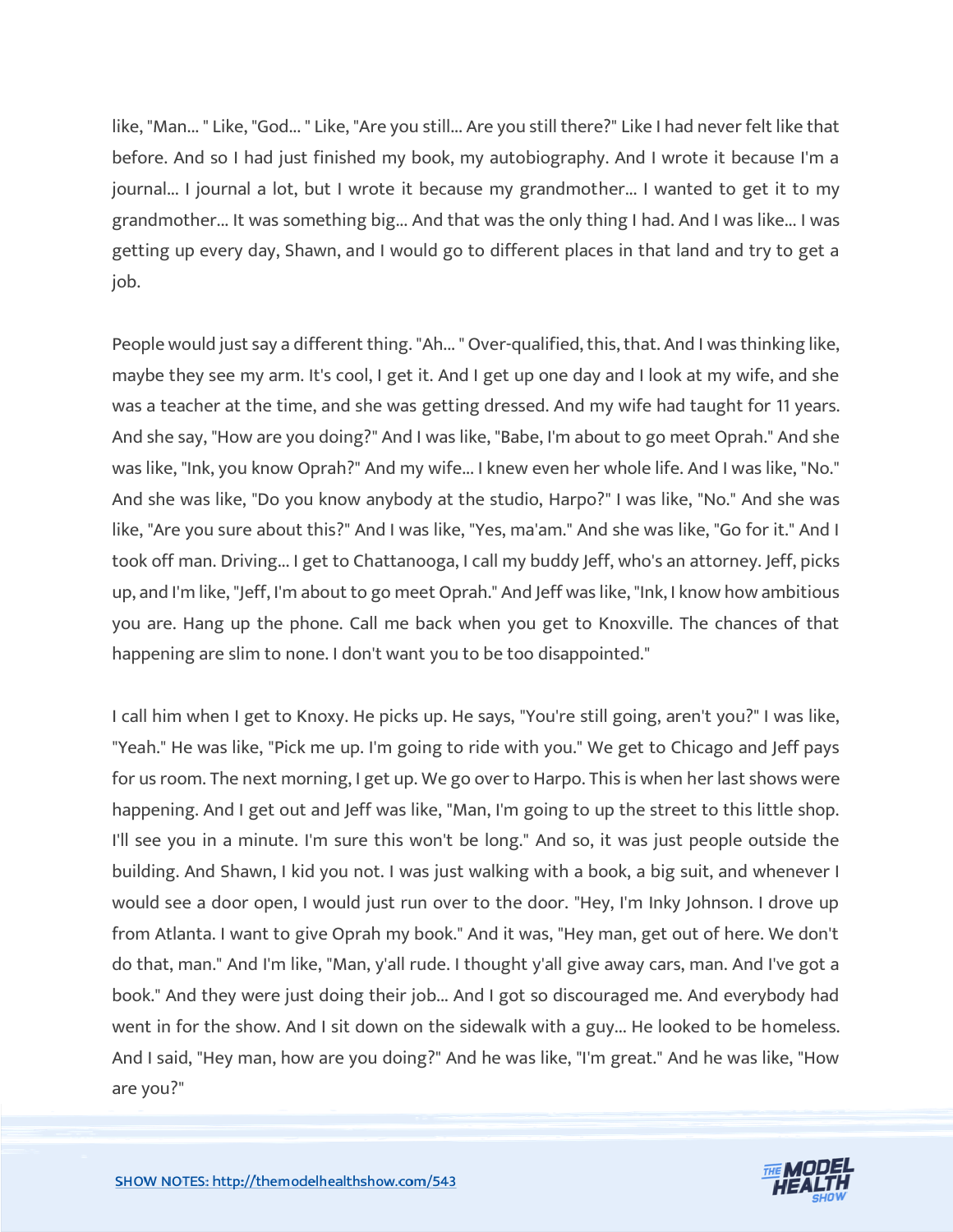like, "Man... " Like, "God... " Like, "Are you still... Are you still there?" Like I had never felt like that before. And so I had just finished my book, my autobiography. And I wrote it because I'm a journal... I journal a lot, but I wrote it because my grandmother... I wanted to get it to my grandmother... It was something big... And that was the only thing I had. And I was like... I was getting up every day, Shawn, and I would go to different places in that land and try to get a job.

People would just say a different thing. "Ah... " Over-qualified, this, that. And I was thinking like, maybe they see my arm. It's cool, I get it. And I get up one day and I look at my wife, and she was a teacher at the time, and she was getting dressed. And my wife had taught for 11 years. And she say, "How are you doing?" And I was like, "Babe, I'm about to go meet Oprah." And she was like, "Ink, you know Oprah?" And my wife... I knew even her whole life. And I was like, "No." And she was like, "Do you know anybody at the studio, Harpo?" I was like, "No." And she was like, "Are you sure about this?" And I was like, "Yes, ma'am." And she was like, "Go for it." And I took off man. Driving... I get to Chattanooga, I call my buddy Jeff, who's an attorney. Jeff, picks up, and I'm like, "Jeff, I'm about to go meet Oprah." And Jeff was like, "Ink, I know how ambitious you are. Hang up the phone. Call me back when you get to Knoxville. The chances of that happening are slim to none. I don't want you to be too disappointed."

I call him when I get to Knoxy. He picks up. He says, "You're still going, aren't you?" I was like, "Yeah." He was like, "Pick me up. I'm going to ride with you." We get to Chicago and Jeff pays for us room. The next morning, I get up. We go over to Harpo. This is when her last shows were happening. And I get out and Jeff was like, "Man, I'm going to up the street to this little shop. I'll see you in a minute. I'm sure this won't be long." And so, it was just people outside the building. And Shawn, I kid you not. I was just walking with a book, a big suit, and whenever I would see a door open, I would just run over to the door. "Hey, I'm Inky Johnson. I drove up from Atlanta. I want to give Oprah my book." And it was, "Hey man, get out of here. We don't do that, man." And I'm like, "Man, y'all rude. I thought y'all give away cars, man. And I've got a book." And they were just doing their job... And I got so discouraged me. And everybody had went in for the show. And I sit down on the sidewalk with a guy... He looked to be homeless. And I said, "Hey man, how are you doing?" And he was like, "I'm great." And he was like, "How are you?"

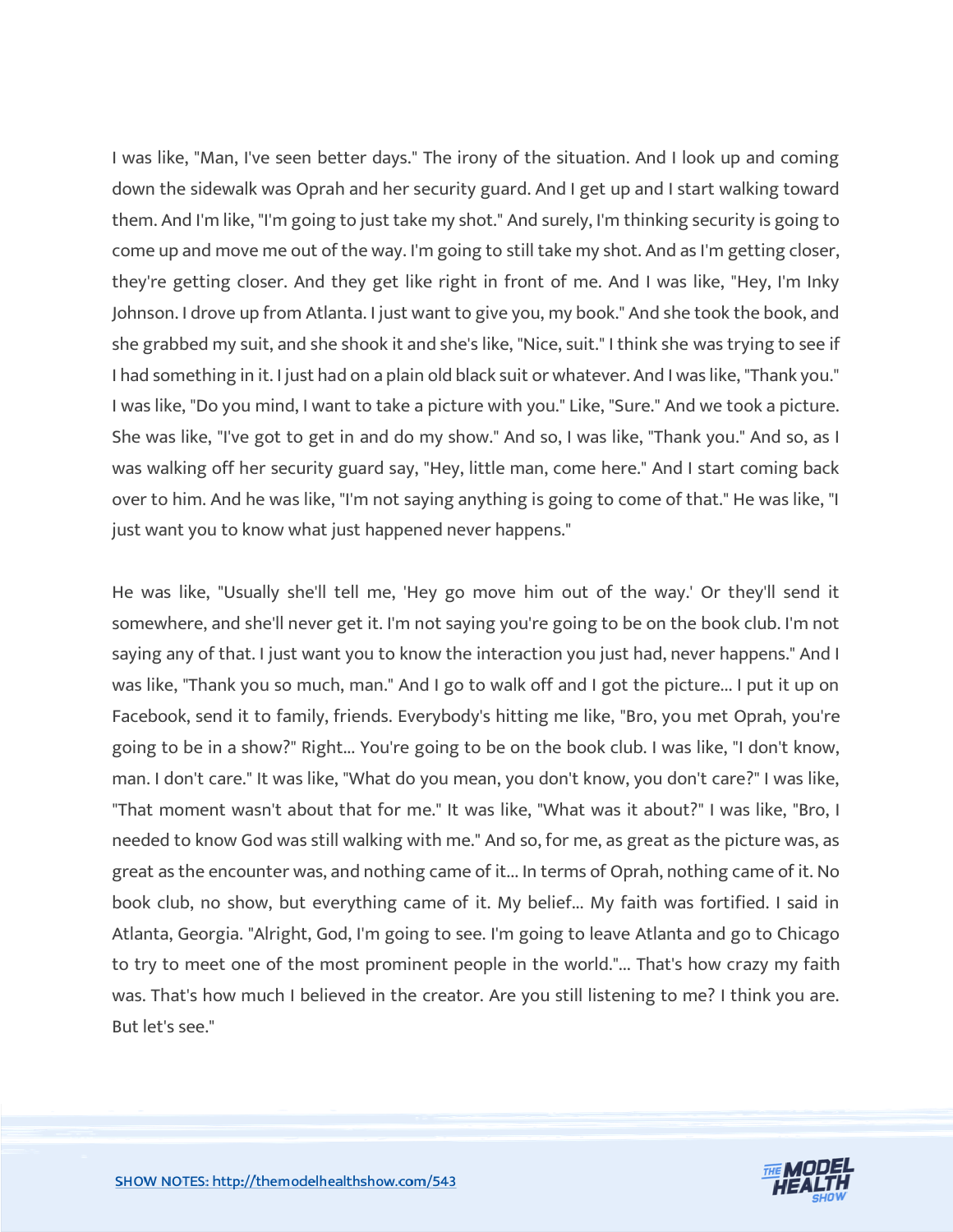I was like, "Man, I've seen better days." The irony of the situation. And I look up and coming down the sidewalk was Oprah and her security guard. And I get up and I start walking toward them. And I'm like, "I'm going to just take my shot." And surely, I'm thinking security is going to come up and move me out of the way. I'm going to still take my shot. And as I'm getting closer, they're getting closer. And they get like right in front of me. And I was like, "Hey, I'm Inky Johnson. I drove up from Atlanta. I just want to give you, my book." And she took the book, and she grabbed my suit, and she shook it and she's like, "Nice, suit." I think she was trying to see if I had something in it. I just had on a plain old black suit or whatever. And I was like, "Thank you." I was like, "Do you mind, I want to take a picture with you." Like, "Sure." And we took a picture. She was like, "I've got to get in and do my show." And so, I was like, "Thank you." And so, as I was walking off her security guard say, "Hey, little man, come here." And I start coming back over to him. And he was like, "I'm not saying anything is going to come of that." He was like, "I just want you to know what just happened never happens."

He was like, "Usually she'll tell me, 'Hey go move him out of the way.' Or they'll send it somewhere, and she'll never get it. I'm not saying you're going to be on the book club. I'm not saying any of that. I just want you to know the interaction you just had, never happens." And I was like, "Thank you so much, man." And I go to walk off and I got the picture... I put it up on Facebook, send it to family, friends. Everybody's hitting me like, "Bro, you met Oprah, you're going to be in a show?" Right... You're going to be on the book club. I was like, "I don't know, man. I don't care." It was like, "What do you mean, you don't know, you don't care?" I was like, "That moment wasn't about that for me." It was like, "What was it about?" I was like, "Bro, I needed to know God was still walking with me." And so, for me, as great as the picture was, as great as the encounter was, and nothing came of it... In terms of Oprah, nothing came of it. No book club, no show, but everything came of it. My belief... My faith was fortified. I said in Atlanta, Georgia. "Alright, God, I'm going to see. I'm going to leave Atlanta and go to Chicago to try to meet one of the most prominent people in the world."... That's how crazy my faith was. That's how much I believed in the creator. Are you still listening to me? I think you are. But let's see."

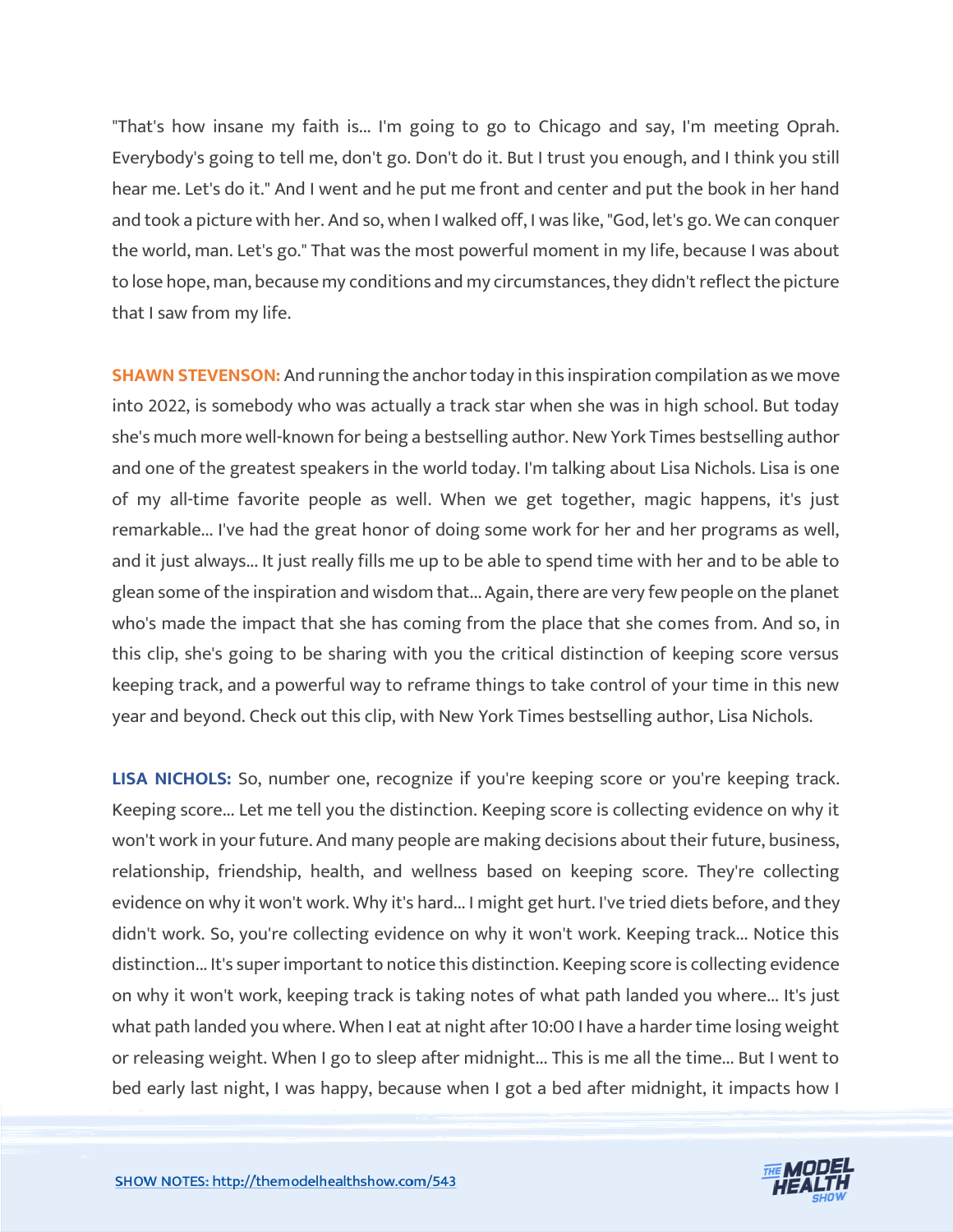"That's how insane my faith is... I'm going to go to Chicago and say, I'm meeting Oprah. Everybody's going to tell me, don't go. Don't do it. But I trust you enough, and I think you still hear me. Let's do it." And I went and he put me front and center and put the book in her hand and took a picture with her. And so, when I walked off, I was like, "God, let's go. We can conquer the world, man. Let's go." That was the most powerful moment in my life, because I was about to lose hope, man, because my conditions and my circumstances, they didn't reflect the picture that I saw from my life.

**SHAWN STEVENSON:** And running the anchor today in this inspiration compilation as we move into 2022, is somebody who was actually a track star when she was in high school. But today she's much more well-known for being a bestselling author. New York Times bestselling author and one of the greatest speakers in the world today. I'm talking about Lisa Nichols. Lisa is one of my all-time favorite people as well. When we get together, magic happens, it's just remarkable... I've had the great honor of doing some work for her and her programs as well, and it just always... It just really fills me up to be able to spend time with her and to be able to glean some of the inspiration and wisdom that... Again, there are very few people on the planet who's made the impact that she has coming from the place that she comes from. And so, in this clip, she's going to be sharing with you the critical distinction of keeping score versus keeping track, and a powerful way to reframe things to take control of your time in this new year and beyond. Check out this clip, with New York Times bestselling author, Lisa Nichols.

**LISA NICHOLS:** So, number one, recognize if you're keeping score or you're keeping track. Keeping score... Let me tell you the distinction. Keeping score is collecting evidence on why it won't work in your future. And many people are making decisions about their future, business, relationship, friendship, health, and wellness based on keeping score. They're collecting evidence on why it won't work. Why it's hard... I might get hurt. I've tried diets before, and they didn't work. So, you're collecting evidence on why it won't work. Keeping track... Notice this distinction... It's super important to notice this distinction. Keeping score is collecting evidence on why it won't work, keeping track is taking notes of what path landed you where... It's just what path landed you where. When I eat at night after 10:00 I have a harder time losing weight or releasing weight. When I go to sleep after midnight... This is me all the time... But I went to bed early last night, I was happy, because when I got a bed after midnight, it impacts how I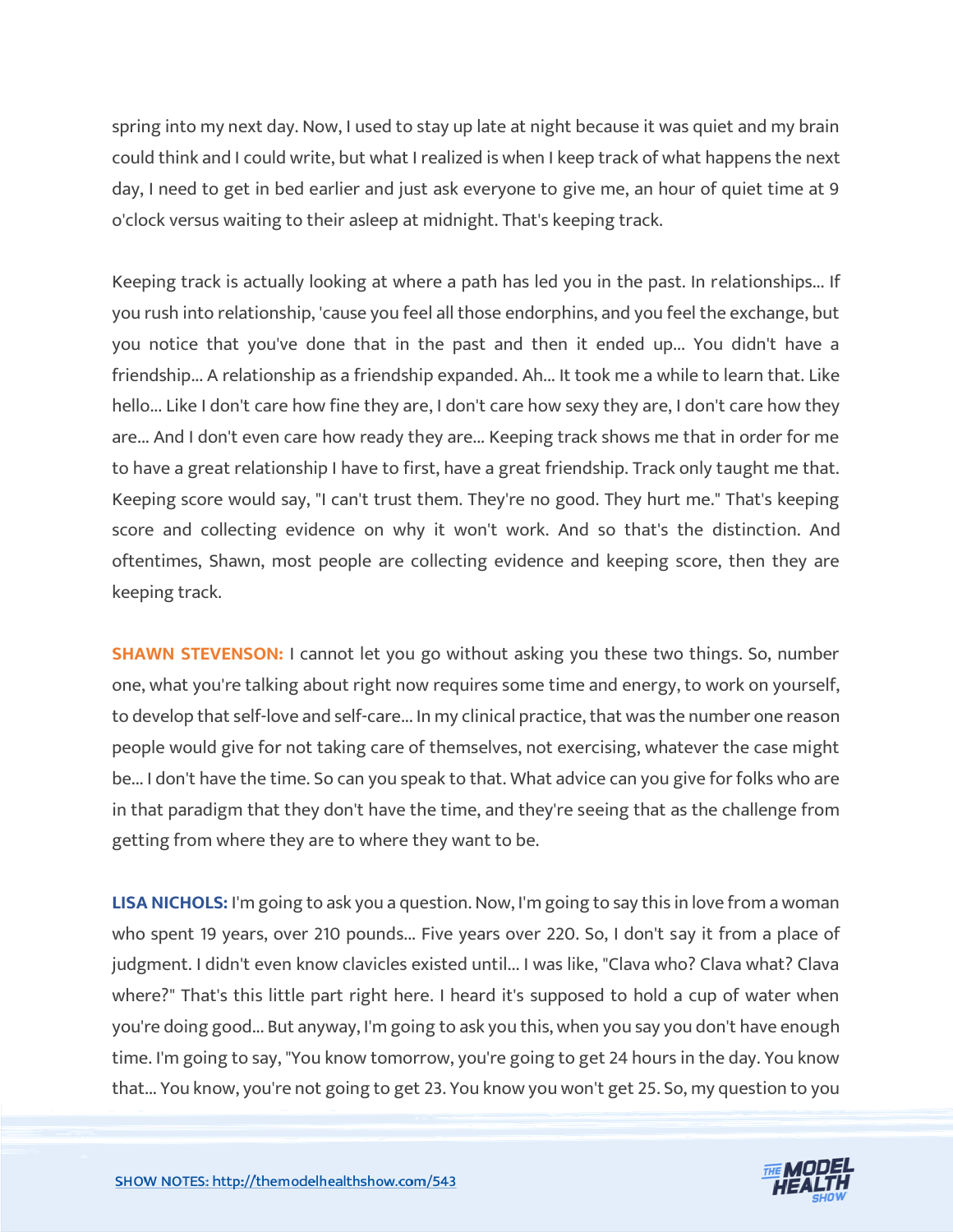spring into my next day. Now, I used to stay up late at night because it was quiet and my brain could think and I could write, but what I realized is when I keep track of what happens the next day, I need to get in bed earlier and just ask everyone to give me, an hour of quiet time at 9 o'clock versus waiting to their asleep at midnight. That's keeping track.

Keeping track is actually looking at where a path has led you in the past. In relationships... If you rush into relationship, 'cause you feel all those endorphins, and you feel the exchange, but you notice that you've done that in the past and then it ended up... You didn't have a friendship... A relationship as a friendship expanded. Ah... It took me a while to learn that. Like hello... Like I don't care how fine they are, I don't care how sexy they are, I don't care how they are... And I don't even care how ready they are... Keeping track shows me that in order for me to have a great relationship I have to first, have a great friendship. Track only taught me that. Keeping score would say, "I can't trust them. They're no good. They hurt me." That's keeping score and collecting evidence on why it won't work. And so that's the distinction. And oftentimes, Shawn, most people are collecting evidence and keeping score, then they are keeping track.

**SHAWN STEVENSON:** I cannot let you go without asking you these two things. So, number one, what you're talking about right now requires some time and energy, to work on yourself, to develop that self-love and self-care... In my clinical practice, that was the number one reason people would give for not taking care of themselves, not exercising, whatever the case might be... I don't have the time. So can you speak to that. What advice can you give for folks who are in that paradigm that they don't have the time, and they're seeing that as the challenge from getting from where they are to where they want to be.

**LISA NICHOLS:** I'm going to ask you a question. Now, I'm going to say this in love from a woman who spent 19 years, over 210 pounds... Five years over 220. So, I don't say it from a place of judgment. I didn't even know clavicles existed until... I was like, "Clava who? Clava what? Clava where?" That's this little part right here. I heard it's supposed to hold a cup of water when you're doing good... But anyway, I'm going to ask you this, when you say you don't have enough time. I'm going to say, "You know tomorrow, you're going to get 24 hours in the day. You know that... You know, you're not going to get 23. You know you won't get 25. So, my question to you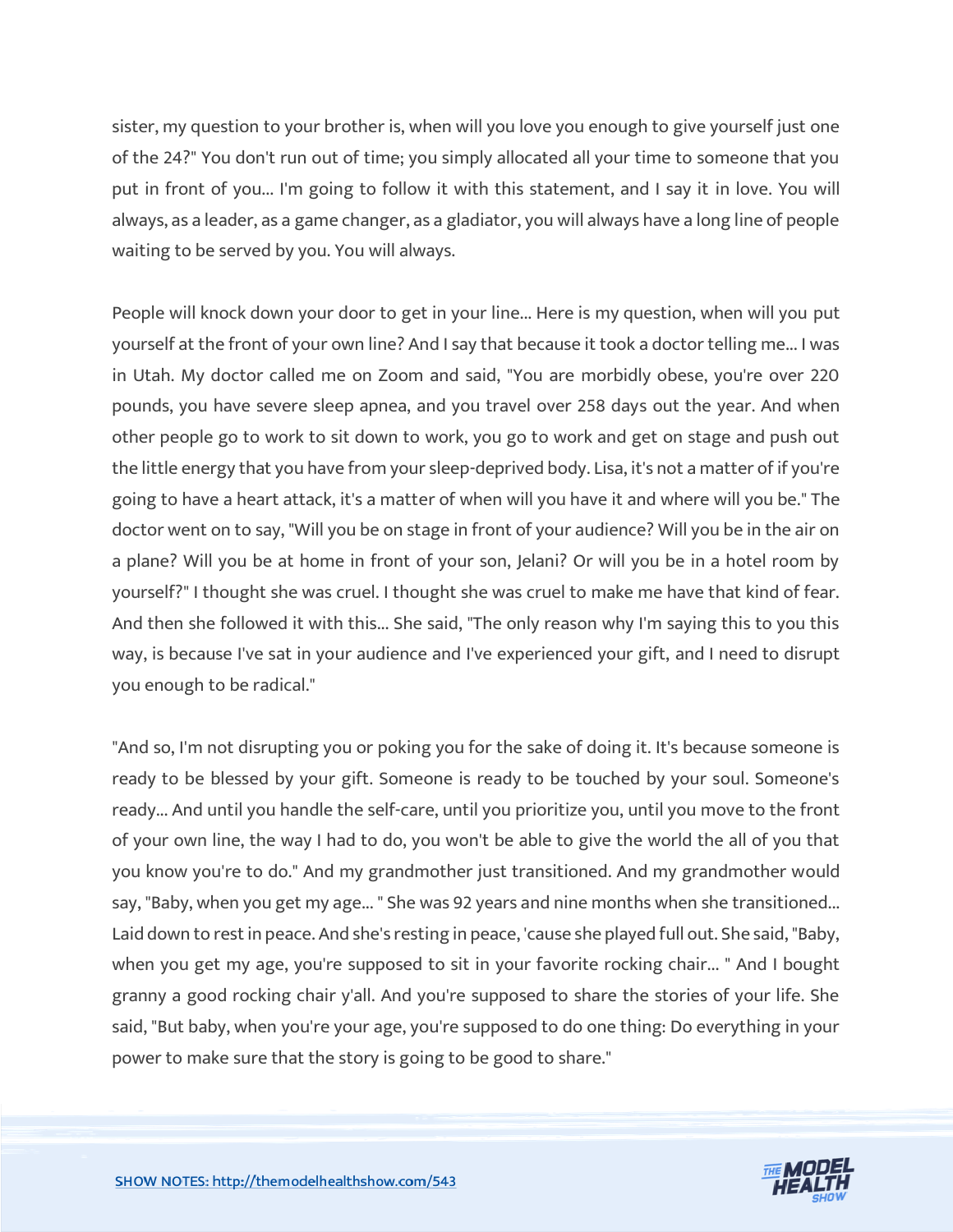sister, my question to your brother is, when will you love you enough to give yourself just one of the 24?" You don't run out of time; you simply allocated all your time to someone that you put in front of you... I'm going to follow it with this statement, and I say it in love. You will always, as a leader, as a game changer, as a gladiator, you will always have a long line of people waiting to be served by you. You will always.

People will knock down your door to get in your line... Here is my question, when will you put yourself at the front of your own line? And I say that because it took a doctor telling me... I was in Utah. My doctor called me on Zoom and said, "You are morbidly obese, you're over 220 pounds, you have severe sleep apnea, and you travel over 258 days out the year. And when other people go to work to sit down to work, you go to work and get on stage and push out the little energy that you have from your sleep-deprived body. Lisa, it's not a matter of if you're going to have a heart attack, it's a matter of when will you have it and where will you be." The doctor went on to say, "Will you be on stage in front of your audience? Will you be in the air on a plane? Will you be at home in front of your son, Jelani? Or will you be in a hotel room by yourself?" I thought she was cruel. I thought she was cruel to make me have that kind of fear. And then she followed it with this... She said, "The only reason why I'm saying this to you this way, is because I've sat in your audience and I've experienced your gift, and I need to disrupt you enough to be radical."

"And so, I'm not disrupting you or poking you for the sake of doing it. It's because someone is ready to be blessed by your gift. Someone is ready to be touched by your soul. Someone's ready... And until you handle the self-care, until you prioritize you, until you move to the front of your own line, the way I had to do, you won't be able to give the world the all of you that you know you're to do." And my grandmother just transitioned. And my grandmother would say, "Baby, when you get my age... " She was 92 years and nine months when she transitioned... Laid down to rest in peace. And she's resting in peace, 'cause she played full out. She said, "Baby, when you get my age, you're supposed to sit in your favorite rocking chair... " And I bought granny a good rocking chair y'all. And you're supposed to share the stories of your life. She said, "But baby, when you're your age, you're supposed to do one thing: Do everything in your power to make sure that the story is going to be good to share."